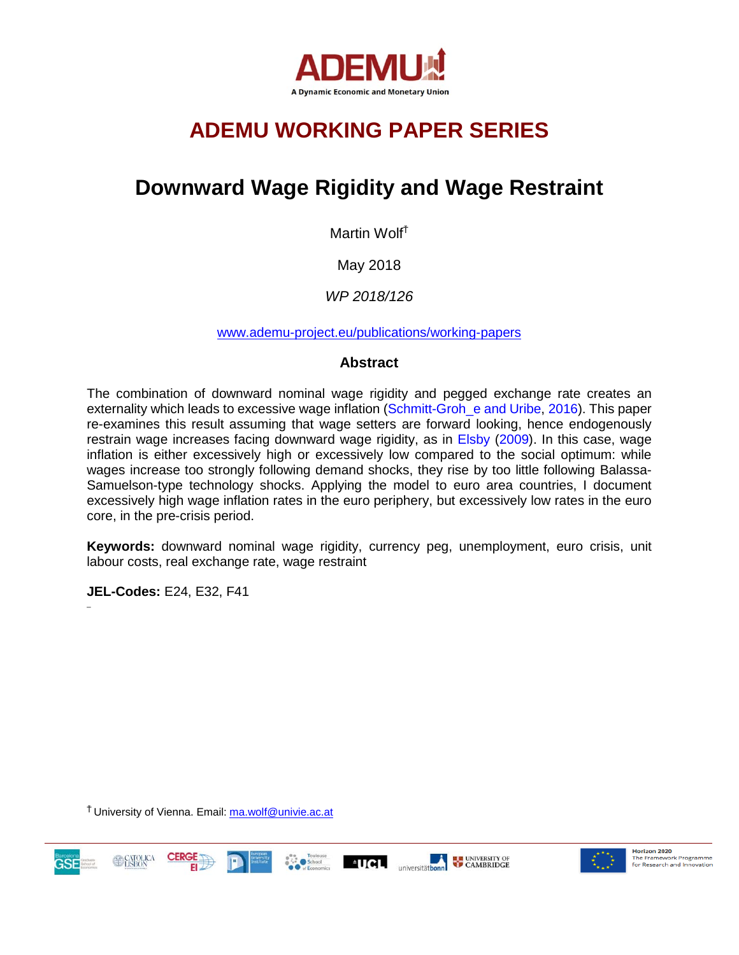

# **ADEMU WORKING PAPER SERIES**

# **Downward Wage Rigidity and Wage Restraint**

Martin Wolf<sup>Ť</sup>

May 2018

*WP 2018/126*

[www.ademu-project.eu/publications/working-papers](http://www.ademu-project.eu/publications/working-papers)

## **Abstract**

The combination of downward nominal wage rigidity and pegged exchange rate creates an externality which leads to excessive wage inflation (Schmitt-Groh\_e and Uribe, 2016). This paper re-examines this result assuming that wage setters are forward looking, hence endogenously restrain wage increases facing downward wage rigidity, as in Elsby (2009). In this case, wage inflation is either excessively high or excessively low compared to the social optimum: while wages increase too strongly following demand shocks, they rise by too little following Balassa-Samuelson-type technology shocks. Applying the model to euro area countries, I document excessively high wage inflation rates in the euro periphery, but excessively low rates in the euro core, in the pre-crisis period.

**Keywords:** downward nominal wage rigidity, currency peg, unemployment, euro crisis, unit labour costs, real exchange rate, wage restraint

**JEL-Codes:** E24, E32, F41

 $\overline{a}$ 

<sup>Ť</sup>University of Vienna. Email: [ma.wolf@univie.ac.at](mailto:ma.wolf@univie.ac.at)







Horizon 2020 **Horizon 2020**<br>The Framework Programme<br>for Research and Innovation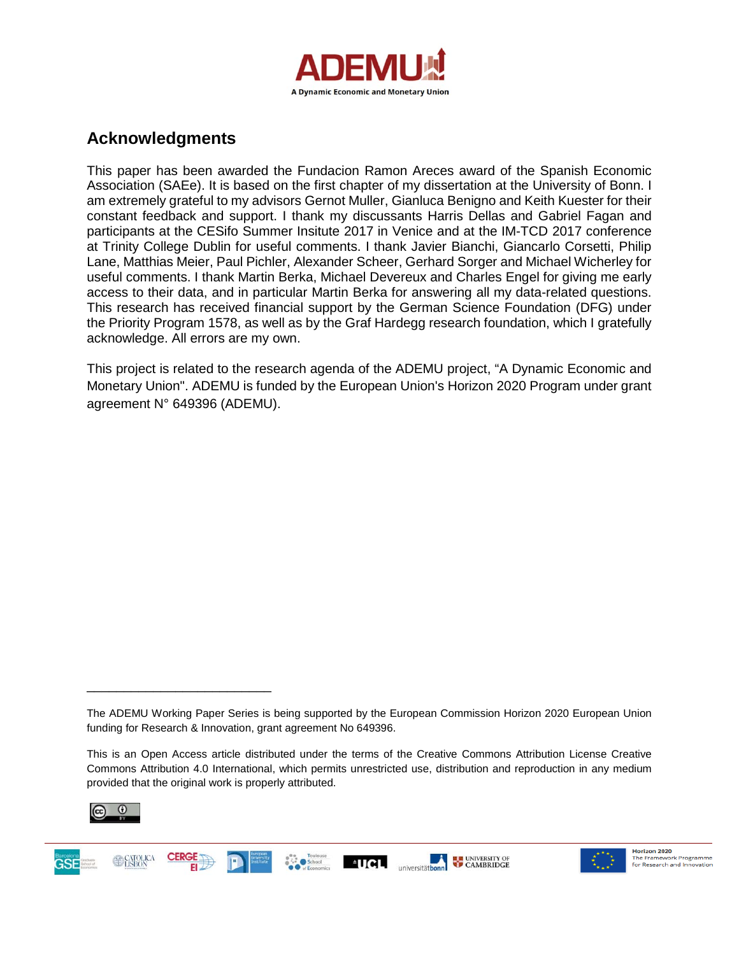

## **Acknowledgments**

This paper has been awarded the Fundacion Ramon Areces award of the Spanish Economic Association (SAEe). It is based on the first chapter of my dissertation at the University of Bonn. I am extremely grateful to my advisors Gernot Muller, Gianluca Benigno and Keith Kuester for their constant feedback and support. I thank my discussants Harris Dellas and Gabriel Fagan and participants at the CESifo Summer Insitute 2017 in Venice and at the IM-TCD 2017 conference at Trinity College Dublin for useful comments. I thank Javier Bianchi, Giancarlo Corsetti, Philip Lane, Matthias Meier, Paul Pichler, Alexander Scheer, Gerhard Sorger and Michael Wicherley for useful comments. I thank Martin Berka, Michael Devereux and Charles Engel for giving me early access to their data, and in particular Martin Berka for answering all my data-related questions. This research has received financial support by the German Science Foundation (DFG) under the Priority Program 1578, as well as by the Graf Hardegg research foundation, which I gratefully acknowledge. All errors are my own.

This project is related to the research agenda of the ADEMU project, "A Dynamic Economic and Monetary Union". ADEMU is funded by the European Union's Horizon 2020 Program under grant agreement N° 649396 (ADEMU).

 $^{\circ}$ UCL

universitäthonn



**ASE** 

\_\_\_\_\_\_\_\_\_\_\_\_\_\_\_\_\_\_\_\_\_\_\_\_\_



**ELE** UNIVERSITY OF

The ADEMU Working Paper Series is being supported by the European Commission Horizon 2020 European Union funding for Research & Innovation, grant agreement No 649396.

This is an Open Access article distributed under the terms of the Creative Commons Attribution License Creative Commons Attribution 4.0 International, which permits unrestricted use, distribution and reproduction in any medium provided that the original work is properly attributed.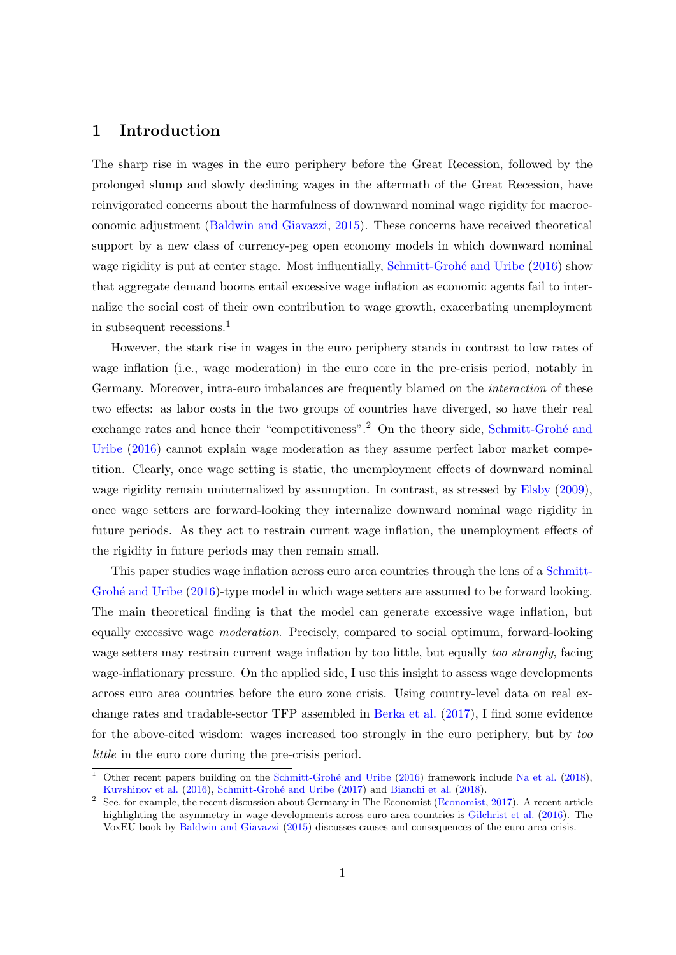## 1 Introduction

The sharp rise in wages in the euro periphery before the Great Recession, followed by the prolonged slump and slowly declining wages in the aftermath of the Great Recession, have reinvigorated concerns about the harmfulness of downward nominal wage rigidity for macroeconomic adjustment [\(Baldwin and Giavazzi,](#page-32-0) [2015\)](#page-32-0). These concerns have received theoretical support by a new class of currency-peg open economy models in which downward nominal wage rigidity is put at center stage. Most influentially, Schmitt-Grohé and Uribe [\(2016\)](#page-35-0) show that aggregate demand booms entail excessive wage inflation as economic agents fail to internalize the social cost of their own contribution to wage growth, exacerbating unemployment in subsequent recessions.<sup>[1](#page-2-0)</sup>

However, the stark rise in wages in the euro periphery stands in contrast to low rates of wage inflation (i.e., wage moderation) in the euro core in the pre-crisis period, notably in Germany. Moreover, intra-euro imbalances are frequently blamed on the interaction of these two effects: as labor costs in the two groups of countries have diverged, so have their real exchange rates and hence their "competitiveness".<sup>[2](#page-2-1)</sup> On the theory side, Schmitt-Grohé and [Uribe](#page-35-0) [\(2016\)](#page-35-0) cannot explain wage moderation as they assume perfect labor market competition. Clearly, once wage setting is static, the unemployment effects of downward nominal wage rigidity remain uninternalized by assumption. In contrast, as stressed by [Elsby](#page-34-0) [\(2009\)](#page-34-0), once wage setters are forward-looking they internalize downward nominal wage rigidity in future periods. As they act to restrain current wage inflation, the unemployment effects of the rigidity in future periods may then remain small.

This paper studies wage inflation across euro area countries through the lens of a [Schmitt-](#page-35-0)Grohé and Uribe [\(2016\)](#page-35-0)-type model in which wage setters are assumed to be forward looking. The main theoretical finding is that the model can generate excessive wage inflation, but equally excessive wage moderation. Precisely, compared to social optimum, forward-looking wage setters may restrain current wage inflation by too little, but equally *too strongly*, facing wage-inflationary pressure. On the applied side, I use this insight to assess wage developments across euro area countries before the euro zone crisis. Using country-level data on real exchange rates and tradable-sector TFP assembled in [Berka et al.](#page-33-0) [\(2017\)](#page-33-0), I find some evidence for the above-cited wisdom: wages increased too strongly in the euro periphery, but by too little in the euro core during the pre-crisis period.

<span id="page-2-0"></span>Other recent papers building on the Schmitt-Grohé and Uribe [\(2016\)](#page-35-0) framework include [Na et al.](#page-35-1) [\(2018\)](#page-35-1), [Kuvshinov et al.](#page-34-1) [\(2016\)](#page-34-1), Schmitt-Grohé and Uribe [\(2017\)](#page-35-2) and [Bianchi et al.](#page-33-1) [\(2018\)](#page-33-1).

<span id="page-2-1"></span><sup>&</sup>lt;sup>2</sup> See, for example, the recent discussion about Germany in The Economist [\(Economist,](#page-33-2) [2017\)](#page-33-2). A recent article highlighting the asymmetry in wage developments across euro area countries is [Gilchrist et al.](#page-34-2) [\(2016\)](#page-34-2). The VoxEU book by [Baldwin and Giavazzi](#page-32-0) [\(2015\)](#page-32-0) discusses causes and consequences of the euro area crisis.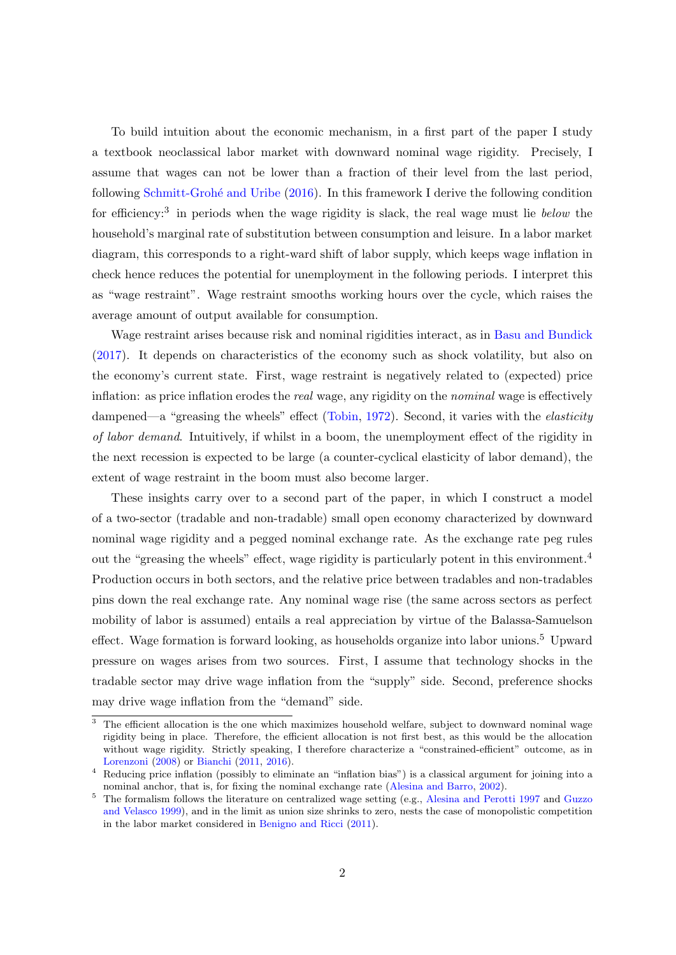To build intuition about the economic mechanism, in a first part of the paper I study a textbook neoclassical labor market with downward nominal wage rigidity. Precisely, I assume that wages can not be lower than a fraction of their level from the last period, following [Schmitt-Groh´e and Uribe](#page-35-0) [\(2016\)](#page-35-0). In this framework I derive the following condition for efficiency:<sup>[3](#page-3-0)</sup> in periods when the wage rigidity is slack, the real wage must lie below the household's marginal rate of substitution between consumption and leisure. In a labor market diagram, this corresponds to a right-ward shift of labor supply, which keeps wage inflation in check hence reduces the potential for unemployment in the following periods. I interpret this as "wage restraint". Wage restraint smooths working hours over the cycle, which raises the average amount of output available for consumption.

Wage restraint arises because risk and nominal rigidities interact, as in [Basu and Bundick](#page-32-1) [\(2017\)](#page-32-1). It depends on characteristics of the economy such as shock volatility, but also on the economy's current state. First, wage restraint is negatively related to (expected) price inflation: as price inflation erodes the *real* wage, any rigidity on the *nominal* wage is effectively dampened—a "greasing the wheels" effect [\(Tobin,](#page-35-3) [1972\)](#page-35-3). Second, it varies with the *elasticity* of labor demand. Intuitively, if whilst in a boom, the unemployment effect of the rigidity in the next recession is expected to be large (a counter-cyclical elasticity of labor demand), the extent of wage restraint in the boom must also become larger.

These insights carry over to a second part of the paper, in which I construct a model of a two-sector (tradable and non-tradable) small open economy characterized by downward nominal wage rigidity and a pegged nominal exchange rate. As the exchange rate peg rules out the "greasing the wheels" effect, wage rigidity is particularly potent in this environment.[4](#page-3-1) Production occurs in both sectors, and the relative price between tradables and non-tradables pins down the real exchange rate. Any nominal wage rise (the same across sectors as perfect mobility of labor is assumed) entails a real appreciation by virtue of the Balassa-Samuelson effect. Wage formation is forward looking, as households organize into labor unions.<sup>[5](#page-3-2)</sup> Upward pressure on wages arises from two sources. First, I assume that technology shocks in the tradable sector may drive wage inflation from the "supply" side. Second, preference shocks may drive wage inflation from the "demand" side.

<span id="page-3-0"></span><sup>&</sup>lt;sup>3</sup> The efficient allocation is the one which maximizes household welfare, subject to downward nominal wage rigidity being in place. Therefore, the efficient allocation is not first best, as this would be the allocation without wage rigidity. Strictly speaking, I therefore characterize a "constrained-efficient" outcome, as in [Lorenzoni](#page-34-3) [\(2008\)](#page-34-3) or [Bianchi](#page-33-3) [\(2011,](#page-33-3) [2016\)](#page-33-4).

<span id="page-3-1"></span><sup>4</sup> Reducing price inflation (possibly to eliminate an "inflation bias") is a classical argument for joining into a nominal anchor, that is, for fixing the nominal exchange rate [\(Alesina and Barro,](#page-32-2) [2002\)](#page-32-2).

<span id="page-3-2"></span><sup>5</sup> The formalism follows the literature on centralized wage setting (e.g., [Alesina and Perotti](#page-32-3) [1997](#page-32-3) and [Guzzo](#page-34-4) [and Velasco](#page-34-4) [1999\)](#page-34-4), and in the limit as union size shrinks to zero, nests the case of monopolistic competition in the labor market considered in [Benigno and Ricci](#page-32-4) [\(2011\)](#page-32-4).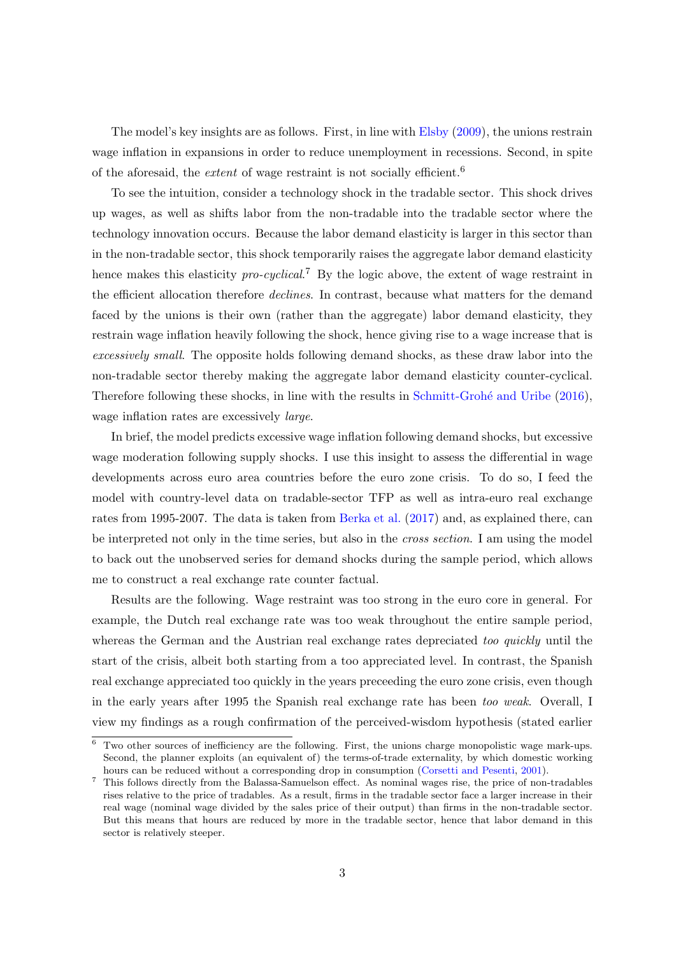The model's key insights are as follows. First, in line with [Elsby](#page-34-0) [\(2009\)](#page-34-0), the unions restrain wage inflation in expansions in order to reduce unemployment in recessions. Second, in spite of the aforesaid, the *extent* of wage restraint is not socially efficient.<sup>[6](#page-4-0)</sup>

To see the intuition, consider a technology shock in the tradable sector. This shock drives up wages, as well as shifts labor from the non-tradable into the tradable sector where the technology innovation occurs. Because the labor demand elasticity is larger in this sector than in the non-tradable sector, this shock temporarily raises the aggregate labor demand elasticity hence makes this elasticity  $pro-cyclical$ <sup>[7](#page-4-1)</sup> By the logic above, the extent of wage restraint in the efficient allocation therefore *declines*. In contrast, because what matters for the demand faced by the unions is their own (rather than the aggregate) labor demand elasticity, they restrain wage inflation heavily following the shock, hence giving rise to a wage increase that is excessively small. The opposite holds following demand shocks, as these draw labor into the non-tradable sector thereby making the aggregate labor demand elasticity counter-cyclical. Therefore following these shocks, in line with the results in Schmitt-Grohé and Uribe [\(2016\)](#page-35-0), wage inflation rates are excessively *large*.

In brief, the model predicts excessive wage inflation following demand shocks, but excessive wage moderation following supply shocks. I use this insight to assess the differential in wage developments across euro area countries before the euro zone crisis. To do so, I feed the model with country-level data on tradable-sector TFP as well as intra-euro real exchange rates from 1995-2007. The data is taken from [Berka et al.](#page-33-0) [\(2017\)](#page-33-0) and, as explained there, can be interpreted not only in the time series, but also in the cross section. I am using the model to back out the unobserved series for demand shocks during the sample period, which allows me to construct a real exchange rate counter factual.

Results are the following. Wage restraint was too strong in the euro core in general. For example, the Dutch real exchange rate was too weak throughout the entire sample period, whereas the German and the Austrian real exchange rates depreciated too quickly until the start of the crisis, albeit both starting from a too appreciated level. In contrast, the Spanish real exchange appreciated too quickly in the years preceeding the euro zone crisis, even though in the early years after 1995 the Spanish real exchange rate has been too weak. Overall, I view my findings as a rough confirmation of the perceived-wisdom hypothesis (stated earlier

<span id="page-4-0"></span> $6$  Two other sources of inefficiency are the following. First, the unions charge monopolistic wage mark-ups. Second, the planner exploits (an equivalent of) the terms-of-trade externality, by which domestic working hours can be reduced without a corresponding drop in consumption [\(Corsetti and Pesenti,](#page-33-5) [2001\)](#page-33-5).

<span id="page-4-1"></span><sup>7</sup> This follows directly from the Balassa-Samuelson effect. As nominal wages rise, the price of non-tradables rises relative to the price of tradables. As a result, firms in the tradable sector face a larger increase in their real wage (nominal wage divided by the sales price of their output) than firms in the non-tradable sector. But this means that hours are reduced by more in the tradable sector, hence that labor demand in this sector is relatively steeper.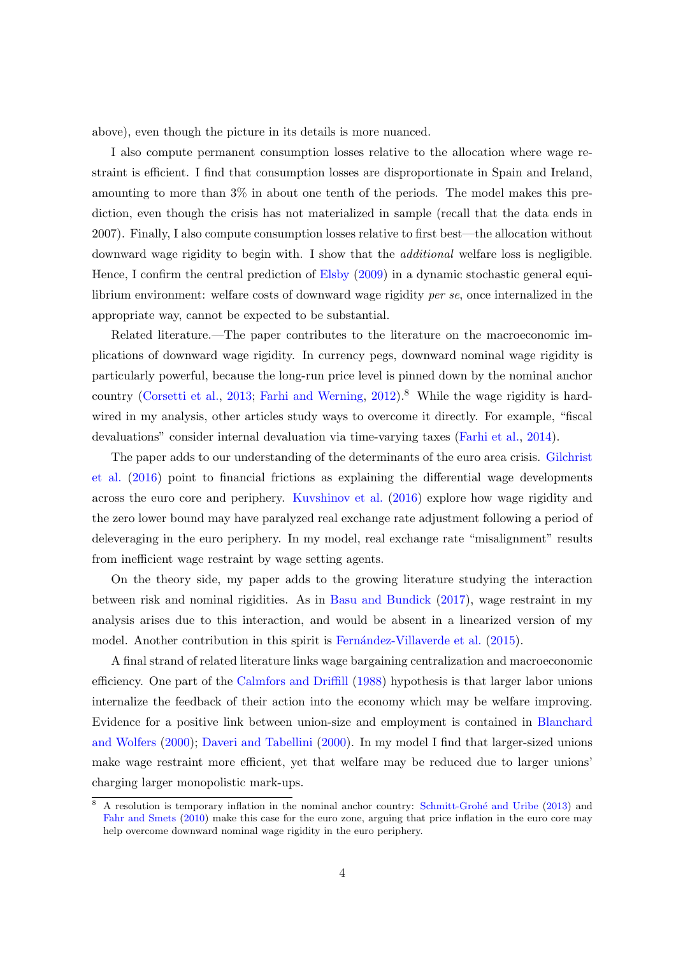above), even though the picture in its details is more nuanced.

I also compute permanent consumption losses relative to the allocation where wage restraint is efficient. I find that consumption losses are disproportionate in Spain and Ireland, amounting to more than 3% in about one tenth of the periods. The model makes this prediction, even though the crisis has not materialized in sample (recall that the data ends in 2007). Finally, I also compute consumption losses relative to first best—the allocation without downward wage rigidity to begin with. I show that the *additional* welfare loss is negligible. Hence, I confirm the central prediction of [Elsby](#page-34-0) [\(2009\)](#page-34-0) in a dynamic stochastic general equilibrium environment: welfare costs of downward wage rigidity per se, once internalized in the appropriate way, cannot be expected to be substantial.

Related literature.—The paper contributes to the literature on the macroeconomic implications of downward wage rigidity. In currency pegs, downward nominal wage rigidity is particularly powerful, because the long-run price level is pinned down by the nominal anchor country [\(Corsetti et al.,](#page-33-6) [2013;](#page-33-6) [Farhi and Werning,](#page-34-5) [2012\)](#page-34-5).<sup>[8](#page-5-0)</sup> While the wage rigidity is hardwired in my analysis, other articles study ways to overcome it directly. For example, "fiscal devaluations" consider internal devaluation via time-varying taxes [\(Farhi et al.,](#page-34-6) [2014\)](#page-34-6).

The paper adds to our understanding of the determinants of the euro area crisis. [Gilchrist](#page-34-2) [et al.](#page-34-2) [\(2016\)](#page-34-2) point to financial frictions as explaining the differential wage developments across the euro core and periphery. [Kuvshinov et al.](#page-34-1) [\(2016\)](#page-34-1) explore how wage rigidity and the zero lower bound may have paralyzed real exchange rate adjustment following a period of deleveraging in the euro periphery. In my model, real exchange rate "misalignment" results from inefficient wage restraint by wage setting agents.

On the theory side, my paper adds to the growing literature studying the interaction between risk and nominal rigidities. As in [Basu and Bundick](#page-32-1) [\(2017\)](#page-32-1), wage restraint in my analysis arises due to this interaction, and would be absent in a linearized version of my model. Another contribution in this spirit is Fernández-Villaverde et al. [\(2015\)](#page-34-7).

A final strand of related literature links wage bargaining centralization and macroeconomic efficiency. One part of the [Calmfors and Driffill](#page-33-7) [\(1988\)](#page-33-7) hypothesis is that larger labor unions internalize the feedback of their action into the economy which may be welfare improving. Evidence for a positive link between union-size and employment is contained in [Blanchard](#page-33-8) [and Wolfers](#page-33-8) [\(2000\)](#page-33-8); [Daveri and Tabellini](#page-33-9) [\(2000\)](#page-33-9). In my model I find that larger-sized unions make wage restraint more efficient, yet that welfare may be reduced due to larger unions' charging larger monopolistic mark-ups.

<span id="page-5-0"></span><sup>8</sup> A resolution is temporary inflation in the nominal anchor country: [Schmitt-Groh´e and Uribe](#page-35-4) [\(2013\)](#page-35-4) and [Fahr and Smets](#page-34-8) [\(2010\)](#page-34-8) make this case for the euro zone, arguing that price inflation in the euro core may help overcome downward nominal wage rigidity in the euro periphery.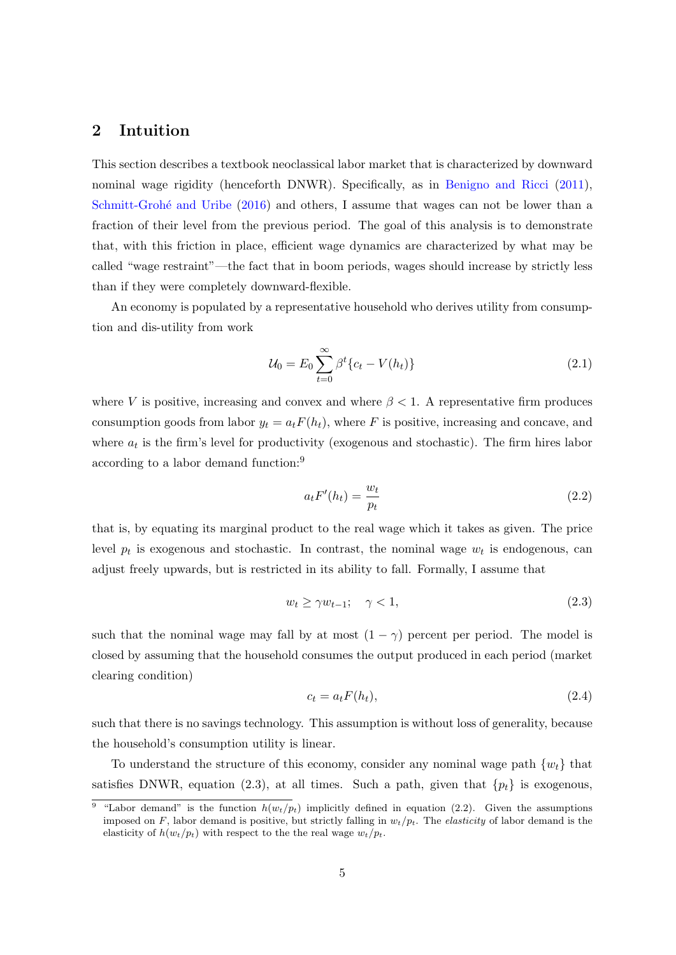## <span id="page-6-5"></span>2 Intuition

This section describes a textbook neoclassical labor market that is characterized by downward nominal wage rigidity (henceforth DNWR). Specifically, as in [Benigno and Ricci](#page-32-4) [\(2011\)](#page-32-4), Schmitt-Grohé and Uribe [\(2016\)](#page-35-0) and others, I assume that wages can not be lower than a fraction of their level from the previous period. The goal of this analysis is to demonstrate that, with this friction in place, efficient wage dynamics are characterized by what may be called "wage restraint"—the fact that in boom periods, wages should increase by strictly less than if they were completely downward-flexible.

An economy is populated by a representative household who derives utility from consumption and dis-utility from work

<span id="page-6-4"></span>
$$
\mathcal{U}_0 = E_0 \sum_{t=0}^{\infty} \beta^t \{c_t - V(h_t)\}\tag{2.1}
$$

where V is positive, increasing and convex and where  $\beta < 1$ . A representative firm produces consumption goods from labor  $y_t = a_t F(h_t)$ , where F is positive, increasing and concave, and where  $a_t$  is the firm's level for productivity (exogenous and stochastic). The firm hires labor according to a labor demand function:[9](#page-6-0)

<span id="page-6-2"></span>
$$
a_t F'(h_t) = \frac{w_t}{p_t} \tag{2.2}
$$

that is, by equating its marginal product to the real wage which it takes as given. The price level  $p_t$  is exogenous and stochastic. In contrast, the nominal wage  $w_t$  is endogenous, can adjust freely upwards, but is restricted in its ability to fall. Formally, I assume that

<span id="page-6-1"></span>
$$
w_t \ge \gamma w_{t-1}; \quad \gamma < 1,\tag{2.3}
$$

such that the nominal wage may fall by at most  $(1 - \gamma)$  percent per period. The model is closed by assuming that the household consumes the output produced in each period (market clearing condition)

<span id="page-6-3"></span>
$$
c_t = a_t F(h_t), \tag{2.4}
$$

such that there is no savings technology. This assumption is without loss of generality, because the household's consumption utility is linear.

To understand the structure of this economy, consider any nominal wage path  $\{w_t\}$  that satisfies DNWR, equation [\(2.3\)](#page-6-1), at all times. Such a path, given that  $\{p_t\}$  is exogenous,

<span id="page-6-0"></span><sup>&</sup>lt;sup>9</sup> "Labor demand" is the function  $h(w_t/p_t)$  implicitly defined in equation [\(2.2\)](#page-6-2). Given the assumptions imposed on F, labor demand is positive, but strictly falling in  $w_t/p_t$ . The *elasticity* of labor demand is the elasticity of  $h(w_t/p_t)$  with respect to the the real wage  $w_t/p_t$ .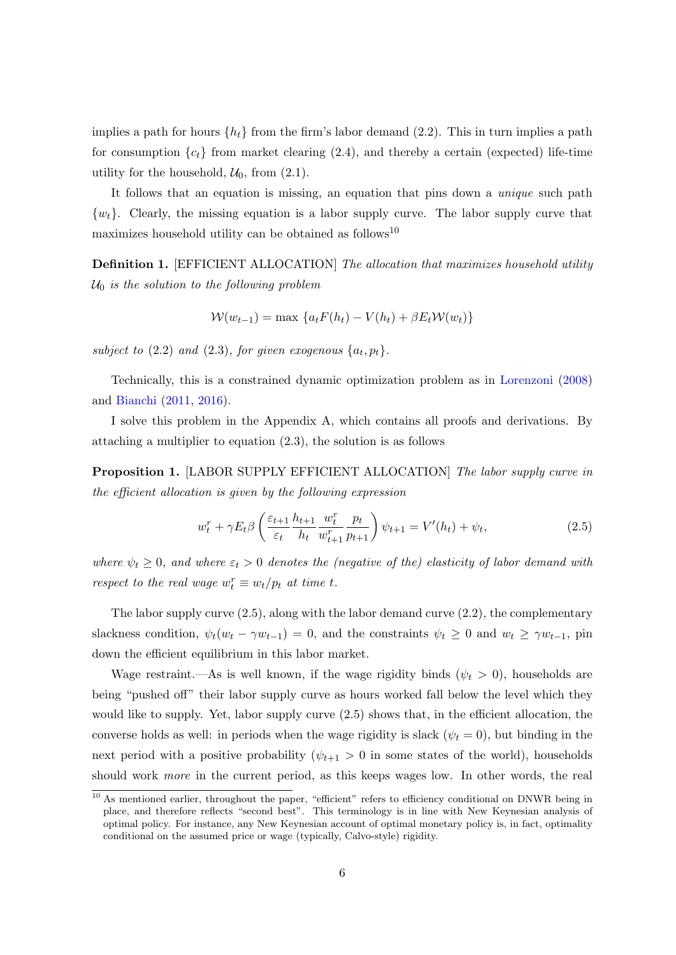implies a path for hours  $\{h_t\}$  from the firm's labor demand [\(2.2\)](#page-6-2). This in turn implies a path for consumption  ${c_t}$  from market clearing [\(2.4\)](#page-6-3), and thereby a certain (expected) life-time utility for the household,  $\mathcal{U}_0$ , from  $(2.1)$ .

It follows that an equation is missing, an equation that pins down a unique such path  $\{w_t\}$ . Clearly, the missing equation is a labor supply curve. The labor supply curve that maximizes household utility can be obtained as follows<sup>[10](#page-7-0)</sup>

<span id="page-7-2"></span>**Definition 1.** [EFFICIENT ALLOCATION] The allocation that maximizes household utility  $U_0$  is the solution to the following problem

$$
W(w_{t-1}) = \max \left\{ a_t F(h_t) - V(h_t) + \beta E_t W(w_t) \right\}
$$

subject to  $(2.2)$  and  $(2.3)$ , for given exogenous  $\{a_t, p_t\}.$ 

Technically, this is a constrained dynamic optimization problem as in [Lorenzoni](#page-34-3) [\(2008\)](#page-34-3) and [Bianchi](#page-33-3) [\(2011,](#page-33-3) [2016\)](#page-33-4).

I solve this problem in the Appendix [A,](#page-36-0) which contains all proofs and derivations. By attaching a multiplier to equation [\(2.3\)](#page-6-1), the solution is as follows

<span id="page-7-3"></span>**Proposition 1.** [LABOR SUPPLY EFFICIENT ALLOCATION] The labor supply curve in the efficient allocation is given by the following expression

<span id="page-7-1"></span>
$$
w_t^r + \gamma E_t \beta \left(\frac{\varepsilon_{t+1}}{\varepsilon_t} \frac{h_{t+1}}{h_t} \frac{w_t^r}{w_{t+1}^r} \frac{p_t}{p_{t+1}}\right) \psi_{t+1} = V'(h_t) + \psi_t,
$$
\n(2.5)

where  $\psi_t \geq 0$ , and where  $\varepsilon_t > 0$  denotes the (negative of the) elasticity of labor demand with respect to the real wage  $w_t^r \equiv w_t/p_t$  at time t.

The labor supply curve  $(2.5)$ , along with the labor demand curve  $(2.2)$ , the complementary slackness condition,  $\psi_t(w_t - \gamma w_{t-1}) = 0$ , and the constraints  $\psi_t \geq 0$  and  $w_t \geq \gamma w_{t-1}$ , pin down the efficient equilibrium in this labor market.

Wage restraint.—As is well known, if the wage rigidity binds  $(\psi_t > 0)$ , households are being "pushed off" their labor supply curve as hours worked fall below the level which they would like to supply. Yet, labor supply curve [\(2.5\)](#page-7-1) shows that, in the efficient allocation, the converse holds as well: in periods when the wage rigidity is slack  $(\psi_t = 0)$ , but binding in the next period with a positive probability  $(\psi_{t+1} > 0$  in some states of the world), households should work more in the current period, as this keeps wages low. In other words, the real

<span id="page-7-0"></span><sup>&</sup>lt;sup>10</sup> As mentioned earlier, throughout the paper, "efficient" refers to efficiency conditional on DNWR being in place, and therefore reflects "second best". This terminology is in line with New Keynesian analysis of optimal policy. For instance, any New Keynesian account of optimal monetary policy is, in fact, optimality conditional on the assumed price or wage (typically, Calvo-style) rigidity.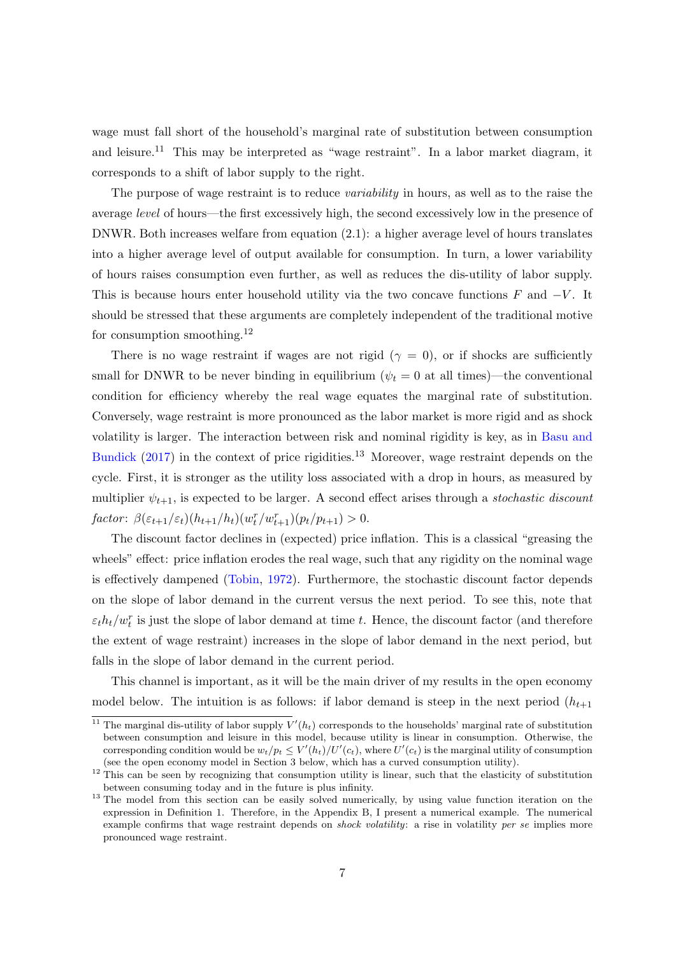wage must fall short of the household's marginal rate of substitution between consumption and leisure.<sup>[11](#page-8-0)</sup> This may be interpreted as "wage restraint". In a labor market diagram, it corresponds to a shift of labor supply to the right.

The purpose of wage restraint is to reduce *variability* in hours, as well as to the raise the average level of hours—the first excessively high, the second excessively low in the presence of DNWR. Both increases welfare from equation [\(2.1\)](#page-6-4): a higher average level of hours translates into a higher average level of output available for consumption. In turn, a lower variability of hours raises consumption even further, as well as reduces the dis-utility of labor supply. This is because hours enter household utility via the two concave functions  $F$  and  $-V$ . It should be stressed that these arguments are completely independent of the traditional motive for consumption smoothing.[12](#page-8-1)

There is no wage restraint if wages are not rigid  $(\gamma = 0)$ , or if shocks are sufficiently small for DNWR to be never binding in equilibrium ( $\psi_t = 0$  at all times)—the conventional condition for efficiency whereby the real wage equates the marginal rate of substitution. Conversely, wage restraint is more pronounced as the labor market is more rigid and as shock volatility is larger. The interaction between risk and nominal rigidity is key, as in [Basu and](#page-32-1) [Bundick](#page-32-1)  $(2017)$  in the context of price rigidities.<sup>[13](#page-8-2)</sup> Moreover, wage restraint depends on the cycle. First, it is stronger as the utility loss associated with a drop in hours, as measured by multiplier  $\psi_{t+1}$ , is expected to be larger. A second effect arises through a stochastic discount factor:  $\beta(\varepsilon_{t+1}/\varepsilon_t)(h_{t+1}/h_t)(w_t^r/w_{t+1}^r)(p_t/p_{t+1}) > 0.$ 

The discount factor declines in (expected) price inflation. This is a classical "greasing the wheels" effect: price inflation erodes the real wage, such that any rigidity on the nominal wage is effectively dampened [\(Tobin,](#page-35-3) [1972\)](#page-35-3). Furthermore, the stochastic discount factor depends on the slope of labor demand in the current versus the next period. To see this, note that  $\varepsilon_t h_t/w_t^r$  is just the slope of labor demand at time t. Hence, the discount factor (and therefore the extent of wage restraint) increases in the slope of labor demand in the next period, but falls in the slope of labor demand in the current period.

This channel is important, as it will be the main driver of my results in the open economy model below. The intuition is as follows: if labor demand is steep in the next period  $(h_{t+1})$ 

<span id="page-8-0"></span><sup>&</sup>lt;sup>11</sup> The marginal dis-utility of labor supply  $V'(h_t)$  corresponds to the households' marginal rate of substitution between consumption and leisure in this model, because utility is linear in consumption. Otherwise, the corresponding condition would be  $w_t/p_t \leq V'(h_t)/U'(c_t)$ , where  $U'(c_t)$  is the marginal utility of consumption (see the open economy model in Section [3](#page-9-0) below, which has a curved consumption utility).

<span id="page-8-1"></span><sup>&</sup>lt;sup>12</sup> This can be seen by recognizing that consumption utility is linear, such that the elasticity of substitution between consuming today and in the future is plus infinity.

<span id="page-8-2"></span><sup>&</sup>lt;sup>13</sup> The model from this section can be easily solved numerically, by using value function iteration on the expression in Definition [1.](#page-7-2) Therefore, in the Appendix [B,](#page-44-0) I present a numerical example. The numerical example confirms that wage restraint depends on *shock volatility*: a rise in volatility per se implies more pronounced wage restraint.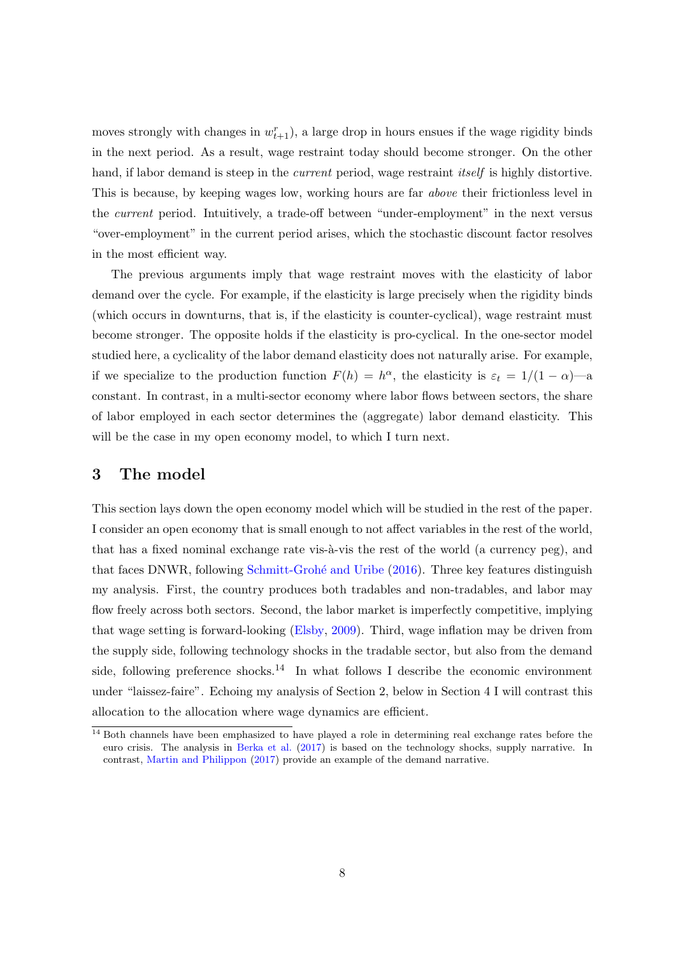moves strongly with changes in  $w_{t+1}^r$ , a large drop in hours ensues if the wage rigidity binds in the next period. As a result, wage restraint today should become stronger. On the other hand, if labor demand is steep in the *current* period, wage restraint *itself* is highly distortive. This is because, by keeping wages low, working hours are far above their frictionless level in the current period. Intuitively, a trade-off between "under-employment" in the next versus "over-employment" in the current period arises, which the stochastic discount factor resolves in the most efficient way.

The previous arguments imply that wage restraint moves with the elasticity of labor demand over the cycle. For example, if the elasticity is large precisely when the rigidity binds (which occurs in downturns, that is, if the elasticity is counter-cyclical), wage restraint must become stronger. The opposite holds if the elasticity is pro-cyclical. In the one-sector model studied here, a cyclicality of the labor demand elasticity does not naturally arise. For example, if we specialize to the production function  $F(h) = h^{\alpha}$ , the elasticity is  $\varepsilon_t = 1/(1 - \alpha)$ —a constant. In contrast, in a multi-sector economy where labor flows between sectors, the share of labor employed in each sector determines the (aggregate) labor demand elasticity. This will be the case in my open economy model, to which I turn next.

## <span id="page-9-0"></span>3 The model

This section lays down the open economy model which will be studied in the rest of the paper. I consider an open economy that is small enough to not affect variables in the rest of the world, that has a fixed nominal exchange rate vis- $\lambda$ -vis the rest of the world (a currency peg), and that faces DNWR, following Schmitt-Grohé and Uribe [\(2016\)](#page-35-0). Three key features distinguish my analysis. First, the country produces both tradables and non-tradables, and labor may flow freely across both sectors. Second, the labor market is imperfectly competitive, implying that wage setting is forward-looking [\(Elsby,](#page-34-0) [2009\)](#page-34-0). Third, wage inflation may be driven from the supply side, following technology shocks in the tradable sector, but also from the demand side, following preference shocks.<sup>[14](#page-9-1)</sup> In what follows I describe the economic environment under "laissez-faire". Echoing my analysis of Section [2,](#page-6-5) below in Section [4](#page-14-0) I will contrast this allocation to the allocation where wage dynamics are efficient.

<span id="page-9-1"></span><sup>&</sup>lt;sup>14</sup> Both channels have been emphasized to have played a role in determining real exchange rates before the euro crisis. The analysis in [Berka et al.](#page-33-0) [\(2017\)](#page-33-0) is based on the technology shocks, supply narrative. In contrast, [Martin and Philippon](#page-35-5) [\(2017\)](#page-35-5) provide an example of the demand narrative.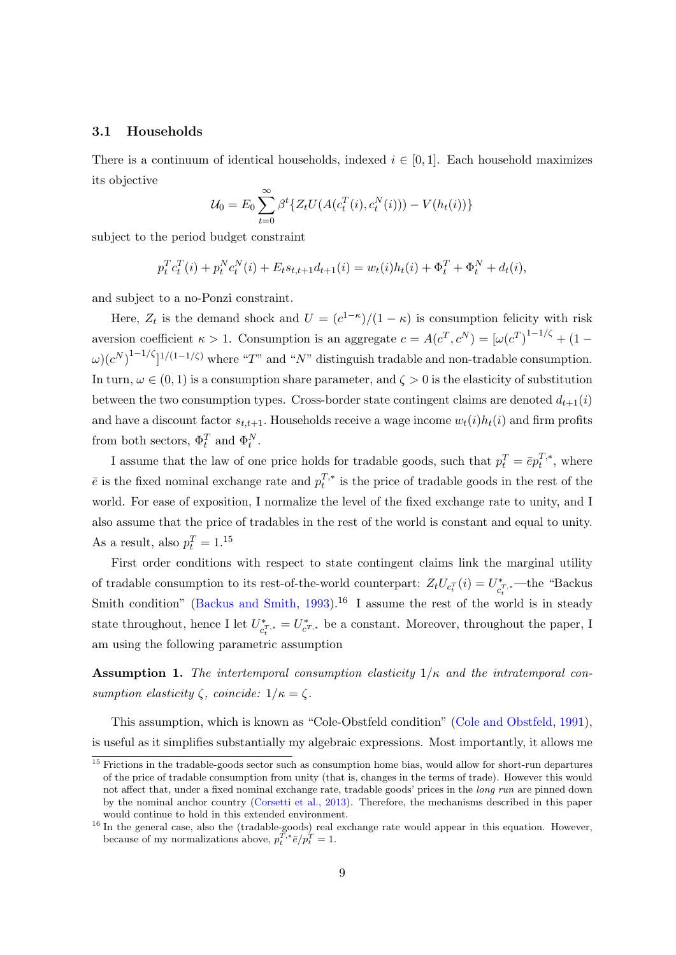#### 3.1 Households

There is a continuum of identical households, indexed  $i \in [0,1]$ . Each household maximizes its objective

$$
U_0 = E_0 \sum_{t=0}^{\infty} \beta^t \{ Z_t U(A(c_t^T(i), c_t^N(i))) - V(h_t(i)) \}
$$

subject to the period budget constraint

$$
p_t^T c_t^T(i) + p_t^N c_t^N(i) + E_t s_{t,t+1} d_{t+1}(i) = w_t(i) h_t(i) + \Phi_t^T + \Phi_t^N + d_t(i),
$$

and subject to a no-Ponzi constraint.

Here,  $Z_t$  is the demand shock and  $U = (c^{1-\kappa})/(1-\kappa)$  is consumption felicity with risk aversion coefficient  $\kappa > 1$ . Consumption is an aggregate  $c = A(c^T, c^N) = [\omega(c^T)^{1-1/\zeta} + (1-\zeta(c^T) + c^T)]$  $\omega$ ) $(c^N)^{1-1/\zeta}$ <sup>1/(1-1/ $\zeta$ ) where "T" and "N" distinguish tradable and non-tradable consumption.</sup> In turn,  $\omega \in (0,1)$  is a consumption share parameter, and  $\zeta > 0$  is the elasticity of substitution between the two consumption types. Cross-border state contingent claims are denoted  $d_{t+1}(i)$ and have a discount factor  $s_{t,t+1}$ . Households receive a wage income  $w_t(i)h_t(i)$  and firm profits from both sectors,  $\Phi_t^T$  and  $\Phi_t^N$ .

I assume that the law of one price holds for tradable goods, such that  $p_t^T = \bar{e}p_t^{T,*}$  $t^{I,*}$ , where  $\bar{e}$  is the fixed nominal exchange rate and  $p_t^{T,*}$  $t^{I,*}$  is the price of tradable goods in the rest of the world. For ease of exposition, I normalize the level of the fixed exchange rate to unity, and I also assume that the price of tradables in the rest of the world is constant and equal to unity. As a result, also  $p_t^T = 1.15$  $p_t^T = 1.15$ 

First order conditions with respect to state contingent claims link the marginal utility of tradable consumption to its rest-of-the-world counterpart:  $Z_t U_{c_t^T}(i) = U_{c_t}^*$  $\mathcal{C}^{\ast}_{t}$ <sup>T</sup>,\* —the "Backus" Smith condition" [\(Backus and Smith,](#page-32-5) [1993\)](#page-32-5).<sup>[16](#page-10-1)</sup> I assume the rest of the world is in steady state throughout, hence I let  $U^*_{\mathcal{L}}$  $\epsilon_{c_t^{T,*}}^* = U_{c_{t}^{T,*}}^*$  be a constant. Moreover, throughout the paper, I am using the following parametric assumption

<span id="page-10-2"></span>**Assumption 1.** The intertemporal consumption elasticity  $1/\kappa$  and the intratemporal consumption elasticity  $\zeta$ , coincide:  $1/\kappa = \zeta$ .

This assumption, which is known as "Cole-Obstfeld condition" [\(Cole and Obstfeld,](#page-33-10) [1991\)](#page-33-10), is useful as it simplifies substantially my algebraic expressions. Most importantly, it allows me

<span id="page-10-0"></span> $\frac{15}{15}$  Frictions in the tradable-goods sector such as consumption home bias, would allow for short-run departures of the price of tradable consumption from unity (that is, changes in the terms of trade). However this would not affect that, under a fixed nominal exchange rate, tradable goods' prices in the *long run* are pinned down by the nominal anchor country [\(Corsetti et al.,](#page-33-6) [2013\)](#page-33-6). Therefore, the mechanisms described in this paper would continue to hold in this extended environment.

<span id="page-10-1"></span><sup>&</sup>lt;sup>16</sup> In the general case, also the (tradable-goods) real exchange rate would appear in this equation. However, because of my normalizations above,  $p_t^{T,*} \bar{e}/p_t^T = 1$ .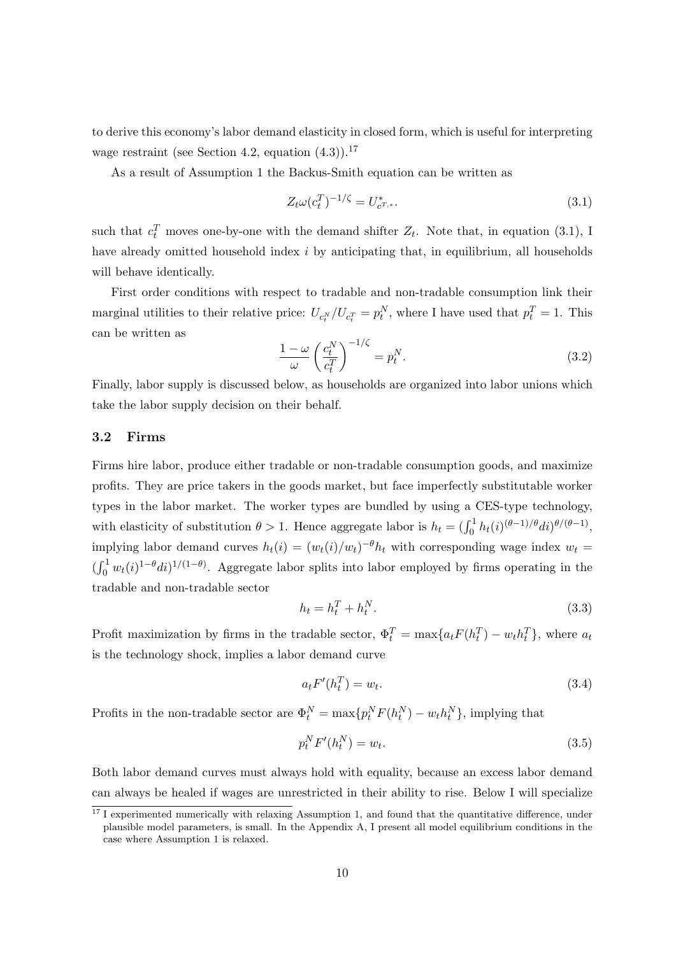to derive this economy's labor demand elasticity in closed form, which is useful for interpreting wage restraint (see Section [4.2,](#page-15-0) equation  $(4.3)$ ).<sup>[17](#page-11-0)</sup>

As a result of Assumption [1](#page-10-2) the Backus-Smith equation can be written as

<span id="page-11-1"></span>
$$
Z_t \omega (c_t^T)^{-1/\zeta} = U_{c^{T,*}}^*.
$$
\n(3.1)

such that  $c_t^T$  moves one-by-one with the demand shifter  $Z_t$ . Note that, in equation [\(3.1\)](#page-11-1), I have already omitted household index i by anticipating that, in equilibrium, all households will behave identically.

First order conditions with respect to tradable and non-tradable consumption link their marginal utilities to their relative price:  $U_{c_t^N}/U_{c_t^T} = p_t^N$ , where I have used that  $p_t^T = 1$ . This can be written as

<span id="page-11-2"></span>
$$
\frac{1-\omega}{\omega} \left(\frac{c_t^N}{c_t^T}\right)^{-1/\zeta} = p_t^N.
$$
\n(3.2)

Finally, labor supply is discussed below, as households are organized into labor unions which take the labor supply decision on their behalf.

#### 3.2 Firms

Firms hire labor, produce either tradable or non-tradable consumption goods, and maximize profits. They are price takers in the goods market, but face imperfectly substitutable worker types in the labor market. The worker types are bundled by using a CES-type technology, with elasticity of substitution  $\theta > 1$ . Hence aggregate labor is  $h_t = (\int_0^1 h_t(i)^{(\theta-1)/\theta} di)^{\theta/(\theta-1)}$ , implying labor demand curves  $h_t(i) = (w_t(i)/w_t)^{-\theta} h_t$  with corresponding wage index  $w_t =$  $(\int_0^1 w_t(i)^{1-\theta} di)^{1/(1-\theta)}$ . Aggregate labor splits into labor employed by firms operating in the tradable and non-tradable sector

$$
h_t = h_t^T + h_t^N. \tag{3.3}
$$

Profit maximization by firms in the tradable sector,  $\Phi_t^T = \max\{a_t F(h_t^T) - w_t h_t^T\}$ , where  $a_t$ is the technology shock, implies a labor demand curve

<span id="page-11-4"></span>
$$
a_t F'(h_t^T) = w_t. \tag{3.4}
$$

Profits in the non-tradable sector are  $\Phi_t^N = \max\{p_t^N F(h_t^N) - w_t h_t^N\}$ , implying that

<span id="page-11-3"></span>
$$
p_t^N F'(h_t^N) = w_t. \tag{3.5}
$$

Both labor demand curves must always hold with equality, because an excess labor demand can always be healed if wages are unrestricted in their ability to rise. Below I will specialize

<span id="page-11-0"></span> $17$  I experimented numerically with relaxing Assumption [1,](#page-10-2) and found that the quantitative difference, under plausible model parameters, is small. In the Appendix [A,](#page-36-0) I present all model equilibrium conditions in the case where Assumption [1](#page-10-2) is relaxed.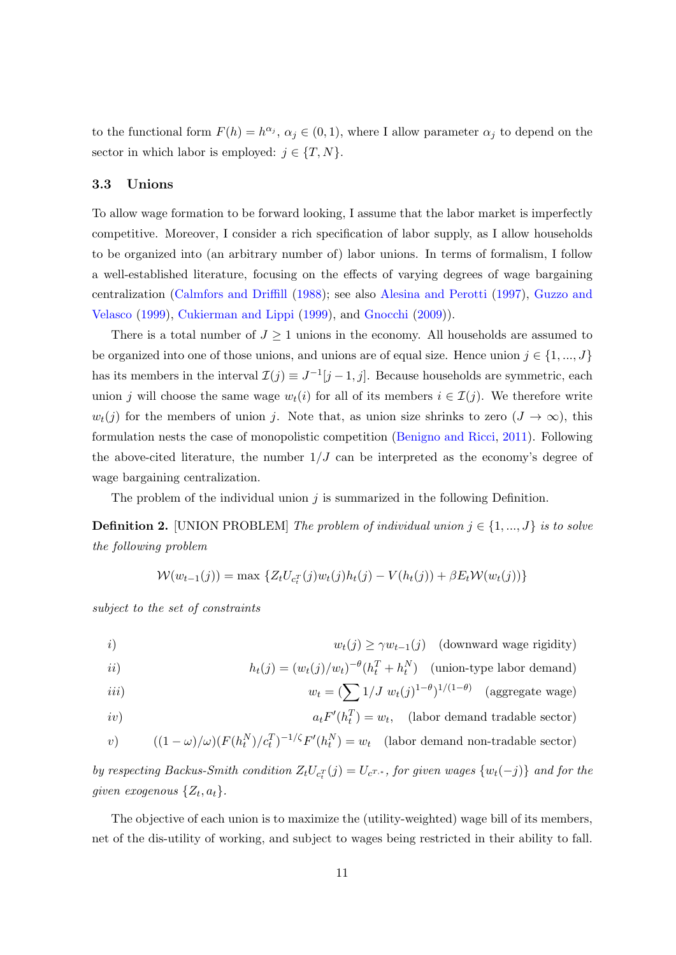to the functional form  $F(h) = h^{\alpha_j}, \alpha_j \in (0,1)$ , where I allow parameter  $\alpha_j$  to depend on the sector in which labor is employed:  $j \in \{T, N\}.$ 

#### <span id="page-12-1"></span>3.3 Unions

To allow wage formation to be forward looking, I assume that the labor market is imperfectly competitive. Moreover, I consider a rich specification of labor supply, as I allow households to be organized into (an arbitrary number of) labor unions. In terms of formalism, I follow a well-established literature, focusing on the effects of varying degrees of wage bargaining centralization [\(Calmfors and Driffill](#page-33-7) [\(1988\)](#page-33-7); see also [Alesina and Perotti](#page-32-3) [\(1997\)](#page-32-3), [Guzzo and](#page-34-4) [Velasco](#page-34-4) [\(1999\)](#page-34-4), [Cukierman and Lippi](#page-33-11) [\(1999\)](#page-33-11), and [Gnocchi](#page-34-9) [\(2009\)](#page-34-9)).

There is a total number of  $J \geq 1$  unions in the economy. All households are assumed to be organized into one of those unions, and unions are of equal size. Hence union  $j \in \{1, ..., J\}$ has its members in the interval  $\mathcal{I}(j) \equiv J^{-1}[j-1,j]$ . Because households are symmetric, each union j will choose the same wage  $w_t(i)$  for all of its members  $i \in \mathcal{I}(j)$ . We therefore write  $w_t(j)$  for the members of union j. Note that, as union size shrinks to zero  $(J \to \infty)$ , this formulation nests the case of monopolistic competition [\(Benigno and Ricci,](#page-32-4) [2011\)](#page-32-4). Following the above-cited literature, the number  $1/J$  can be interpreted as the economy's degree of wage bargaining centralization.

The problem of the individual union  $j$  is summarized in the following Definition.

<span id="page-12-0"></span>**Definition 2.** [UNION PROBLEM] The problem of individual union  $j \in \{1, ..., J\}$  is to solve the following problem

$$
W(w_{t-1}(j)) = \max \{Z_t U_{c_t}^{-1}(j) w_t(j) h_t(j) - V(h_t(j)) + \beta E_t W(w_t(j))\}
$$

subject to the set of constraints

*i*) 
$$
w_t(j) \ge \gamma w_{t-1}(j) \quad \text{(downward wage rigidity)}
$$

$$
i(j) \qquad h_t(j) = (w_t(j)/w_t)^{-\theta} (h_t^T + h_t^N) \quad \text{(union-type labor demand)}
$$

$$
w_t = \left(\sum 1/J \ w_t(j)^{1-\theta}\right)^{1/(1-\theta)} \quad \text{(aggregate wage)}
$$

$$
iv)
$$
  $a_t F'(h_t^T) = w_t$ , (labor demand tradable sector)

v) 
$$
((1 - \omega)/\omega)(F(h_t^N)/c_t^T)^{-1/\zeta}F'(h_t^N) = w_t
$$
 (labor demand non-tradable sector)

by respecting Backus-Smith condition  $Z_t U_{c_t}^{-r}(j) = U_{c^{T,*}}$ , for given wages  $\{w_t(-j)\}$  and for the given exogenous  $\{Z_t, a_t\}.$ 

The objective of each union is to maximize the (utility-weighted) wage bill of its members, net of the dis-utility of working, and subject to wages being restricted in their ability to fall.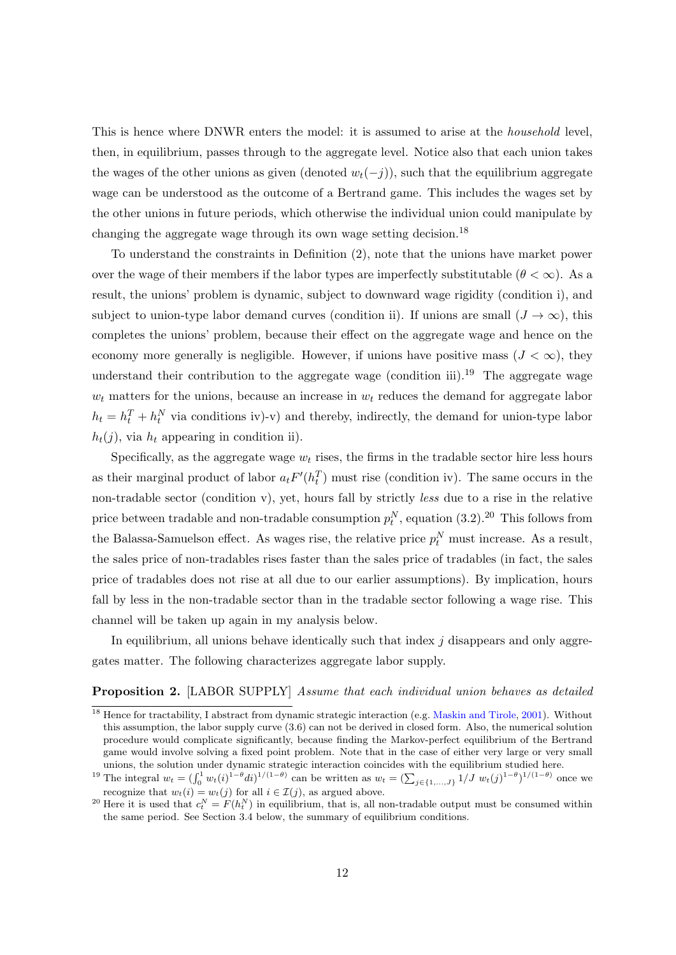This is hence where DNWR enters the model: it is assumed to arise at the household level, then, in equilibrium, passes through to the aggregate level. Notice also that each union takes the wages of the other unions as given (denoted  $w_t(-j)$ ), such that the equilibrium aggregate wage can be understood as the outcome of a Bertrand game. This includes the wages set by the other unions in future periods, which otherwise the individual union could manipulate by changing the aggregate wage through its own wage setting decision.<sup>[18](#page-13-0)</sup>

To understand the constraints in Definition [\(2\)](#page-12-0), note that the unions have market power over the wage of their members if the labor types are imperfectly substitutable  $(\theta < \infty)$ . As a result, the unions' problem is dynamic, subject to downward wage rigidity (condition i), and subject to union-type labor demand curves (condition ii). If unions are small  $(J \to \infty)$ , this completes the unions' problem, because their effect on the aggregate wage and hence on the economy more generally is negligible. However, if unions have positive mass  $(J < \infty)$ , they understand their contribution to the aggregate wage (condition iii).<sup>[19](#page-13-1)</sup> The aggregate wage  $w_t$  matters for the unions, because an increase in  $w_t$  reduces the demand for aggregate labor  $h_t = h_t^T + h_t^N$  via conditions iv)-v) and thereby, indirectly, the demand for union-type labor  $h_t(j)$ , via  $h_t$  appearing in condition ii).

Specifically, as the aggregate wage  $w_t$  rises, the firms in the tradable sector hire less hours as their marginal product of labor  $a_t F'(h_t^T)$  must rise (condition iv). The same occurs in the non-tradable sector (condition v), yet, hours fall by strictly less due to a rise in the relative price between tradable and non-tradable consumption  $p_t^N$ , equation [\(3.2\)](#page-11-2).<sup>[20](#page-13-2)</sup> This follows from the Balassa-Samuelson effect. As wages rise, the relative price  $p_t^N$  must increase. As a result, the sales price of non-tradables rises faster than the sales price of tradables (in fact, the sales price of tradables does not rise at all due to our earlier assumptions). By implication, hours fall by less in the non-tradable sector than in the tradable sector following a wage rise. This channel will be taken up again in my analysis below.

In equilibrium, all unions behave identically such that index  $j$  disappears and only aggregates matter. The following characterizes aggregate labor supply.

#### <span id="page-13-3"></span>**Proposition 2.** [LABOR SUPPLY] Assume that each individual union behaves as detailed

<span id="page-13-0"></span><sup>&</sup>lt;sup>18</sup> Hence for tractability, I abstract from dynamic strategic interaction (e.g. [Maskin and Tirole,](#page-35-6) [2001\)](#page-35-6). Without this assumption, the labor supply curve [\(3.6\)](#page-14-1) can not be derived in closed form. Also, the numerical solution procedure would complicate significantly, because finding the Markov-perfect equilibrium of the Bertrand game would involve solving a fixed point problem. Note that in the case of either very large or very small unions, the solution under dynamic strategic interaction coincides with the equilibrium studied here.

<span id="page-13-1"></span><sup>&</sup>lt;sup>19</sup> The integral  $w_t = (\int_0^1 w_t(i)^{1-\theta} di)^{1/(1-\theta)}$  can be written as  $w_t = (\sum_{j \in \{1,...,J\}} 1/J \; w_t(j)^{1-\theta})^{1/(1-\theta)}$  once we recognize that  $w_t(i) = w_t(j)$  for all  $i \in \mathcal{I}(j)$ , as argued above.

<span id="page-13-2"></span><sup>&</sup>lt;sup>20</sup> Here it is used that  $c_t^N = F(h_t^N)$  in equilibrium, that is, all non-tradable output must be consumed within the same period. See Section [3.4](#page-14-2) below, the summary of equilibrium conditions.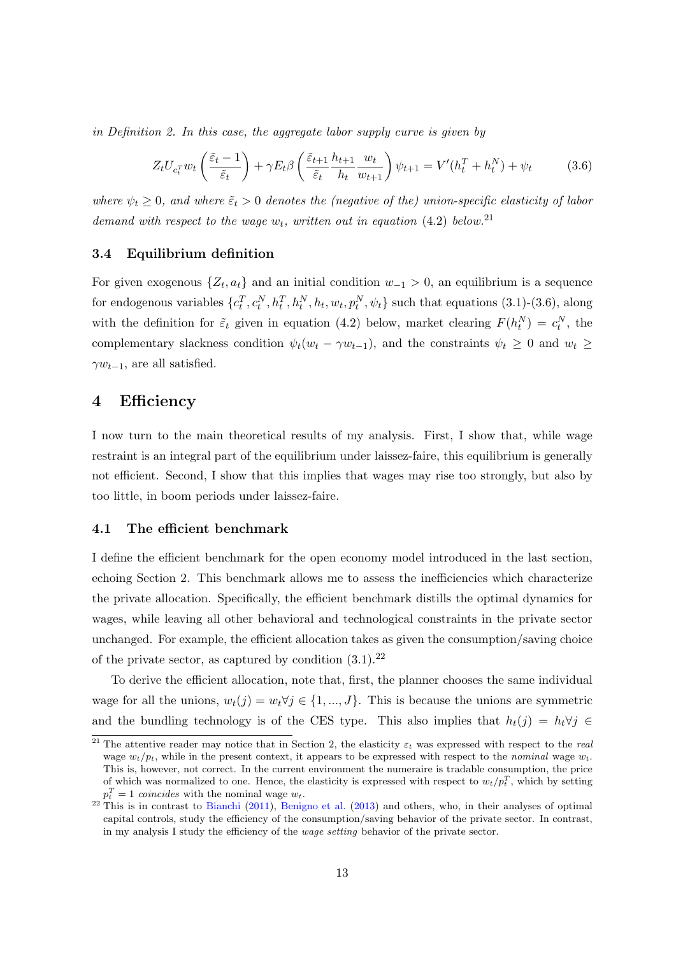in Definition [2.](#page-12-0) In this case, the aggregate labor supply curve is given by

<span id="page-14-1"></span>
$$
Z_t U_{c_t^T} w_t \left( \frac{\tilde{\varepsilon}_t - 1}{\tilde{\varepsilon}_t} \right) + \gamma E_t \beta \left( \frac{\tilde{\varepsilon}_{t+1}}{\tilde{\varepsilon}_t} \frac{h_{t+1}}{h_t} \frac{w_t}{w_{t+1}} \right) \psi_{t+1} = V'(h_t^T + h_t^N) + \psi_t \tag{3.6}
$$

where  $\psi_t \geq 0$ , and where  $\tilde{\varepsilon}_t > 0$  denotes the (negative of the) union-specific elasticity of labor demand with respect to the wage  $w_t$ , written out in equation [\(4.2\)](#page-16-1) below.<sup>[21](#page-14-3)</sup>

#### <span id="page-14-2"></span>3.4 Equilibrium definition

For given exogenous  $\{Z_t, a_t\}$  and an initial condition  $w_{-1} > 0$ , an equilibrium is a sequence for endogenous variables  $\{c_t^T, c_t^N, h_t^T, h_t^N, h_t, w_t, p_t^N, \psi_t\}$  such that equations [\(3.1\)](#page-11-1)-[\(3.6\)](#page-14-1), along with the definition for  $\tilde{\varepsilon}_t$  given in equation [\(4.2\)](#page-16-1) below, market clearing  $F(h_t^N) = c_t^N$ , the complementary slackness condition  $\psi_t(w_t - \gamma w_{t-1})$ , and the constraints  $\psi_t \geq 0$  and  $w_t \geq$  $\gamma w_{t-1}$ , are all satisfied.

#### <span id="page-14-0"></span>4 Efficiency

I now turn to the main theoretical results of my analysis. First, I show that, while wage restraint is an integral part of the equilibrium under laissez-faire, this equilibrium is generally not efficient. Second, I show that this implies that wages may rise too strongly, but also by too little, in boom periods under laissez-faire.

#### 4.1 The efficient benchmark

I define the efficient benchmark for the open economy model introduced in the last section, echoing Section [2.](#page-6-5) This benchmark allows me to assess the inefficiencies which characterize the private allocation. Specifically, the efficient benchmark distills the optimal dynamics for wages, while leaving all other behavioral and technological constraints in the private sector unchanged. For example, the efficient allocation takes as given the consumption/saving choice of the private sector, as captured by condition  $(3.1).^{22}$  $(3.1).^{22}$  $(3.1).^{22}$  $(3.1).^{22}$ 

To derive the efficient allocation, note that, first, the planner chooses the same individual wage for all the unions,  $w_t(j) = w_t \forall j \in \{1, ..., J\}$ . This is because the unions are symmetric and the bundling technology is of the CES type. This also implies that  $h_t(j) = h_t \forall j \in$ 

<span id="page-14-3"></span><sup>&</sup>lt;sup>21</sup> The attentive reader may notice that in Section [2,](#page-6-5) the elasticity  $\varepsilon_t$  was expressed with respect to the *real* wage  $w_t/p_t$ , while in the present context, it appears to be expressed with respect to the nominal wage  $w_t$ . This is, however, not correct. In the current environment the numeraire is tradable consumption, the price of which was normalized to one. Hence, the elasticity is expressed with respect to  $w_t/p_t^T$ , which by setting  $p_t^T = 1$  coincides with the nominal wage  $w_t$ .

<span id="page-14-4"></span> $^{22}$  This is in contrast to [Bianchi](#page-33-3) [\(2011\)](#page-33-3), [Benigno et al.](#page-32-6) [\(2013\)](#page-32-6) and others, who, in their analyses of optimal capital controls, study the efficiency of the consumption/saving behavior of the private sector. In contrast, in my analysis I study the efficiency of the wage setting behavior of the private sector.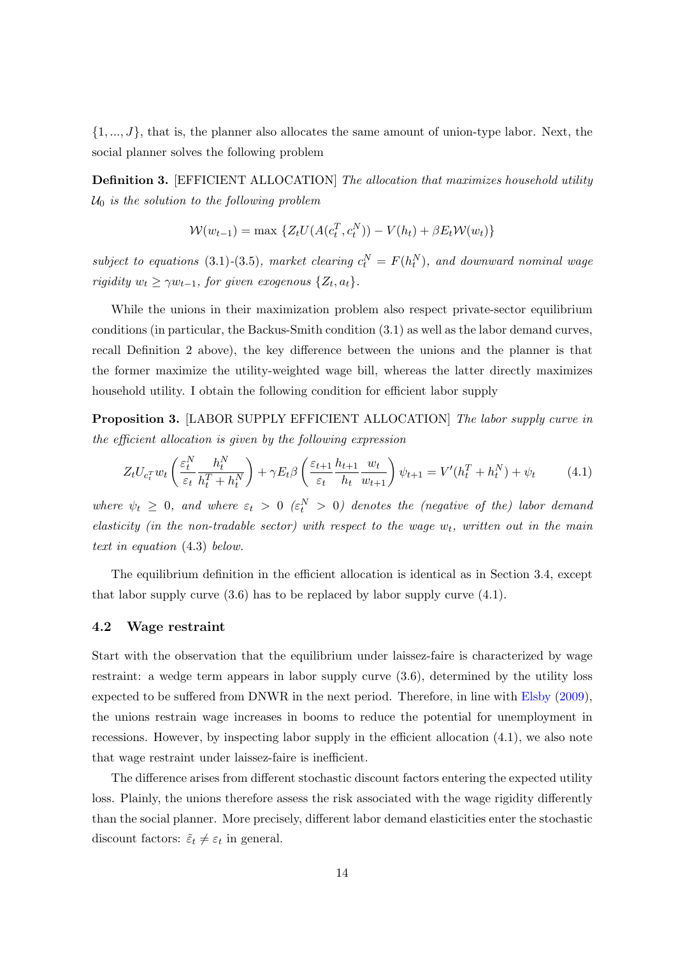$\{1, ..., J\}$ , that is, the planner also allocates the same amount of union-type labor. Next, the social planner solves the following problem

<span id="page-15-2"></span>Definition 3. [EFFICIENT ALLOCATION] The allocation that maximizes household utility  $U_0$  is the solution to the following problem

$$
W(w_{t-1}) = \max \{ Z_t U(A(c_t^T, c_t^N)) - V(h_t) + \beta E_t W(w_t) \}
$$

subject to equations [\(3.1\)](#page-11-1)-[\(3.5\)](#page-11-3), market clearing  $c_t^N = F(h_t^N)$ , and downward nominal wage rigidity  $w_t \ge \gamma w_{t-1}$ , for given exogenous  $\{Z_t, a_t\}$ .

While the unions in their maximization problem also respect private-sector equilibrium conditions (in particular, the Backus-Smith condition [\(3.1\)](#page-11-1) as well as the labor demand curves, recall Definition [2](#page-12-0) above), the key difference between the unions and the planner is that the former maximize the utility-weighted wage bill, whereas the latter directly maximizes household utility. I obtain the following condition for efficient labor supply

<span id="page-15-3"></span>**Proposition 3.** [LABOR SUPPLY EFFICIENT ALLOCATION] The labor supply curve in the efficient allocation is given by the following expression

<span id="page-15-1"></span>
$$
Z_t U_{c_t^T} w_t \left( \frac{\varepsilon_t^N}{\varepsilon_t} \frac{h_t^N}{h_t^T + h_t^N} \right) + \gamma E_t \beta \left( \frac{\varepsilon_{t+1}}{\varepsilon_t} \frac{h_{t+1}}{h_t} \frac{w_t}{w_{t+1}} \right) \psi_{t+1} = V'(h_t^T + h_t^N) + \psi_t \tag{4.1}
$$

where  $\psi_t \geq 0$ , and where  $\varepsilon_t > 0$  ( $\varepsilon_t^N > 0$ ) denotes the (negative of the) labor demand elasticity (in the non-tradable sector) with respect to the wage  $w_t$ , written out in the main text in equation [\(4.3\)](#page-16-0) below.

The equilibrium definition in the efficient allocation is identical as in Section [3.4,](#page-14-2) except that labor supply curve  $(3.6)$  has to be replaced by labor supply curve  $(4.1)$ .

#### <span id="page-15-0"></span>4.2 Wage restraint

Start with the observation that the equilibrium under laissez-faire is characterized by wage restraint: a wedge term appears in labor supply curve [\(3.6\)](#page-14-1), determined by the utility loss expected to be suffered from DNWR in the next period. Therefore, in line with [Elsby](#page-34-0) [\(2009\)](#page-34-0), the unions restrain wage increases in booms to reduce the potential for unemployment in recessions. However, by inspecting labor supply in the efficient allocation [\(4.1\)](#page-15-1), we also note that wage restraint under laissez-faire is inefficient.

The difference arises from different stochastic discount factors entering the expected utility loss. Plainly, the unions therefore assess the risk associated with the wage rigidity differently than the social planner. More precisely, different labor demand elasticities enter the stochastic discount factors:  $\tilde{\varepsilon}_t \neq \varepsilon_t$  in general.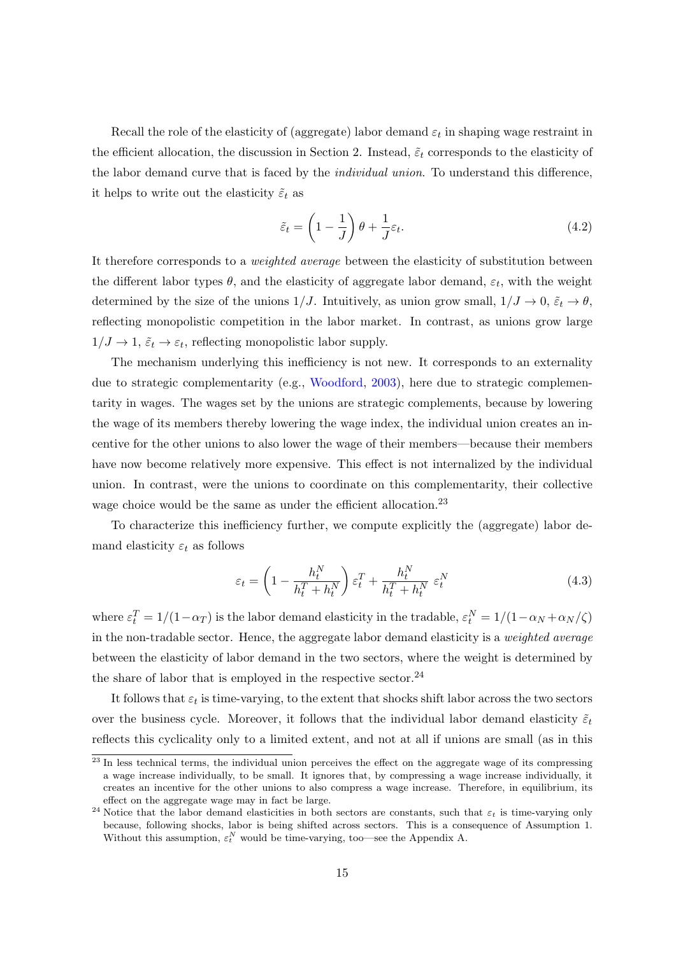Recall the role of the elasticity of (aggregate) labor demand  $\varepsilon_t$  in shaping wage restraint in the efficient allocation, the discussion in Section [2.](#page-6-5) Instead,  $\tilde{\varepsilon}_t$  corresponds to the elasticity of the labor demand curve that is faced by the individual union. To understand this difference, it helps to write out the elasticity  $\tilde{\varepsilon}_t$  as

<span id="page-16-1"></span>
$$
\tilde{\varepsilon}_t = \left(1 - \frac{1}{J}\right)\theta + \frac{1}{J}\varepsilon_t.
$$
\n(4.2)

It therefore corresponds to a weighted average between the elasticity of substitution between the different labor types  $\theta$ , and the elasticity of aggregate labor demand,  $\varepsilon_t$ , with the weight determined by the size of the unions  $1/J$ . Intuitively, as union grow small,  $1/J \rightarrow 0$ ,  $\tilde{\varepsilon}_t \rightarrow \theta$ , reflecting monopolistic competition in the labor market. In contrast, as unions grow large  $1/J \to 1$ ,  $\tilde{\varepsilon}_t \to \varepsilon_t$ , reflecting monopolistic labor supply.

The mechanism underlying this inefficiency is not new. It corresponds to an externality due to strategic complementarity (e.g., [Woodford,](#page-35-7) [2003\)](#page-35-7), here due to strategic complementarity in wages. The wages set by the unions are strategic complements, because by lowering the wage of its members thereby lowering the wage index, the individual union creates an incentive for the other unions to also lower the wage of their members—because their members have now become relatively more expensive. This effect is not internalized by the individual union. In contrast, were the unions to coordinate on this complementarity, their collective wage choice would be the same as under the efficient allocation.[23](#page-16-2)

To characterize this inefficiency further, we compute explicitly the (aggregate) labor demand elasticity  $\varepsilon_t$  as follows

<span id="page-16-0"></span>
$$
\varepsilon_t = \left(1 - \frac{h_t^N}{h_t^T + h_t^N}\right) \varepsilon_t^T + \frac{h_t^N}{h_t^T + h_t^N} \varepsilon_t^N \tag{4.3}
$$

where  $\varepsilon_t^T = 1/(1 - \alpha_T)$  is the labor demand elasticity in the tradable,  $\varepsilon_t^N = 1/(1 - \alpha_N + \alpha_N/\zeta)$ in the non-tradable sector. Hence, the aggregate labor demand elasticity is a weighted average between the elasticity of labor demand in the two sectors, where the weight is determined by the share of labor that is employed in the respective sector.<sup>[24](#page-16-3)</sup>

It follows that  $\varepsilon_t$  is time-varying, to the extent that shocks shift labor across the two sectors over the business cycle. Moreover, it follows that the individual labor demand elasticity  $\tilde{\varepsilon}_t$ reflects this cyclicality only to a limited extent, and not at all if unions are small (as in this

<span id="page-16-2"></span><sup>&</sup>lt;sup>23</sup> In less technical terms, the individual union perceives the effect on the aggregate wage of its compressing a wage increase individually, to be small. It ignores that, by compressing a wage increase individually, it creates an incentive for the other unions to also compress a wage increase. Therefore, in equilibrium, its effect on the aggregate wage may in fact be large.

<span id="page-16-3"></span><sup>&</sup>lt;sup>24</sup> Notice that the labor demand elasticities in both sectors are constants, such that  $\varepsilon_t$  is time-varying only because, following shocks, labor is being shifted across sectors. This is a consequence of Assumption [1.](#page-10-2) Without this assumption,  $\varepsilon_t^N$  would be time-varying, too—see the Appendix [A.](#page-36-0)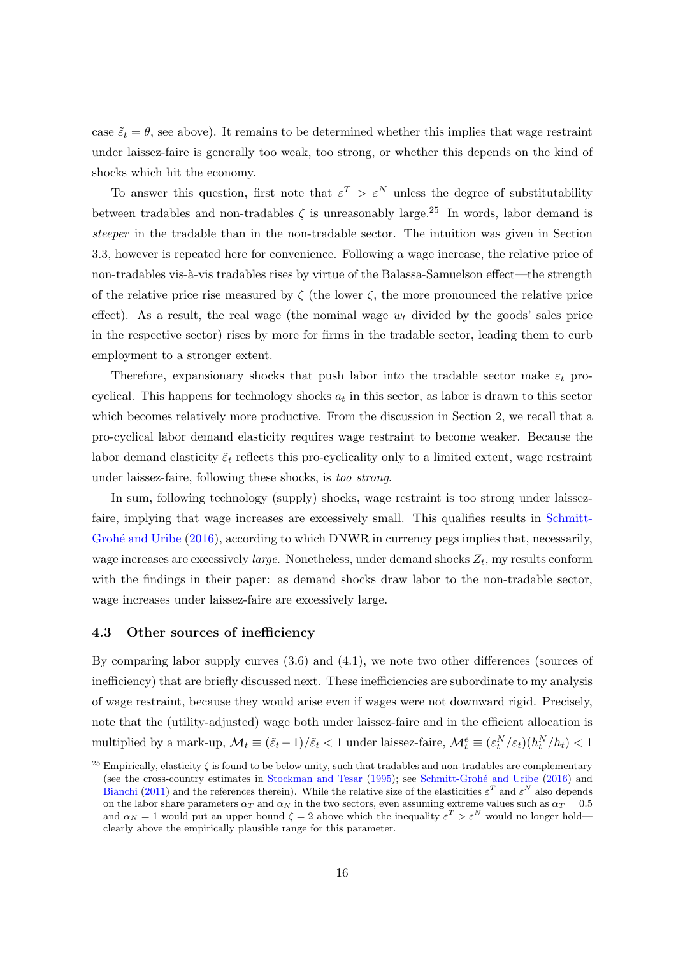case  $\tilde{\varepsilon}_t = \theta$ , see above). It remains to be determined whether this implies that wage restraint under laissez-faire is generally too weak, too strong, or whether this depends on the kind of shocks which hit the economy.

To answer this question, first note that  $\varepsilon^T > \varepsilon^N$  unless the degree of substitutability between tradables and non-tradables  $\zeta$  is unreasonably large.<sup>[25](#page-17-0)</sup> In words, labor demand is steeper in the tradable than in the non-tradable sector. The intuition was given in Section [3.3,](#page-12-1) however is repeated here for convenience. Following a wage increase, the relative price of non-tradables vis-à-vis tradables rises by virtue of the Balassa-Samuelson effect—the strength of the relative price rise measured by  $\zeta$  (the lower  $\zeta$ , the more pronounced the relative price effect). As a result, the real wage (the nominal wage  $w_t$  divided by the goods' sales price in the respective sector) rises by more for firms in the tradable sector, leading them to curb employment to a stronger extent.

Therefore, expansionary shocks that push labor into the tradable sector make  $\varepsilon_t$  procyclical. This happens for technology shocks  $a_t$  in this sector, as labor is drawn to this sector which becomes relatively more productive. From the discussion in Section [2,](#page-6-5) we recall that a pro-cyclical labor demand elasticity requires wage restraint to become weaker. Because the labor demand elasticity  $\tilde{\varepsilon}_t$  reflects this pro-cyclicality only to a limited extent, wage restraint under laissez-faire, following these shocks, is too strong.

In sum, following technology (supply) shocks, wage restraint is too strong under laissezfaire, implying that wage increases are excessively small. This qualifies results in [Schmitt-](#page-35-0)Grohé and Uribe [\(2016\)](#page-35-0), according to which DNWR in currency pegs implies that, necessarily, wage increases are excessively *large*. Nonetheless, under demand shocks  $Z_t$ , my results conform with the findings in their paper: as demand shocks draw labor to the non-tradable sector, wage increases under laissez-faire are excessively large.

#### <span id="page-17-1"></span>4.3 Other sources of inefficiency

By comparing labor supply curves [\(3.6\)](#page-14-1) and [\(4.1\)](#page-15-1), we note two other differences (sources of inefficiency) that are briefly discussed next. These inefficiencies are subordinate to my analysis of wage restraint, because they would arise even if wages were not downward rigid. Precisely, note that the (utility-adjusted) wage both under laissez-faire and in the efficient allocation is multiplied by a mark-up,  $\mathcal{M}_t \equiv (\tilde{\varepsilon}_t - 1)/\tilde{\varepsilon}_t < 1$  under laissez-faire,  $\mathcal{M}_t^e \equiv (\varepsilon_t^N/\varepsilon_t)(h_t^N/h_t) < 1$ 

<span id="page-17-0"></span><sup>&</sup>lt;sup>25</sup> Empirically, elasticity  $\zeta$  is found to be below unity, such that tradables and non-tradables are complementary (see the cross-country estimates in [Stockman and Tesar](#page-35-8) [\(1995\)](#page-35-8); see Schmitt-Grohé and Uribe [\(2016\)](#page-35-0) and [Bianchi](#page-33-3) [\(2011\)](#page-33-3) and the references therein). While the relative size of the elasticities  $\varepsilon^T$  and  $\varepsilon^N$  also depends on the labor share parameters  $\alpha_T$  and  $\alpha_N$  in the two sectors, even assuming extreme values such as  $\alpha_T = 0.5$ and  $\alpha_N = 1$  would put an upper bound  $\zeta = 2$  above which the inequality  $\varepsilon^T > \varepsilon^N$  would no longer hold clearly above the empirically plausible range for this parameter.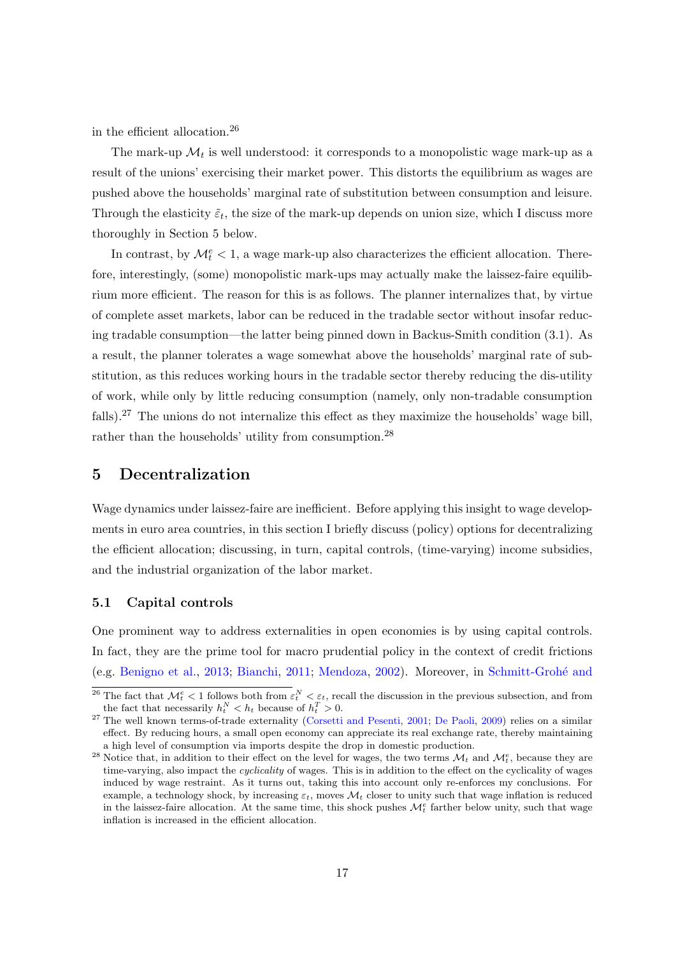in the efficient allocation.[26](#page-18-0)

The mark-up  $\mathcal{M}_t$  is well understood: it corresponds to a monopolistic wage mark-up as a result of the unions' exercising their market power. This distorts the equilibrium as wages are pushed above the households' marginal rate of substitution between consumption and leisure. Through the elasticity  $\tilde{\varepsilon}_t$ , the size of the mark-up depends on union size, which I discuss more thoroughly in Section [5](#page-18-1) below.

In contrast, by  $\mathcal{M}_t^e < 1$ , a wage mark-up also characterizes the efficient allocation. Therefore, interestingly, (some) monopolistic mark-ups may actually make the laissez-faire equilibrium more efficient. The reason for this is as follows. The planner internalizes that, by virtue of complete asset markets, labor can be reduced in the tradable sector without insofar reducing tradable consumption—the latter being pinned down in Backus-Smith condition [\(3.1\)](#page-11-1). As a result, the planner tolerates a wage somewhat above the households' marginal rate of substitution, as this reduces working hours in the tradable sector thereby reducing the dis-utility of work, while only by little reducing consumption (namely, only non-tradable consumption falls).[27](#page-18-2) The unions do not internalize this effect as they maximize the households' wage bill, rather than the households' utility from consumption.[28](#page-18-3)

## <span id="page-18-1"></span>5 Decentralization

Wage dynamics under laissez-faire are inefficient. Before applying this insight to wage developments in euro area countries, in this section I briefly discuss (policy) options for decentralizing the efficient allocation; discussing, in turn, capital controls, (time-varying) income subsidies, and the industrial organization of the labor market.

#### 5.1 Capital controls

One prominent way to address externalities in open economies is by using capital controls. In fact, they are the prime tool for macro prudential policy in the context of credit frictions (e.g. [Benigno et al.,](#page-32-6) [2013;](#page-32-6) [Bianchi,](#page-33-3) [2011;](#page-33-3) [Mendoza,](#page-35-9) [2002\)](#page-35-9). Moreover, in [Schmitt-Groh´e and](#page-35-0)

<span id="page-18-0"></span><sup>&</sup>lt;sup>26</sup> The fact that  $\mathcal{M}_t^e < 1$  follows both from  $\varepsilon_t^N < \varepsilon_t$ [, recall the discussion in the previous subsection, and from](#page-35-0) [the fact that necessarily](#page-35-0)  $h_t^N < h_t$  because of  $h_t^T > 0$ .

<span id="page-18-2"></span><sup>&</sup>lt;sup>27</sup> [The well known terms-of-trade externality \(Corsetti and Pesenti,](#page-35-0) [2001;](#page-33-5) [De Paoli,](#page-33-12) [2009\)](#page-33-12) relies on a similar [effect. By reducing hours, a small open economy can appreciate its real exchange rate, thereby maintaining](#page-35-0) [a high level of consumption via imports despite the drop in domestic production.](#page-35-0)

<span id="page-18-3"></span><sup>&</sup>lt;sup>28</sup> [Notice that, in addition to their effect on the level for wages, the two terms](#page-35-0)  $\mathcal{M}_t$  and  $\mathcal{M}_t^e$ , because they are time-varying, also impact the *cyclicality* [of wages. This is in addition to the effect on the cyclicality of wages](#page-35-0) [induced by wage restraint. As it turns out, taking this into account only re-enforces my conclusions. For](#page-35-0) example, a technology shock, by increasing  $\varepsilon_t$ , moves  $\mathcal{M}_t$  [closer to unity such that wage inflation is reduced](#page-35-0) [in the laissez-faire allocation. At the same time, this shock pushes](#page-35-0)  $\mathcal{M}_t^e$  farther below unity, such that wage [inflation is increased in the efficient allocation.](#page-35-0)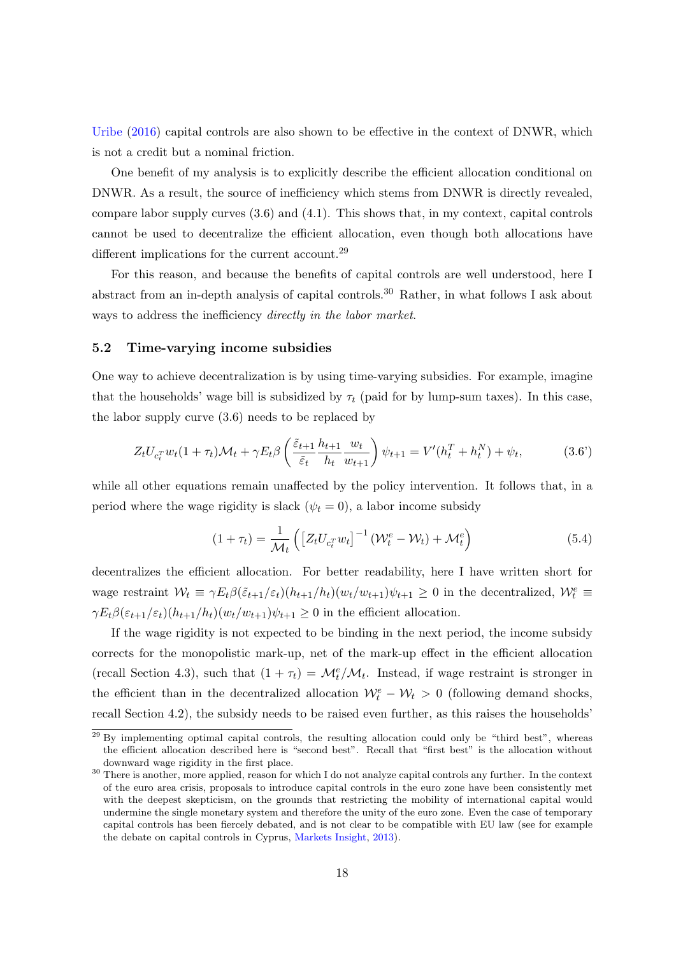[Uribe](#page-35-0) [\(2016\)](#page-35-0) capital controls are also shown to be effective in the context of DNWR, which is not a credit but a nominal friction.

One benefit of my analysis is to explicitly describe the efficient allocation conditional on DNWR. As a result, the source of inefficiency which stems from DNWR is directly revealed, compare labor supply curves [\(3.6\)](#page-14-1) and [\(4.1\)](#page-15-1). This shows that, in my context, capital controls cannot be used to decentralize the efficient allocation, even though both allocations have different implications for the current account.<sup>[29](#page-19-0)</sup>

For this reason, and because the benefits of capital controls are well understood, here I abstract from an in-depth analysis of capital controls.<sup>[30](#page-19-1)</sup> Rather, in what follows I ask about ways to address the inefficiency *directly in the labor market*.

#### 5.2 Time-varying income subsidies

One way to achieve decentralization is by using time-varying subsidies. For example, imagine that the households' wage bill is subsidized by  $\tau_t$  (paid for by lump-sum taxes). In this case, the labor supply curve [\(3.6\)](#page-14-1) needs to be replaced by

$$
Z_t U_{c_t^T} w_t (1 + \tau_t) \mathcal{M}_t + \gamma E_t \beta \left( \frac{\tilde{\varepsilon}_{t+1}}{\tilde{\varepsilon}_t} \frac{h_{t+1}}{h_t} \frac{w_t}{w_{t+1}} \right) \psi_{t+1} = V'(h_t^T + h_t^N) + \psi_t,
$$
(3.6')

while all other equations remain unaffected by the policy intervention. It follows that, in a period where the wage rigidity is slack  $(\psi_t = 0)$ , a labor income subsidy

$$
(1 + \tau_t) = \frac{1}{\mathcal{M}_t} \left( \left[ Z_t U_{c_t^T} w_t \right]^{-1} \left( \mathcal{W}_t^e - \mathcal{W}_t \right) + \mathcal{M}_t^e \right) \tag{5.4}
$$

decentralizes the efficient allocation. For better readability, here I have written short for wage restraint  $W_t \equiv \gamma E_t \beta(\tilde{\varepsilon}_{t+1}/\varepsilon_t)(h_{t+1}/h_t)(w_t/w_{t+1})\psi_{t+1} \geq 0$  in the decentralized,  $W_t^e \equiv$  $\gamma E_t \beta(\varepsilon_{t+1}/\varepsilon_t)(h_{t+1}/h_t)(w_t/w_{t+1})\psi_{t+1} \geq 0$  in the efficient allocation.

If the wage rigidity is not expected to be binding in the next period, the income subsidy corrects for the monopolistic mark-up, net of the mark-up effect in the efficient allocation (recall Section [4.3\)](#page-17-1), such that  $(1 + \tau_t) = \mathcal{M}_t^e / \mathcal{M}_t$ . Instead, if wage restraint is stronger in the efficient than in the decentralized allocation  $W_t^e - W_t > 0$  (following demand shocks, recall Section [4.2\)](#page-15-0), the subsidy needs to be raised even further, as this raises the households'

<span id="page-19-0"></span><sup>&</sup>lt;sup>29</sup> By implementing optimal capital controls, the resulting allocation could only be "third best", whereas the efficient allocation described here is "second best". Recall that "first best" is the allocation without downward wage rigidity in the first place.

<span id="page-19-1"></span><sup>&</sup>lt;sup>30</sup> There is another, more applied, reason for which I do not analyze capital controls any further. In the context of the euro area crisis, proposals to introduce capital controls in the euro zone have been consistently met with the deepest skepticism, on the grounds that restricting the mobility of international capital would undermine the single monetary system and therefore the unity of the euro zone. Even the case of temporary capital controls has been fiercely debated, and is not clear to be compatible with EU law (see for example the debate on capital controls in Cyprus, [Markets Insight,](#page-35-10) [2013\)](#page-35-10).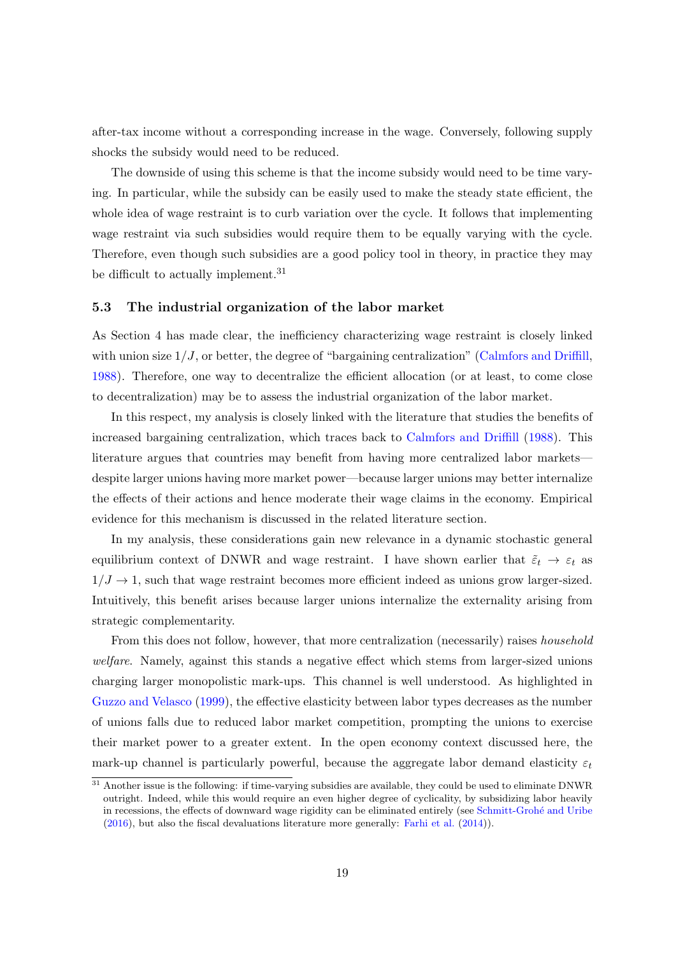after-tax income without a corresponding increase in the wage. Conversely, following supply shocks the subsidy would need to be reduced.

The downside of using this scheme is that the income subsidy would need to be time varying. In particular, while the subsidy can be easily used to make the steady state efficient, the whole idea of wage restraint is to curb variation over the cycle. It follows that implementing wage restraint via such subsidies would require them to be equally varying with the cycle. Therefore, even though such subsidies are a good policy tool in theory, in practice they may be difficult to actually implement.<sup>[31](#page-20-0)</sup>

#### 5.3 The industrial organization of the labor market

As Section [4](#page-14-0) has made clear, the inefficiency characterizing wage restraint is closely linked with union size  $1/J$ , or better, the degree of "bargaining centralization" [\(Calmfors and Driffill,](#page-33-7) [1988\)](#page-33-7). Therefore, one way to decentralize the efficient allocation (or at least, to come close to decentralization) may be to assess the industrial organization of the labor market.

In this respect, my analysis is closely linked with the literature that studies the benefits of increased bargaining centralization, which traces back to [Calmfors and Driffill](#page-33-7) [\(1988\)](#page-33-7). This literature argues that countries may benefit from having more centralized labor markets despite larger unions having more market power—because larger unions may better internalize the effects of their actions and hence moderate their wage claims in the economy. Empirical evidence for this mechanism is discussed in the related literature section.

In my analysis, these considerations gain new relevance in a dynamic stochastic general equilibrium context of DNWR and wage restraint. I have shown earlier that  $\tilde{\varepsilon}_t \to \varepsilon_t$  as  $1/J \rightarrow 1$ , such that wage restraint becomes more efficient indeed as unions grow larger-sized. Intuitively, this benefit arises because larger unions internalize the externality arising from strategic complementarity.

From this does not follow, however, that more centralization (necessarily) raises *household* welfare. Namely, against this stands a negative effect which stems from larger-sized unions charging larger monopolistic mark-ups. This channel is well understood. As highlighted in [Guzzo and Velasco](#page-34-4) [\(1999\)](#page-34-4), the effective elasticity between labor types decreases as the number of unions falls due to reduced labor market competition, prompting the unions to exercise their market power to a greater extent. In the open economy context discussed here, the mark-up channel is particularly powerful, because the aggregate labor demand elasticity  $\varepsilon_t$ 

<span id="page-20-0"></span><sup>&</sup>lt;sup>31</sup> Another issue is the following: if time-varying subsidies are available, they could be used to eliminate DNWR outright. Indeed, while this would require an even higher degree of cyclicality, by subsidizing labor heavily in recessions, the effects of downward wage rigidity can be eliminated entirely (see Schmitt-Grohé and Uribe [\(2016\)](#page-35-0), but also the fiscal devaluations literature more generally: [Farhi et al.](#page-34-6) [\(2014\)](#page-34-6)).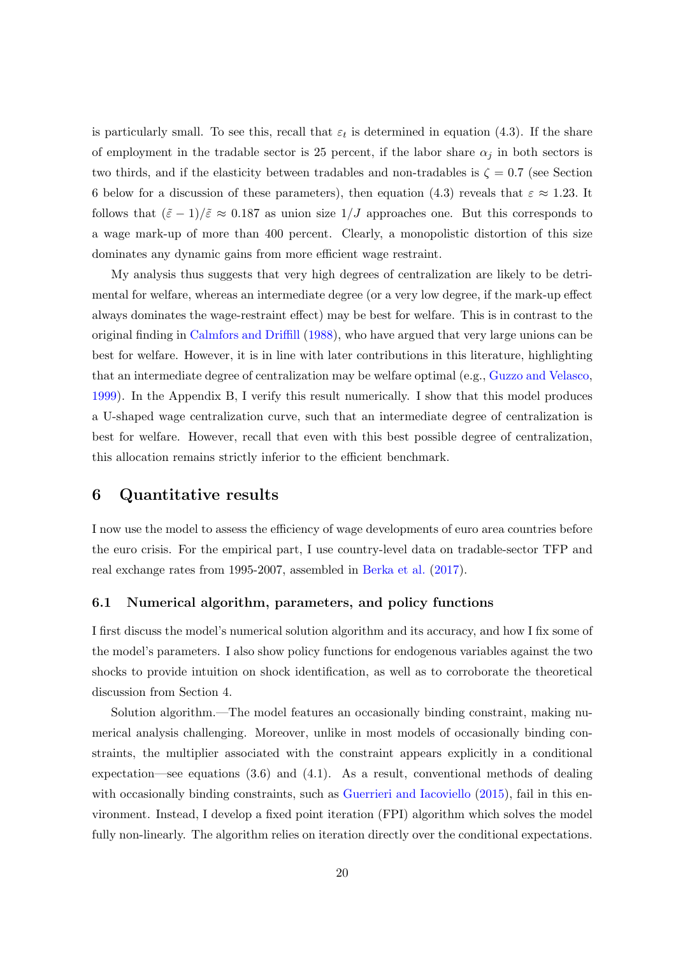is particularly small. To see this, recall that  $\varepsilon_t$  is determined in equation [\(4.3\)](#page-16-0). If the share of employment in the tradable sector is 25 percent, if the labor share  $\alpha_j$  in both sectors is two thirds, and if the elasticity between tradables and non-tradables is  $\zeta = 0.7$  (see Section [6](#page-21-0) below for a discussion of these parameters), then equation [\(4.3\)](#page-16-0) reveals that  $\varepsilon \approx 1.23$ . It follows that  $(\tilde{\varepsilon} - 1)/\tilde{\varepsilon} \approx 0.187$  as union size  $1/J$  approaches one. But this corresponds to a wage mark-up of more than 400 percent. Clearly, a monopolistic distortion of this size dominates any dynamic gains from more efficient wage restraint.

My analysis thus suggests that very high degrees of centralization are likely to be detrimental for welfare, whereas an intermediate degree (or a very low degree, if the mark-up effect always dominates the wage-restraint effect) may be best for welfare. This is in contrast to the original finding in [Calmfors and Driffill](#page-33-7) [\(1988\)](#page-33-7), who have argued that very large unions can be best for welfare. However, it is in line with later contributions in this literature, highlighting that an intermediate degree of centralization may be welfare optimal (e.g., [Guzzo and Velasco,](#page-34-4) [1999\)](#page-34-4). In the Appendix [B,](#page-44-0) I verify this result numerically. I show that this model produces a U-shaped wage centralization curve, such that an intermediate degree of centralization is best for welfare. However, recall that even with this best possible degree of centralization, this allocation remains strictly inferior to the efficient benchmark.

## <span id="page-21-0"></span>6 Quantitative results

I now use the model to assess the efficiency of wage developments of euro area countries before the euro crisis. For the empirical part, I use country-level data on tradable-sector TFP and real exchange rates from 1995-2007, assembled in [Berka et al.](#page-33-0) [\(2017\)](#page-33-0).

#### <span id="page-21-1"></span>6.1 Numerical algorithm, parameters, and policy functions

I first discuss the model's numerical solution algorithm and its accuracy, and how I fix some of the model's parameters. I also show policy functions for endogenous variables against the two shocks to provide intuition on shock identification, as well as to corroborate the theoretical discussion from Section [4.](#page-14-0)

Solution algorithm.—The model features an occasionally binding constraint, making numerical analysis challenging. Moreover, unlike in most models of occasionally binding constraints, the multiplier associated with the constraint appears explicitly in a conditional expectation—see equations  $(3.6)$  and  $(4.1)$ . As a result, conventional methods of dealing with occasionally binding constraints, such as [Guerrieri and Iacoviello](#page-34-10) [\(2015\)](#page-34-10), fail in this environment. Instead, I develop a fixed point iteration (FPI) algorithm which solves the model fully non-linearly. The algorithm relies on iteration directly over the conditional expectations.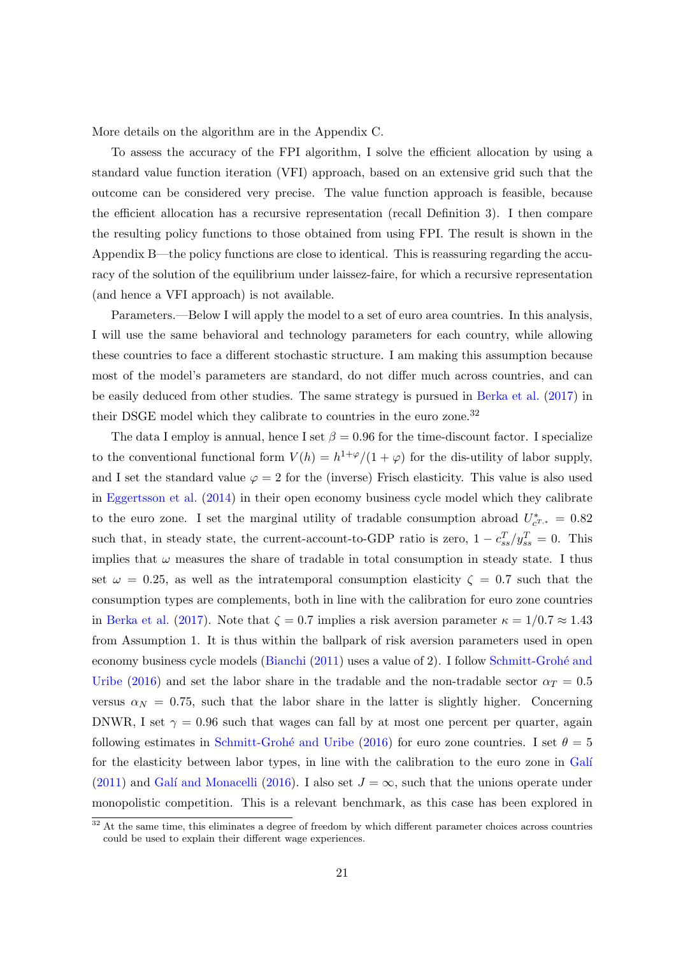More details on the algorithm are in the Appendix [C.](#page-47-0)

To assess the accuracy of the FPI algorithm, I solve the efficient allocation by using a standard value function iteration (VFI) approach, based on an extensive grid such that the outcome can be considered very precise. The value function approach is feasible, because the efficient allocation has a recursive representation (recall Definition [3\)](#page-15-2). I then compare the resulting policy functions to those obtained from using FPI. The result is shown in the Appendix [B—](#page-44-0)the policy functions are close to identical. This is reassuring regarding the accuracy of the solution of the equilibrium under laissez-faire, for which a recursive representation (and hence a VFI approach) is not available.

Parameters.—Below I will apply the model to a set of euro area countries. In this analysis, I will use the same behavioral and technology parameters for each country, while allowing these countries to face a different stochastic structure. I am making this assumption because most of the model's parameters are standard, do not differ much across countries, and can be easily deduced from other studies. The same strategy is pursued in [Berka et al.](#page-33-0) [\(2017\)](#page-33-0) in their DSGE model which they calibrate to countries in the euro zone.<sup>[32](#page-22-0)</sup>

The data I employ is annual, hence I set  $\beta = 0.96$  for the time-discount factor. I specialize to the conventional functional form  $V(h) = h^{1+\varphi}/(1+\varphi)$  for the dis-utility of labor supply, and I set the standard value  $\varphi = 2$  for the (inverse) Frisch elasticity. This value is also used in [Eggertsson et al.](#page-33-13) [\(2014\)](#page-33-13) in their open economy business cycle model which they calibrate to the euro zone. I set the marginal utility of tradable consumption abroad  $U_{c^{T,*}}^* = 0.82$ such that, in steady state, the current-account-to-GDP ratio is zero,  $1 - c_{ss}^T/y_{ss}^T = 0$ . This implies that  $\omega$  measures the share of tradable in total consumption in steady state. I thus set  $\omega = 0.25$ , as well as the intratemporal consumption elasticity  $\zeta = 0.7$  such that the consumption types are complements, both in line with the calibration for euro zone countries in [Berka et al.](#page-33-0) [\(2017\)](#page-33-0). Note that  $\zeta = 0.7$  implies a risk aversion parameter  $\kappa = 1/0.7 \approx 1.43$ from Assumption [1.](#page-10-2) It is thus within the ballpark of risk aversion parameters used in open economy business cycle models [\(Bianchi](#page-33-3)  $(2011)$  uses a value of 2). I follow Schmitt-Grohé and [Uribe](#page-35-0) [\(2016\)](#page-35-0) and set the labor share in the tradable and the non-tradable sector  $\alpha_T = 0.5$ versus  $\alpha_N = 0.75$ , such that the labor share in the latter is slightly higher. Concerning DNWR, I set  $\gamma = 0.96$  such that wages can fall by at most one percent per quarter, again following estimates in Schmitt-Grohé and Uribe [\(2016\)](#page-35-0) for euro zone countries. I set  $\theta = 5$ for the elasticity between labor types, in line with the calibration to the euro zone in Galí [\(2011\)](#page-34-11) and Galí and Monacelli [\(2016\)](#page-34-12). I also set  $J = \infty$ , such that the unions operate under monopolistic competition. This is a relevant benchmark, as this case has been explored in

<span id="page-22-0"></span><sup>&</sup>lt;sup>32</sup> At the same time, this eliminates a degree of freedom by which different parameter choices across countries could be used to explain their different wage experiences.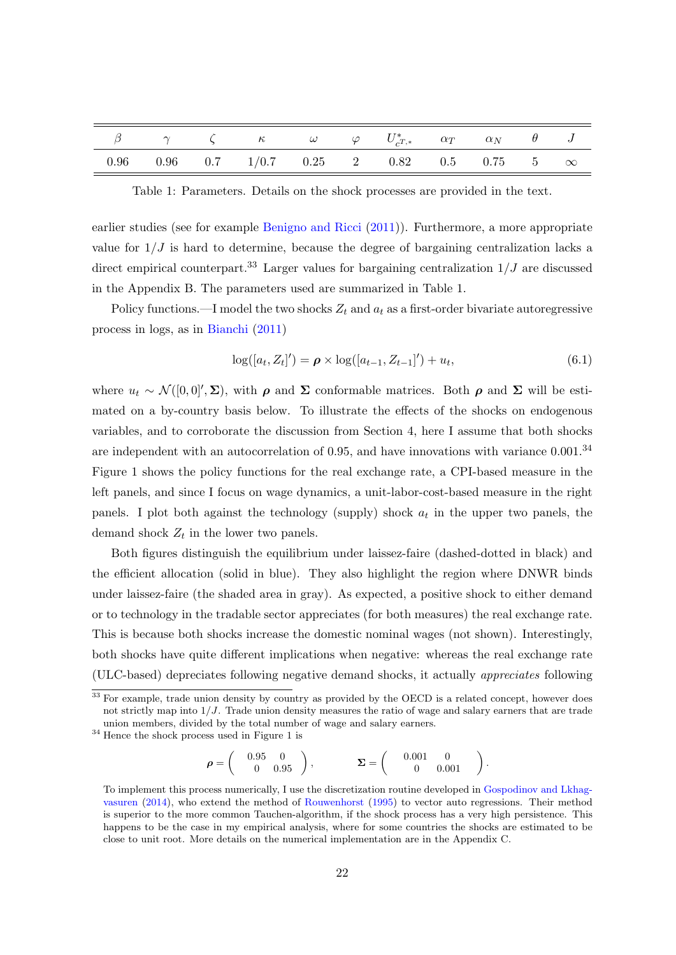|  | $\beta$ and $\gamma$ by $\zeta$ by $\omega$ by $U_{c^{T,*}}^{*}$ by $\alpha_{T}$ by $\alpha_{N}$ by $\theta$ by $J$ |  |  |  |  |
|--|---------------------------------------------------------------------------------------------------------------------|--|--|--|--|
|  | $0.96$ $0.96$ $0.7$ $1/0.7$ $0.25$ $2$ $0.82$ $0.5$ $0.75$ $5$ $\infty$                                             |  |  |  |  |

<span id="page-23-1"></span>Table 1: Parameters. Details on the shock processes are provided in the text.

earlier studies (see for example [Benigno and Ricci](#page-32-4) [\(2011\)](#page-32-4)). Furthermore, a more appropriate value for  $1/J$  is hard to determine, because the degree of bargaining centralization lacks a direct empirical counterpart.<sup>[33](#page-23-0)</sup> Larger values for bargaining centralization  $1/J$  are discussed in the Appendix [B.](#page-44-0) The parameters used are summarized in Table [1.](#page-23-1)

Policy functions.—I model the two shocks  $Z_t$  and  $a_t$  as a first-order bivariate autoregressive process in logs, as in [Bianchi](#page-33-3) [\(2011\)](#page-33-3)

$$
\log([a_t, Z_t]') = \rho \times \log([a_{t-1}, Z_{t-1}]) + u_t,
$$
\n(6.1)

where  $u_t \sim \mathcal{N}([0,0], \Sigma)$ , with  $\rho$  and  $\Sigma$  conformable matrices. Both  $\rho$  and  $\Sigma$  will be estimated on a by-country basis below. To illustrate the effects of the shocks on endogenous variables, and to corroborate the discussion from Section [4,](#page-14-0) here I assume that both shocks are independent with an autocorrelation of 0.95, and have innovations with variance 0.001.<sup>[34](#page-23-2)</sup> Figure [1](#page-24-0) shows the policy functions for the real exchange rate, a CPI-based measure in the left panels, and since I focus on wage dynamics, a unit-labor-cost-based measure in the right panels. I plot both against the technology (supply) shock  $a_t$  in the upper two panels, the demand shock  $Z_t$  in the lower two panels.

Both figures distinguish the equilibrium under laissez-faire (dashed-dotted in black) and the efficient allocation (solid in blue). They also highlight the region where DNWR binds under laissez-faire (the shaded area in gray). As expected, a positive shock to either demand or to technology in the tradable sector appreciates (for both measures) the real exchange rate. This is because both shocks increase the domestic nominal wages (not shown). Interestingly, both shocks have quite different implications when negative: whereas the real exchange rate (ULC-based) depreciates following negative demand shocks, it actually appreciates following

<span id="page-23-2"></span> $^{34}$  Hence the shock process used in Figure [1](#page-24-0) is

$$
\rho = \begin{pmatrix} 0.95 & 0 \\ 0 & 0.95 \end{pmatrix}, \qquad \Sigma = \begin{pmatrix} 0.001 & 0 \\ 0 & 0.001 \end{pmatrix}
$$

.

<span id="page-23-0"></span><sup>&</sup>lt;sup>33</sup> For example, trade union density by country as provided by the OECD is a related concept, however does not strictly map into  $1/J$ . Trade union density measures the ratio of wage and salary earners that are trade union members, divided by the total number of wage and salary earners.

To implement this process numerically, I use the discretization routine developed in [Gospodinov and Lkhag](#page-34-13)[vasuren](#page-34-13) [\(2014\)](#page-34-13), who extend the method of [Rouwenhorst](#page-35-11) [\(1995\)](#page-35-11) to vector auto regressions. Their method is superior to the more common Tauchen-algorithm, if the shock process has a very high persistence. This happens to be the case in my empirical analysis, where for some countries the shocks are estimated to be close to unit root. More details on the numerical implementation are in the Appendix [C.](#page-47-0)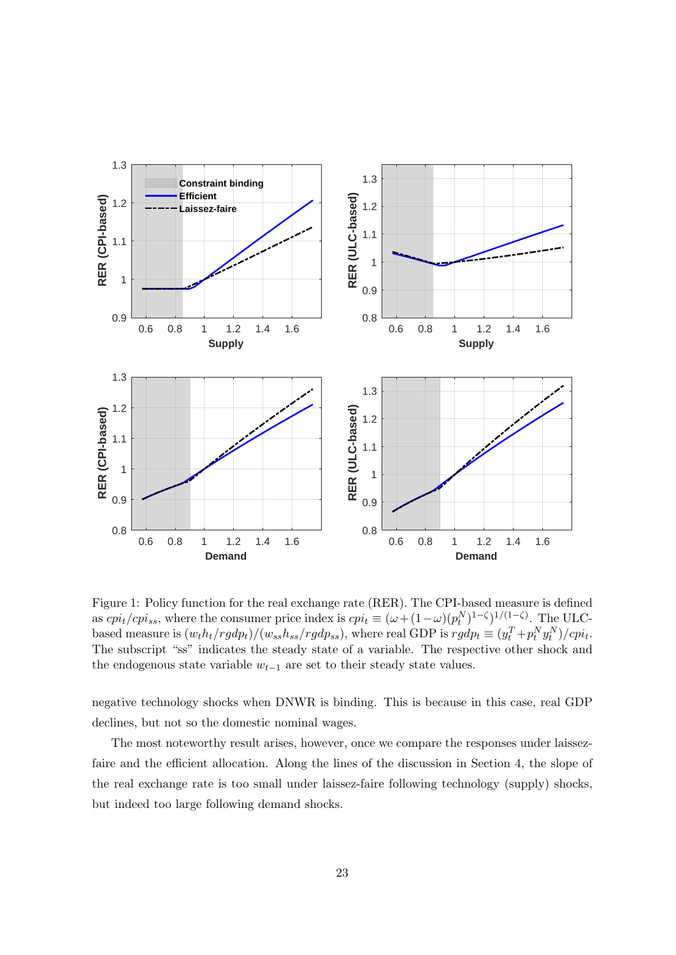

<span id="page-24-0"></span>Figure 1: Policy function for the real exchange rate (RER). The CPI-based measure is defined as  $cpi_t/cpi_{ss}$ , where the consumer price index is  $cpi_t \equiv (\omega + (1 - \omega)(p_t^N)^{1 - \zeta})^{1/(1 - \zeta)}$ . The ULCbased measure is  $(w_t h_t / r g dp_t) / (w_{ss} h_{ss} / r g dp_{ss})$ , where real GDP is  $r g dp_t \equiv (y_t^T + p_t^N y_t^N) / c p i_t$ . The subscript "ss" indicates the steady state of a variable. The respective other shock and the endogenous state variable  $w_{t-1}$  are set to their steady state values.

negative technology shocks when DNWR is binding. This is because in this case, real GDP declines, but not so the domestic nominal wages.

The most noteworthy result arises, however, once we compare the responses under laissezfaire and the efficient allocation. Along the lines of the discussion in Section [4,](#page-14-0) the slope of the real exchange rate is too small under laissez-faire following technology (supply) shocks, but indeed too large following demand shocks.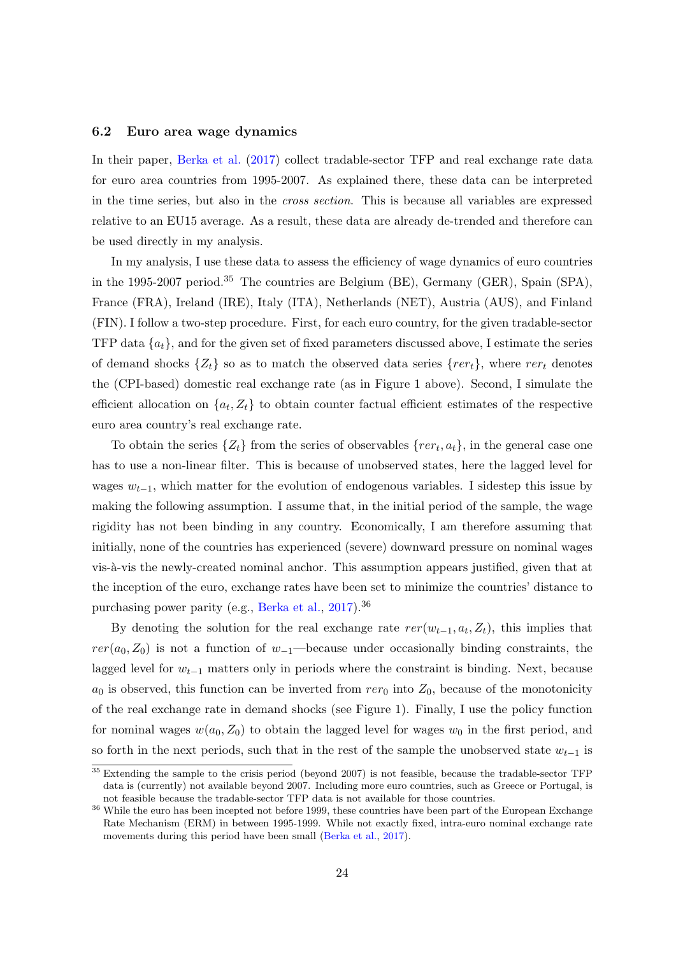#### <span id="page-25-2"></span>6.2 Euro area wage dynamics

In their paper, [Berka et al.](#page-33-0) [\(2017\)](#page-33-0) collect tradable-sector TFP and real exchange rate data for euro area countries from 1995-2007. As explained there, these data can be interpreted in the time series, but also in the cross section. This is because all variables are expressed relative to an EU15 average. As a result, these data are already de-trended and therefore can be used directly in my analysis.

In my analysis, I use these data to assess the efficiency of wage dynamics of euro countries in the 1995-2007 period.[35](#page-25-0) The countries are Belgium (BE), Germany (GER), Spain (SPA), France (FRA), Ireland (IRE), Italy (ITA), Netherlands (NET), Austria (AUS), and Finland (FIN). I follow a two-step procedure. First, for each euro country, for the given tradable-sector TFP data  $\{a_t\}$ , and for the given set of fixed parameters discussed above, I estimate the series of demand shocks  $\{Z_t\}$  so as to match the observed data series  $\{rer_t\}$ , where rer<sub>t</sub> denotes the (CPI-based) domestic real exchange rate (as in Figure [1](#page-24-0) above). Second, I simulate the efficient allocation on  $\{a_t, Z_t\}$  to obtain counter factual efficient estimates of the respective euro area country's real exchange rate.

To obtain the series  $\{Z_t\}$  from the series of observables  $\{rer_t, a_t\}$ , in the general case one has to use a non-linear filter. This is because of unobserved states, here the lagged level for wages  $w_{t-1}$ , which matter for the evolution of endogenous variables. I sidestep this issue by making the following assumption. I assume that, in the initial period of the sample, the wage rigidity has not been binding in any country. Economically, I am therefore assuming that initially, none of the countries has experienced (severe) downward pressure on nominal wages vis- $\grave{a}$ -vis the newly-created nominal anchor. This assumption appears justified, given that at the inception of the euro, exchange rates have been set to minimize the countries' distance to purchasing power parity (e.g., [Berka et al.,](#page-33-0) [2017\)](#page-33-0).<sup>[36](#page-25-1)</sup>

By denoting the solution for the real exchange rate  $rer(w_{t-1}, a_t, Z_t)$ , this implies that  $rer(a_0, Z_0)$  is not a function of  $w_{-1}$ —because under occasionally binding constraints, the lagged level for  $w_{t-1}$  matters only in periods where the constraint is binding. Next, because  $a_0$  is observed, this function can be inverted from  $rer_0$  into  $Z_0$ , because of the monotonicity of the real exchange rate in demand shocks (see Figure [1\)](#page-24-0). Finally, I use the policy function for nominal wages  $w(a_0, Z_0)$  to obtain the lagged level for wages  $w_0$  in the first period, and so forth in the next periods, such that in the rest of the sample the unobserved state  $w_{t-1}$  is

<span id="page-25-0"></span><sup>&</sup>lt;sup>35</sup> Extending the sample to the crisis period (beyond 2007) is not feasible, because the tradable-sector TFP data is (currently) not available beyond 2007. Including more euro countries, such as Greece or Portugal, is not feasible because the tradable-sector TFP data is not available for those countries.

<span id="page-25-1"></span><sup>&</sup>lt;sup>36</sup> While the euro has been incepted not before 1999, these countries have been part of the European Exchange Rate Mechanism (ERM) in between 1995-1999. While not exactly fixed, intra-euro nominal exchange rate movements during this period have been small [\(Berka et al.,](#page-33-0) [2017\)](#page-33-0).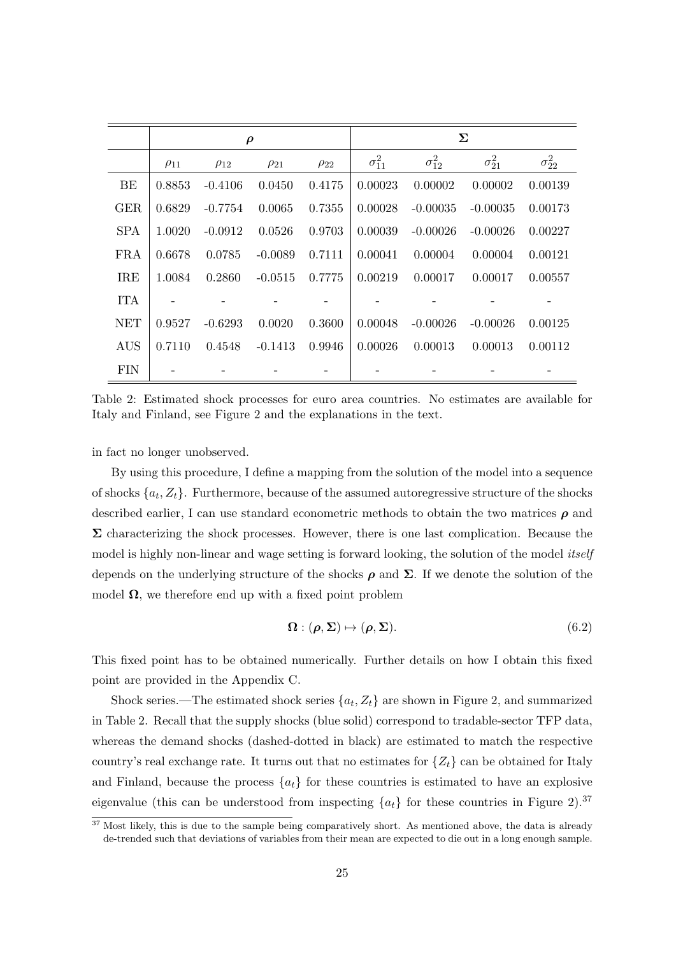|            | $\rho$      |             |             |             | Σ               |                 |                 |                 |
|------------|-------------|-------------|-------------|-------------|-----------------|-----------------|-----------------|-----------------|
|            | $\rho_{11}$ | $\rho_{12}$ | $\rho_{21}$ | $\rho_{22}$ | $\sigma_{11}^2$ | $\sigma_{12}^2$ | $\sigma_{21}^2$ | $\sigma_{22}^2$ |
| BE         | 0.8853      | $-0.4106$   | 0.0450      | 0.4175      | 0.00023         | 0.00002         | 0.00002         | 0.00139         |
| <b>GER</b> | 0.6829      | $-0.7754$   | 0.0065      | 0.7355      | 0.00028         | $-0.00035$      | $-0.00035$      | 0.00173         |
| <b>SPA</b> | 1.0020      | $-0.0912$   | 0.0526      | 0.9703      | 0.00039         | $-0.00026$      | $-0.00026$      | 0.00227         |
| FRA        | 0.6678      | 0.0785      | $-0.0089$   | 0.7111      | 0.00041         | 0.00004         | 0.00004         | 0.00121         |
| <b>IRE</b> | 1.0084      | 0.2860      | $-0.0515$   | 0.7775      | 0.00219         | 0.00017         | 0.00017         | 0.00557         |
| <b>ITA</b> |             |             |             |             |                 |                 |                 |                 |
| NET        | 0.9527      | $-0.6293$   | 0.0020      | 0.3600      | 0.00048         | $-0.00026$      | $-0.00026$      | 0.00125         |
| <b>AUS</b> | 0.7110      | 0.4548      | $-0.1413$   | 0.9946      | 0.00026         | 0.00013         | 0.00013         | 0.00112         |
| FIN        |             |             |             |             |                 |                 |                 |                 |

<span id="page-26-1"></span>Table 2: Estimated shock processes for euro area countries. No estimates are available for Italy and Finland, see Figure [2](#page-27-0) and the explanations in the text.

in fact no longer unobserved.

By using this procedure, I define a mapping from the solution of the model into a sequence of shocks  $\{a_t, Z_t\}$ . Furthermore, because of the assumed autoregressive structure of the shocks described earlier, I can use standard econometric methods to obtain the two matrices  $\rho$  and  $\Sigma$  characterizing the shock processes. However, there is one last complication. Because the model is highly non-linear and wage setting is forward looking, the solution of the model *itself* depends on the underlying structure of the shocks  $\rho$  and  $\Sigma$ . If we denote the solution of the model  $\Omega$ , we therefore end up with a fixed point problem

$$
\Omega : (\rho, \Sigma) \mapsto (\rho, \Sigma). \tag{6.2}
$$

This fixed point has to be obtained numerically. Further details on how I obtain this fixed point are provided in the Appendix [C.](#page-47-0)

Shock series.—The estimated shock series  $\{a_t, Z_t\}$  are shown in Figure [2,](#page-27-0) and summarized in Table 2. Recall that the supply shocks (blue solid) correspond to tradable-sector TFP data, whereas the demand shocks (dashed-dotted in black) are estimated to match the respective country's real exchange rate. It turns out that no estimates for  $\{Z_t\}$  can be obtained for Italy and Finland, because the process  $\{a_t\}$  for these countries is estimated to have an explosive eigenvalue (this can be understood from inspecting  $\{a_t\}$  for these countries in Figure [2\)](#page-27-0).<sup>[37](#page-26-0)</sup>

<span id="page-26-0"></span> $37$  Most likely, this is due to the sample being comparatively short. As mentioned above, the data is already de-trended such that deviations of variables from their mean are expected to die out in a long enough sample.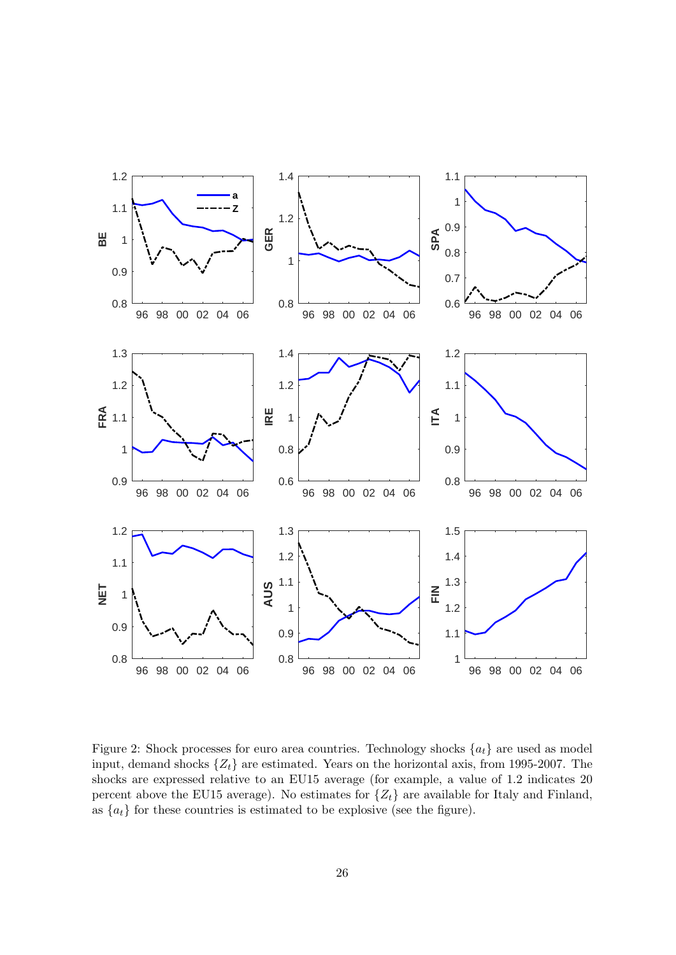

<span id="page-27-0"></span>Figure 2: Shock processes for euro area countries. Technology shocks  $\{a_t\}$  are used as model input, demand shocks  $\{Z_t\}$  are estimated. Years on the horizontal axis, from 1995-2007. The shocks are expressed relative to an EU15 average (for example, a value of 1.2 indicates 20 percent above the EU15 average). No estimates for  $\{Z_t\}$  are available for Italy and Finland, as  ${a_t}$  for these countries is estimated to be explosive (see the figure).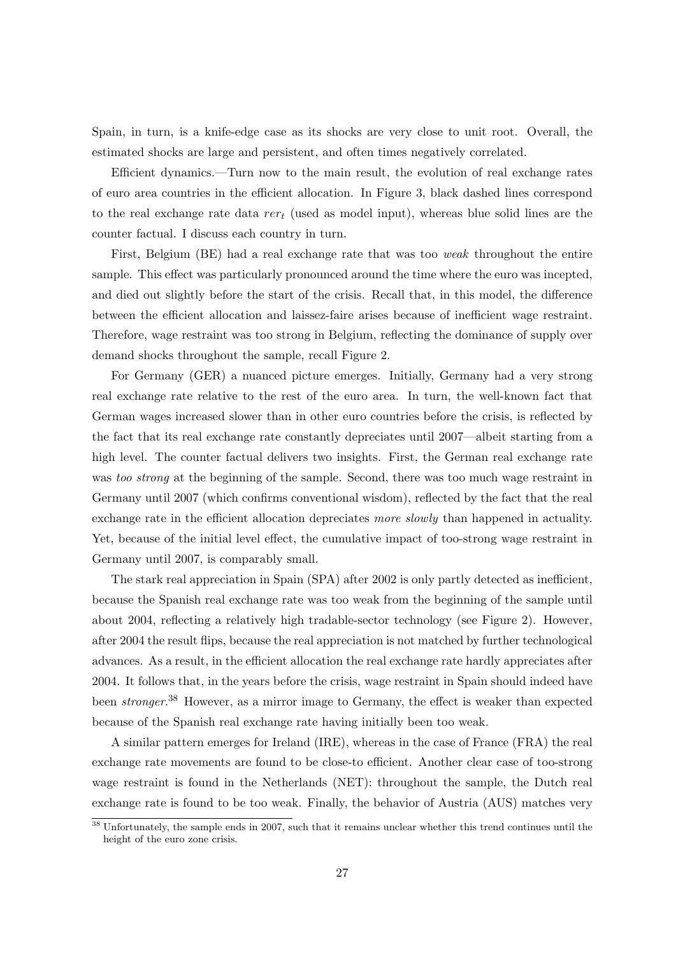Spain, in turn, is a knife-edge case as its shocks are very close to unit root. Overall, the estimated shocks are large and persistent, and often times negatively correlated.

Efficient dynamics.—Turn now to the main result, the evolution of real exchange rates of euro area countries in the efficient allocation. In Figure [3,](#page-29-0) black dashed lines correspond to the real exchange rate data  $rer_t$  (used as model input), whereas blue solid lines are the counter factual. I discuss each country in turn.

First, Belgium (BE) had a real exchange rate that was too weak throughout the entire sample. This effect was particularly pronounced around the time where the euro was incepted, and died out slightly before the start of the crisis. Recall that, in this model, the difference between the efficient allocation and laissez-faire arises because of inefficient wage restraint. Therefore, wage restraint was too strong in Belgium, reflecting the dominance of supply over demand shocks throughout the sample, recall Figure [2.](#page-27-0)

For Germany (GER) a nuanced picture emerges. Initially, Germany had a very strong real exchange rate relative to the rest of the euro area. In turn, the well-known fact that German wages increased slower than in other euro countries before the crisis, is reflected by the fact that its real exchange rate constantly depreciates until 2007—albeit starting from a high level. The counter factual delivers two insights. First, the German real exchange rate was too strong at the beginning of the sample. Second, there was too much wage restraint in Germany until 2007 (which confirms conventional wisdom), reflected by the fact that the real exchange rate in the efficient allocation depreciates more slowly than happened in actuality. Yet, because of the initial level effect, the cumulative impact of too-strong wage restraint in Germany until 2007, is comparably small.

The stark real appreciation in Spain (SPA) after 2002 is only partly detected as inefficient, because the Spanish real exchange rate was too weak from the beginning of the sample until about 2004, reflecting a relatively high tradable-sector technology (see Figure [2\)](#page-27-0). However, after 2004 the result flips, because the real appreciation is not matched by further technological advances. As a result, in the efficient allocation the real exchange rate hardly appreciates after 2004. It follows that, in the years before the crisis, wage restraint in Spain should indeed have been *stronger*.<sup>[38](#page-28-0)</sup> However, as a mirror image to Germany, the effect is weaker than expected because of the Spanish real exchange rate having initially been too weak.

A similar pattern emerges for Ireland (IRE), whereas in the case of France (FRA) the real exchange rate movements are found to be close-to efficient. Another clear case of too-strong wage restraint is found in the Netherlands (NET): throughout the sample, the Dutch real exchange rate is found to be too weak. Finally, the behavior of Austria (AUS) matches very

<span id="page-28-0"></span><sup>&</sup>lt;sup>38</sup> Unfortunately, the sample ends in 2007, such that it remains unclear whether this trend continues until the height of the euro zone crisis.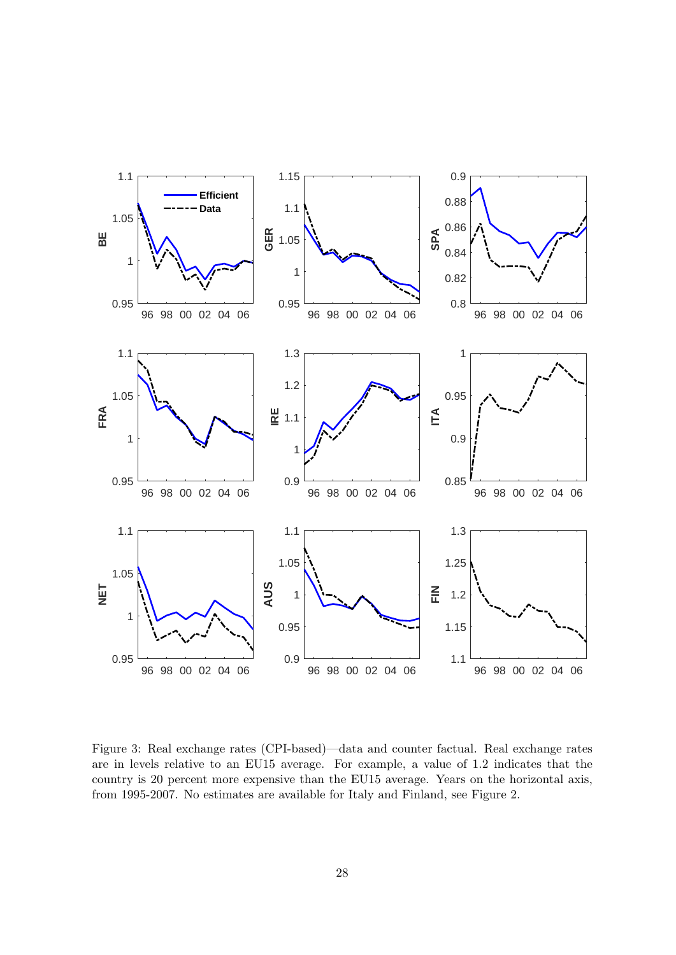

<span id="page-29-0"></span>Figure 3: Real exchange rates (CPI-based)—data and counter factual. Real exchange rates are in levels relative to an EU15 average. For example, a value of 1.2 indicates that the country is 20 percent more expensive than the EU15 average. Years on the horizontal axis, from 1995-2007. No estimates are available for Italy and Finland, see Figure [2.](#page-27-0)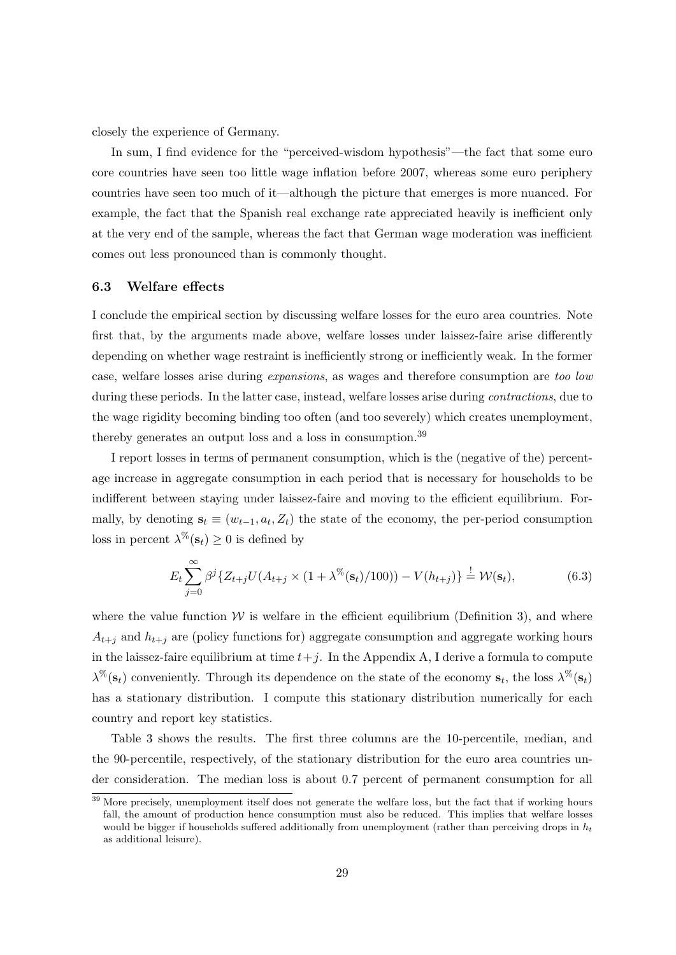closely the experience of Germany.

In sum, I find evidence for the "perceived-wisdom hypothesis"—the fact that some euro core countries have seen too little wage inflation before 2007, whereas some euro periphery countries have seen too much of it—although the picture that emerges is more nuanced. For example, the fact that the Spanish real exchange rate appreciated heavily is inefficient only at the very end of the sample, whereas the fact that German wage moderation was inefficient comes out less pronounced than is commonly thought.

#### <span id="page-30-2"></span>6.3 Welfare effects

I conclude the empirical section by discussing welfare losses for the euro area countries. Note first that, by the arguments made above, welfare losses under laissez-faire arise differently depending on whether wage restraint is inefficiently strong or inefficiently weak. In the former case, welfare losses arise during expansions, as wages and therefore consumption are too low during these periods. In the latter case, instead, welfare losses arise during *contractions*, due to the wage rigidity becoming binding too often (and too severely) which creates unemployment, thereby generates an output loss and a loss in consumption.[39](#page-30-0)

I report losses in terms of permanent consumption, which is the (negative of the) percentage increase in aggregate consumption in each period that is necessary for households to be indifferent between staying under laissez-faire and moving to the efficient equilibrium. Formally, by denoting  $s_t \equiv (w_{t-1}, a_t, Z_t)$  the state of the economy, the per-period consumption loss in percent  $\lambda^{\%}(\mathbf{s}_t) \geq 0$  is defined by

<span id="page-30-1"></span>
$$
E_t \sum_{j=0}^{\infty} \beta^j \{ Z_{t+j} U(A_{t+j} \times (1+\lambda^{\%}(s_t)/100)) - V(h_{t+j}) \} \stackrel{!}{=} \mathcal{W}(s_t), \tag{6.3}
$$

where the value function  $\mathcal W$  is welfare in the efficient equilibrium (Definition [3\)](#page-15-2), and where  $A_{t+j}$  and  $h_{t+j}$  are (policy functions for) aggregate consumption and aggregate working hours in the laissez-faire equilibrium at time  $t+j$ . In the Appendix [A,](#page-36-0) I derive a formula to compute  $\lambda^{\%}(\mathbf{s}_t)$  conveniently. Through its dependence on the state of the economy  $\mathbf{s}_t$ , the loss  $\lambda^{\%}(\mathbf{s}_t)$ has a stationary distribution. I compute this stationary distribution numerically for each country and report key statistics.

Table [3](#page-31-0) shows the results. The first three columns are the 10-percentile, median, and the 90-percentile, respectively, of the stationary distribution for the euro area countries under consideration. The median loss is about 0.7 percent of permanent consumption for all

<span id="page-30-0"></span><sup>&</sup>lt;sup>39</sup> More precisely, unemployment itself does not generate the welfare loss, but the fact that if working hours fall, the amount of production hence consumption must also be reduced. This implies that welfare losses would be bigger if households suffered additionally from unemployment (rather than perceiving drops in  $h_t$ as additional leisure).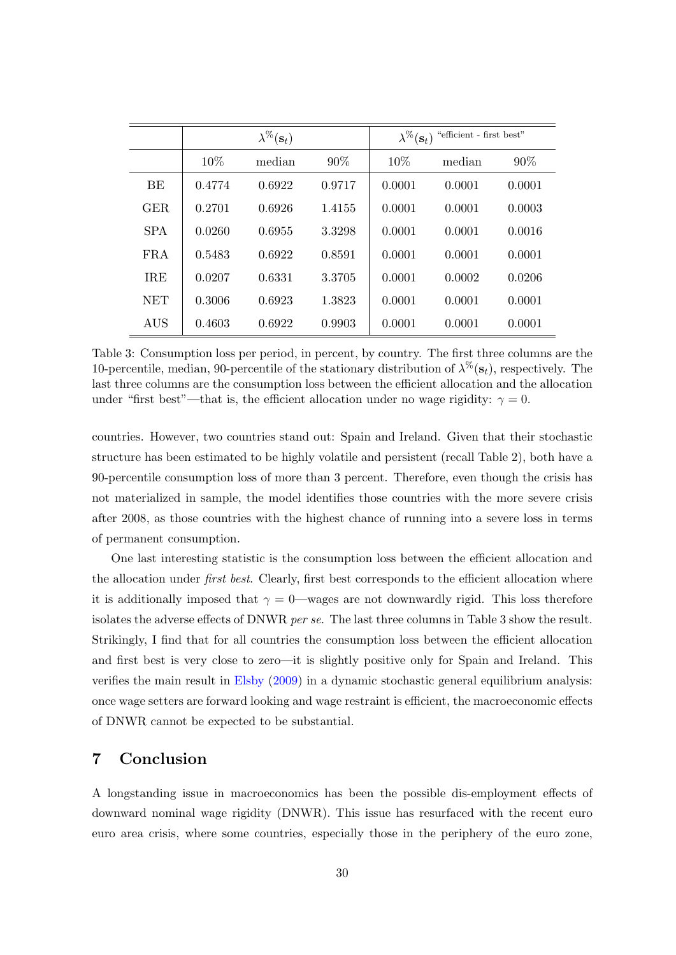|            |        | $\lambda^{\%}(\mathbf{s}_t)$ |        | "efficient - first best"<br>$\lambda^{\%}(\mathbf{s}_t)$ |        |        |
|------------|--------|------------------------------|--------|----------------------------------------------------------|--------|--------|
|            | 10\%   | median                       | $90\%$ | $10\%$                                                   | median | $90\%$ |
| BE         | 0.4774 | 0.6922                       | 0.9717 | 0.0001                                                   | 0.0001 | 0.0001 |
| GER.       | 0.2701 | 0.6926                       | 1.4155 | 0.0001                                                   | 0.0001 | 0.0003 |
| <b>SPA</b> | 0.0260 | 0.6955                       | 3.3298 | 0.0001                                                   | 0.0001 | 0.0016 |
| <b>FRA</b> | 0.5483 | 0.6922                       | 0.8591 | 0.0001                                                   | 0.0001 | 0.0001 |
| <b>IRE</b> | 0.0207 | 0.6331                       | 3.3705 | 0.0001                                                   | 0.0002 | 0.0206 |
| <b>NET</b> | 0.3006 | 0.6923                       | 1.3823 | 0.0001                                                   | 0.0001 | 0.0001 |
| AUS        | 0.4603 | 0.6922                       | 0.9903 | 0.0001                                                   | 0.0001 | 0.0001 |

<span id="page-31-0"></span>Table 3: Consumption loss per period, in percent, by country. The first three columns are the 10-percentile, median, 90-percentile of the stationary distribution of  $\lambda^{\%}(\mathbf{s}_t)$ , respectively. The last three columns are the consumption loss between the efficient allocation and the allocation under "first best"—that is, the efficient allocation under no wage rigidity:  $\gamma = 0$ .

countries. However, two countries stand out: Spain and Ireland. Given that their stochastic structure has been estimated to be highly volatile and persistent (recall Table [2\)](#page-26-1), both have a 90-percentile consumption loss of more than 3 percent. Therefore, even though the crisis has not materialized in sample, the model identifies those countries with the more severe crisis after 2008, as those countries with the highest chance of running into a severe loss in terms of permanent consumption.

One last interesting statistic is the consumption loss between the efficient allocation and the allocation under *first best*. Clearly, first best corresponds to the efficient allocation where it is additionally imposed that  $\gamma = 0$ —wages are not downwardly rigid. This loss therefore isolates the adverse effects of DNWR per se. The last three columns in Table [3](#page-31-0) show the result. Strikingly, I find that for all countries the consumption loss between the efficient allocation and first best is very close to zero—it is slightly positive only for Spain and Ireland. This verifies the main result in [Elsby](#page-34-0) [\(2009\)](#page-34-0) in a dynamic stochastic general equilibrium analysis: once wage setters are forward looking and wage restraint is efficient, the macroeconomic effects of DNWR cannot be expected to be substantial.

### 7 Conclusion

A longstanding issue in macroeconomics has been the possible dis-employment effects of downward nominal wage rigidity (DNWR). This issue has resurfaced with the recent euro euro area crisis, where some countries, especially those in the periphery of the euro zone,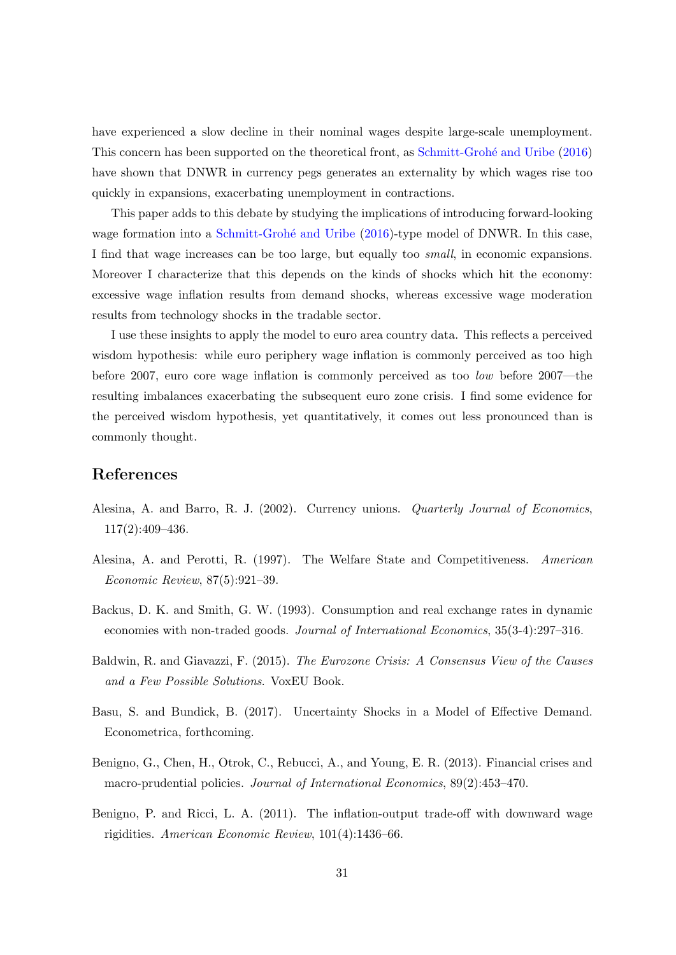have experienced a slow decline in their nominal wages despite large-scale unemployment. This concern has been supported on the theoretical front, as Schmitt-Grohé and Uribe [\(2016\)](#page-35-0) have shown that DNWR in currency pegs generates an externality by which wages rise too quickly in expansions, exacerbating unemployment in contractions.

This paper adds to this debate by studying the implications of introducing forward-looking wage formation into a Schmitt-Grohé and Uribe [\(2016\)](#page-35-0)-type model of DNWR. In this case, I find that wage increases can be too large, but equally too small, in economic expansions. Moreover I characterize that this depends on the kinds of shocks which hit the economy: excessive wage inflation results from demand shocks, whereas excessive wage moderation results from technology shocks in the tradable sector.

I use these insights to apply the model to euro area country data. This reflects a perceived wisdom hypothesis: while euro periphery wage inflation is commonly perceived as too high before 2007, euro core wage inflation is commonly perceived as too low before 2007—the resulting imbalances exacerbating the subsequent euro zone crisis. I find some evidence for the perceived wisdom hypothesis, yet quantitatively, it comes out less pronounced than is commonly thought.

## References

- <span id="page-32-2"></span>Alesina, A. and Barro, R. J. (2002). Currency unions. Quarterly Journal of Economics, 117(2):409–436.
- <span id="page-32-3"></span>Alesina, A. and Perotti, R. (1997). The Welfare State and Competitiveness. American Economic Review, 87(5):921–39.
- <span id="page-32-5"></span>Backus, D. K. and Smith, G. W. (1993). Consumption and real exchange rates in dynamic economies with non-traded goods. Journal of International Economics, 35(3-4):297–316.
- <span id="page-32-0"></span>Baldwin, R. and Giavazzi, F. (2015). The Eurozone Crisis: A Consensus View of the Causes and a Few Possible Solutions. VoxEU Book.
- <span id="page-32-1"></span>Basu, S. and Bundick, B. (2017). Uncertainty Shocks in a Model of Effective Demand. Econometrica, forthcoming.
- <span id="page-32-6"></span>Benigno, G., Chen, H., Otrok, C., Rebucci, A., and Young, E. R. (2013). Financial crises and macro-prudential policies. Journal of International Economics, 89(2):453–470.
- <span id="page-32-4"></span>Benigno, P. and Ricci, L. A. (2011). The inflation-output trade-off with downward wage rigidities. American Economic Review, 101(4):1436–66.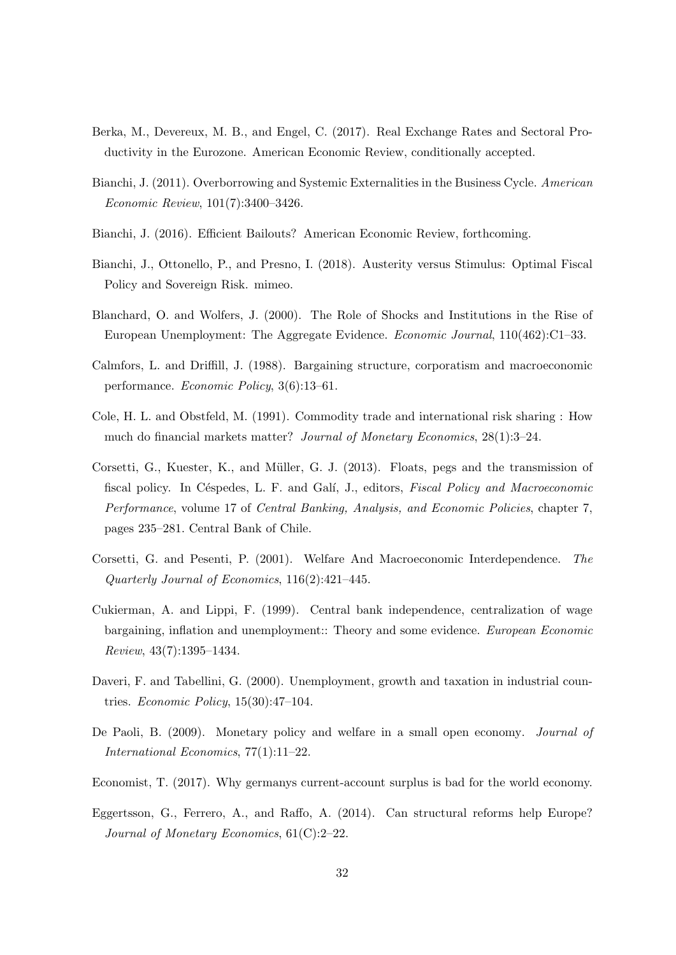- <span id="page-33-0"></span>Berka, M., Devereux, M. B., and Engel, C. (2017). Real Exchange Rates and Sectoral Productivity in the Eurozone. American Economic Review, conditionally accepted.
- <span id="page-33-3"></span>Bianchi, J. (2011). Overborrowing and Systemic Externalities in the Business Cycle. American Economic Review, 101(7):3400–3426.
- <span id="page-33-4"></span>Bianchi, J. (2016). Efficient Bailouts? American Economic Review, forthcoming.
- <span id="page-33-1"></span>Bianchi, J., Ottonello, P., and Presno, I. (2018). Austerity versus Stimulus: Optimal Fiscal Policy and Sovereign Risk. mimeo.
- <span id="page-33-8"></span>Blanchard, O. and Wolfers, J. (2000). The Role of Shocks and Institutions in the Rise of European Unemployment: The Aggregate Evidence. Economic Journal, 110(462):C1–33.
- <span id="page-33-7"></span>Calmfors, L. and Driffill, J. (1988). Bargaining structure, corporatism and macroeconomic performance. Economic Policy, 3(6):13–61.
- <span id="page-33-10"></span>Cole, H. L. and Obstfeld, M. (1991). Commodity trade and international risk sharing : How much do financial markets matter? Journal of Monetary Economics, 28(1):3–24.
- <span id="page-33-6"></span>Corsetti, G., Kuester, K., and Müller, G. J. (2013). Floats, pegs and the transmission of fiscal policy. In Céspedes, L. F. and Galí, J., editors, Fiscal Policy and Macroeconomic Performance, volume 17 of Central Banking, Analysis, and Economic Policies, chapter 7, pages 235–281. Central Bank of Chile.
- <span id="page-33-5"></span>Corsetti, G. and Pesenti, P. (2001). Welfare And Macroeconomic Interdependence. The Quarterly Journal of Economics, 116(2):421–445.
- <span id="page-33-11"></span>Cukierman, A. and Lippi, F. (1999). Central bank independence, centralization of wage bargaining, inflation and unemployment:: Theory and some evidence. European Economic Review, 43(7):1395–1434.
- <span id="page-33-9"></span>Daveri, F. and Tabellini, G. (2000). Unemployment, growth and taxation in industrial countries. Economic Policy, 15(30):47–104.
- <span id="page-33-12"></span>De Paoli, B. (2009). Monetary policy and welfare in a small open economy. Journal of International Economics, 77(1):11–22.
- <span id="page-33-2"></span>Economist, T. (2017). Why germanys current-account surplus is bad for the world economy.
- <span id="page-33-13"></span>Eggertsson, G., Ferrero, A., and Raffo, A. (2014). Can structural reforms help Europe? Journal of Monetary Economics, 61(C):2–22.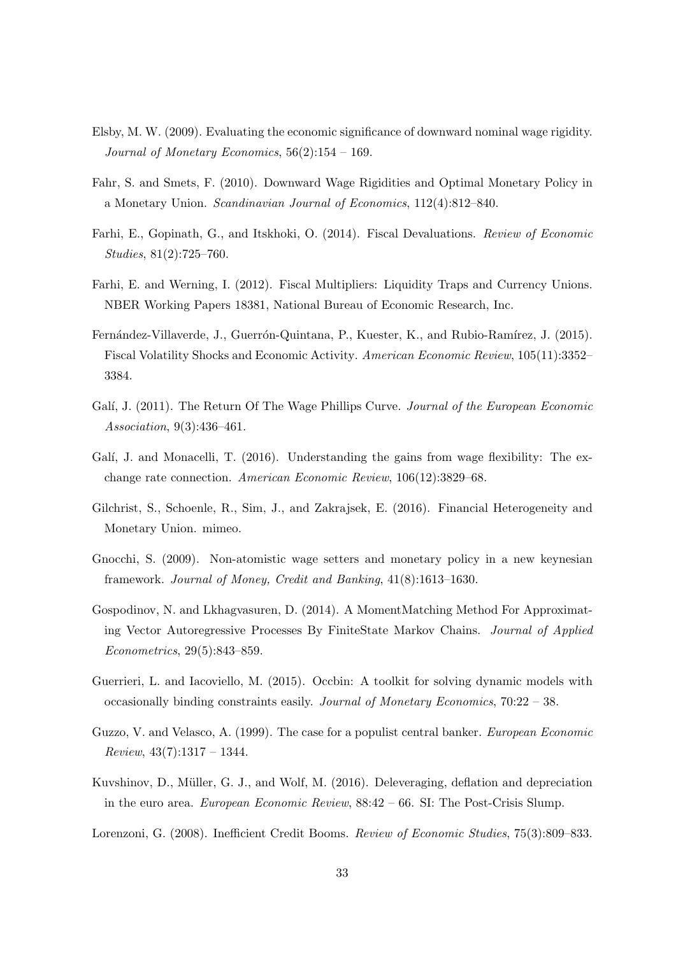- <span id="page-34-0"></span>Elsby, M. W. (2009). Evaluating the economic significance of downward nominal wage rigidity. Journal of Monetary Economics,  $56(2):154-169$ .
- <span id="page-34-8"></span>Fahr, S. and Smets, F. (2010). Downward Wage Rigidities and Optimal Monetary Policy in a Monetary Union. Scandinavian Journal of Economics, 112(4):812–840.
- <span id="page-34-6"></span>Farhi, E., Gopinath, G., and Itskhoki, O. (2014). Fiscal Devaluations. Review of Economic Studies, 81(2):725–760.
- <span id="page-34-5"></span>Farhi, E. and Werning, I. (2012). Fiscal Multipliers: Liquidity Traps and Currency Unions. NBER Working Papers 18381, National Bureau of Economic Research, Inc.
- <span id="page-34-7"></span>Fernández-Villaverde, J., Guerrón-Quintana, P., Kuester, K., and Rubio-Ramírez, J. (2015). Fiscal Volatility Shocks and Economic Activity. American Economic Review, 105(11):3352– 3384.
- <span id="page-34-11"></span>Galí, J. (2011). The Return Of The Wage Phillips Curve. Journal of the European Economic Association, 9(3):436–461.
- <span id="page-34-12"></span>Galí, J. and Monacelli, T. (2016). Understanding the gains from wage flexibility: The exchange rate connection. American Economic Review, 106(12):3829–68.
- <span id="page-34-2"></span>Gilchrist, S., Schoenle, R., Sim, J., and Zakrajsek, E. (2016). Financial Heterogeneity and Monetary Union. mimeo.
- <span id="page-34-9"></span>Gnocchi, S. (2009). Non-atomistic wage setters and monetary policy in a new keynesian framework. Journal of Money, Credit and Banking, 41(8):1613–1630.
- <span id="page-34-13"></span>Gospodinov, N. and Lkhagvasuren, D. (2014). A MomentMatching Method For Approximating Vector Autoregressive Processes By FiniteState Markov Chains. Journal of Applied Econometrics, 29(5):843–859.
- <span id="page-34-10"></span>Guerrieri, L. and Iacoviello, M. (2015). Occbin: A toolkit for solving dynamic models with occasionally binding constraints easily. Journal of Monetary Economics, 70:22 – 38.
- <span id="page-34-4"></span>Guzzo, V. and Velasco, A. (1999). The case for a populist central banker. European Economic  $Review, 43(7):1317-1344.$
- <span id="page-34-1"></span>Kuvshinov, D., M¨uller, G. J., and Wolf, M. (2016). Deleveraging, deflation and depreciation in the euro area. European Economic Review, 88:42 – 66. SI: The Post-Crisis Slump.
- <span id="page-34-3"></span>Lorenzoni, G. (2008). Inefficient Credit Booms. Review of Economic Studies, 75(3):809–833.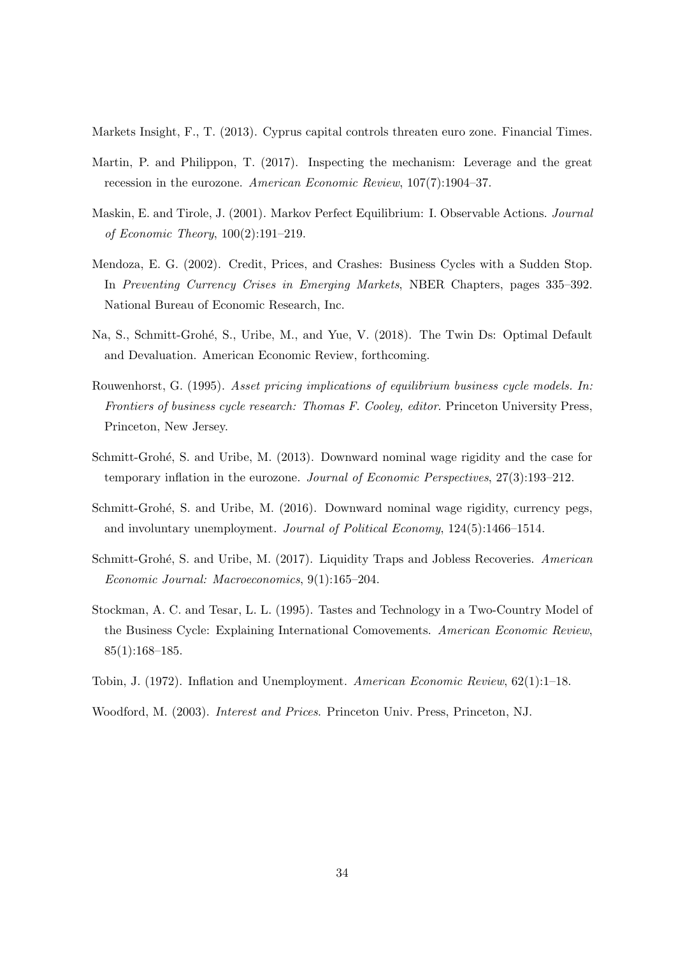<span id="page-35-10"></span>Markets Insight, F., T. (2013). Cyprus capital controls threaten euro zone. Financial Times.

- <span id="page-35-5"></span>Martin, P. and Philippon, T. (2017). Inspecting the mechanism: Leverage and the great recession in the eurozone. American Economic Review, 107(7):1904–37.
- <span id="page-35-6"></span>Maskin, E. and Tirole, J. (2001). Markov Perfect Equilibrium: I. Observable Actions. Journal of Economic Theory, 100(2):191–219.
- <span id="page-35-9"></span>Mendoza, E. G. (2002). Credit, Prices, and Crashes: Business Cycles with a Sudden Stop. In Preventing Currency Crises in Emerging Markets, NBER Chapters, pages 335–392. National Bureau of Economic Research, Inc.
- <span id="page-35-1"></span>Na, S., Schmitt-Grohé, S., Uribe, M., and Yue, V. (2018). The Twin Ds: Optimal Default and Devaluation. American Economic Review, forthcoming.
- <span id="page-35-11"></span>Rouwenhorst, G. (1995). Asset pricing implications of equilibrium business cycle models. In: Frontiers of business cycle research: Thomas F. Cooley, editor. Princeton University Press, Princeton, New Jersey.
- <span id="page-35-4"></span>Schmitt-Grohé, S. and Uribe, M. (2013). Downward nominal wage rigidity and the case for temporary inflation in the eurozone. Journal of Economic Perspectives, 27(3):193–212.
- <span id="page-35-0"></span>Schmitt-Grohé, S. and Uribe, M. (2016). Downward nominal wage rigidity, currency pegs, and involuntary unemployment. Journal of Political Economy, 124(5):1466–1514.
- <span id="page-35-2"></span>Schmitt-Grohé, S. and Uribe, M. (2017). Liquidity Traps and Jobless Recoveries. American Economic Journal: Macroeconomics, 9(1):165–204.
- <span id="page-35-8"></span>Stockman, A. C. and Tesar, L. L. (1995). Tastes and Technology in a Two-Country Model of the Business Cycle: Explaining International Comovements. American Economic Review, 85(1):168–185.
- <span id="page-35-3"></span>Tobin, J. (1972). Inflation and Unemployment. American Economic Review, 62(1):1–18.
- <span id="page-35-7"></span>Woodford, M. (2003). Interest and Prices. Princeton Univ. Press, Princeton, NJ.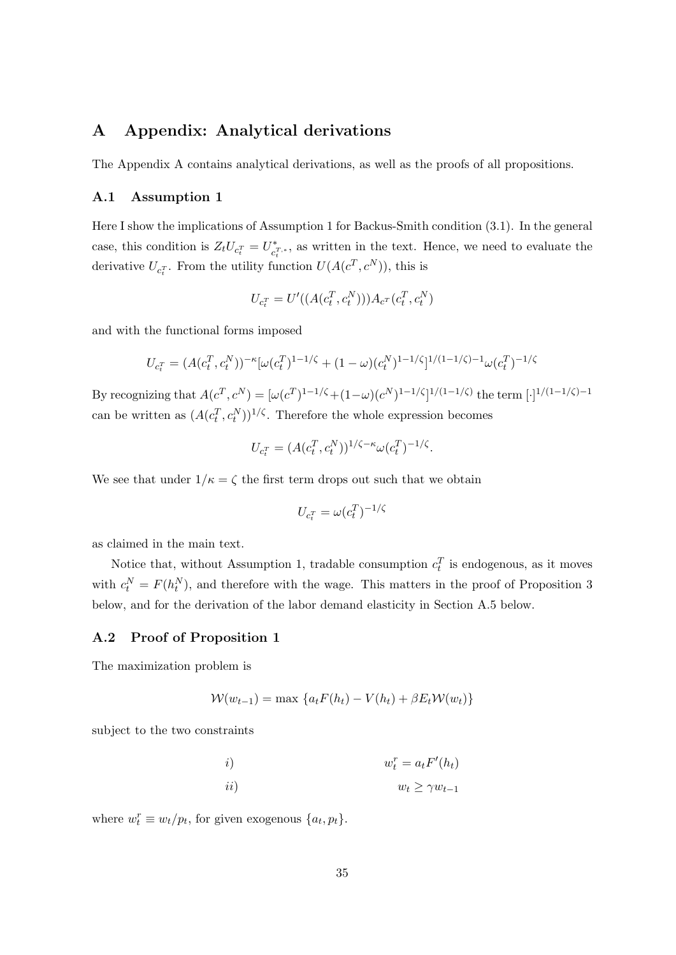## <span id="page-36-0"></span>A Appendix: Analytical derivations

The Appendix A contains analytical derivations, as well as the proofs of all propositions.

#### <span id="page-36-1"></span>A.1 Assumption [1](#page-10-2)

Here I show the implications of Assumption [1](#page-10-2) for Backus-Smith condition [\(3.1\)](#page-11-1). In the general case, this condition is  $Z_t U_{c_t^T} = U_{c_t}^*$ c T,∗ t , as written in the text. Hence, we need to evaluate the derivative  $U_{c_i^T}$ . From the utility function  $U(A(c^T, c^N))$ , this is

$$
U_{c_t^T} = U'((A(c_t^T, c_t^N)))A_{c^T}(c_t^T, c_t^N)
$$

and with the functional forms imposed

$$
U_{c_t^T} = (A(c_t^T, c_t^N))^{-\kappa} [\omega(c_t^T)^{1-1/\zeta} + (1-\omega)(c_t^N)^{1-1/\zeta}]^{1/(1-1/\zeta)-1} \omega(c_t^T)^{-1/\zeta}
$$

By recognizing that  $A(c^T, c^N) = [\omega(c^T)^{1-1/\zeta} + (1-\omega)(c^N)^{1-1/\zeta}]^{1/(1-1/\zeta)}$  the term  $\lceil \cdot \rceil^{1/(1-1/\zeta)-1}$ can be written as  $(A(c_t^T, c_t^N))^{1/\zeta}$ . Therefore the whole expression becomes

$$
U_{c_t^T} = (A(c_t^T, c_t^N))^{1/\zeta - \kappa} \omega(c_t^T)^{-1/\zeta}.
$$

We see that under  $1/\kappa = \zeta$  the first term drops out such that we obtain

$$
U_{c_t^T} = \omega(c_t^T)^{-1/\zeta}
$$

as claimed in the main text.

Notice that, without Assumption [1,](#page-10-2) tradable consumption  $c_t^T$  is endogenous, as it moves with  $c_t^N = F(h_t^N)$ , and therefore with the wage. This matters in the proof of Proposition [3](#page-15-3) below, and for the derivation of the labor demand elasticity in Section [A.5](#page-42-0) below.

#### A.2 Proof of Proposition [1](#page-7-3)

The maximization problem is

$$
\mathcal{W}(w_{t-1}) = \max \left\{ a_t F(h_t) - V(h_t) + \beta E_t \mathcal{W}(w_t) \right\}
$$

subject to the two constraints

*i*)  
\n*ii*)  
\n
$$
w_t^r = a_t F'(h_t)
$$
\n*iii*)  
\n
$$
w_t \ge \gamma w_{t-1}
$$

where  $w_t^r \equiv w_t/p_t$ , for given exogenous  $\{a_t, p_t\}$ .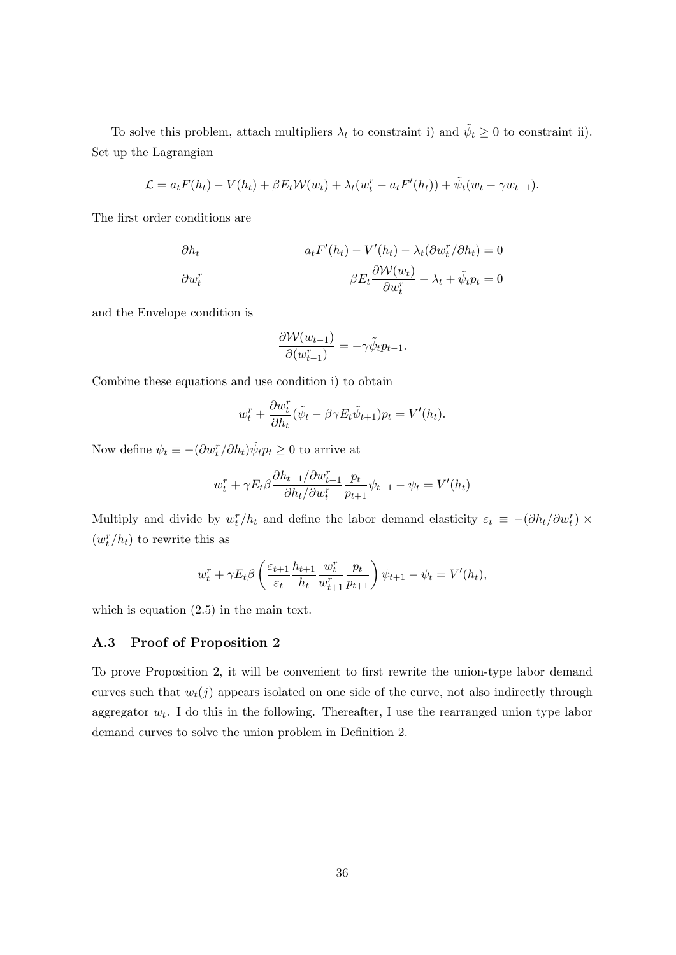To solve this problem, attach multipliers  $\lambda_t$  to constraint i) and  $\tilde{\psi}_t \geq 0$  to constraint ii). Set up the Lagrangian

$$
\mathcal{L} = a_t F(h_t) - V(h_t) + \beta E_t \mathcal{W}(w_t) + \lambda_t (w_t^r - a_t F'(h_t)) + \tilde{\psi}_t (w_t - \gamma w_{t-1}).
$$

The first order conditions are

$$
\partial h_t \qquad a_t F'(h_t) - V'(h_t) - \lambda_t (\partial w_t^r / \partial h_t) = 0
$$

$$
\partial w_t^r \qquad \beta E_t \frac{\partial \mathcal{W}(w_t)}{\partial w_t^r} + \lambda_t + \tilde{\psi}_t p_t = 0
$$

and the Envelope condition is

$$
\frac{\partial \mathcal{W}(w_{t-1})}{\partial (w_{t-1}^r)} = -\gamma \tilde{\psi}_t p_{t-1}.
$$

Combine these equations and use condition i) to obtain

$$
w_t^r + \frac{\partial w_t^r}{\partial h_t} (\tilde{\psi}_t - \beta \gamma E_t \tilde{\psi}_{t+1}) p_t = V'(h_t).
$$

Now define  $\psi_t \equiv -(\partial w_t^r / \partial h_t) \tilde{\psi}_t p_t \ge 0$  to arrive at

$$
w_t^r + \gamma E_t \beta \frac{\partial h_{t+1}}{\partial h_t / \partial w_t^r} \frac{p_t}{p_{t+1}} \psi_{t+1} - \psi_t = V'(h_t)
$$

Multiply and divide by  $w_t^r/h_t$  and define the labor demand elasticity  $\varepsilon_t \equiv -(\partial h_t/\partial w_t^r) \times$  $(w_t^r/h_t)$  to rewrite this as

$$
w_t^r + \gamma E_t \beta \left( \frac{\varepsilon_{t+1}}{\varepsilon_t} \frac{h_{t+1}}{h_t} \frac{w_t^r}{w_{t+1}^r} \frac{p_t}{p_{t+1}} \right) \psi_{t+1} - \psi_t = V'(h_t),
$$

which is equation  $(2.5)$  in the main text.

#### A.3 Proof of Proposition [2](#page-13-3)

To prove Proposition [2,](#page-13-3) it will be convenient to first rewrite the union-type labor demand curves such that  $w_t(j)$  appears isolated on one side of the curve, not also indirectly through aggregator  $w_t$ . I do this in the following. Thereafter, I use the rearranged union type labor demand curves to solve the union problem in Definition [2.](#page-12-0)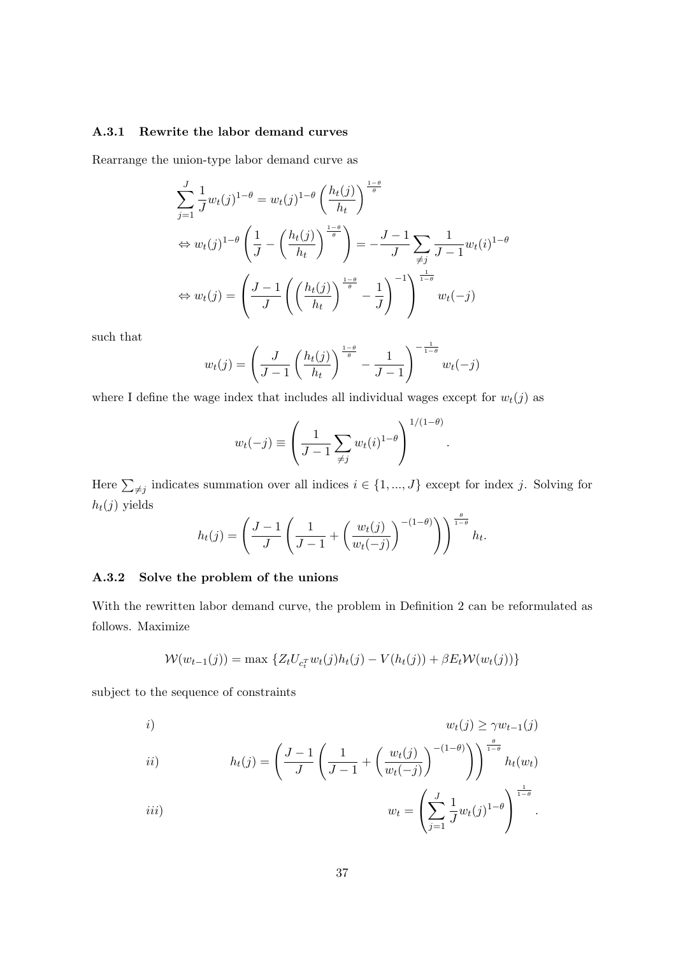#### A.3.1 Rewrite the labor demand curves

Rearrange the union-type labor demand curve as

$$
\sum_{j=1}^{J} \frac{1}{J} w_t(j)^{1-\theta} = w_t(j)^{1-\theta} \left(\frac{h_t(j)}{h_t}\right)^{\frac{1-\theta}{\theta}}
$$
  
\n
$$
\Leftrightarrow w_t(j)^{1-\theta} \left(\frac{1}{J} - \left(\frac{h_t(j)}{h_t}\right)^{\frac{1-\theta}{\theta}}\right) = -\frac{J-1}{J} \sum_{\neq j} \frac{1}{J-1} w_t(i)^{1-\theta}
$$
  
\n
$$
\Leftrightarrow w_t(j) = \left(\frac{J-1}{J} \left(\left(\frac{h_t(j)}{h_t}\right)^{\frac{1-\theta}{\theta}} - \frac{1}{J}\right)^{-1}\right)^{\frac{1}{1-\theta}} w_t(-j)
$$

such that

$$
w_t(j) = \left(\frac{J}{J-1}\left(\frac{h_t(j)}{h_t}\right)^{\frac{1-\theta}{\theta}} - \frac{1}{J-1}\right)^{-\frac{1}{1-\theta}}w_t(-j)
$$

where I define the wage index that includes all individual wages except for  $w_t(j)$  as

$$
w_t(-j) \equiv \left(\frac{1}{J-1}\sum_{\neq j} w_t(i)^{1-\theta}\right)^{1/(1-\theta)}.
$$

Here  $\sum_{j \neq j}$  indicates summation over all indices  $i \in \{1, ..., J\}$  except for index j. Solving for  $h_t(j)$  yields

$$
h_t(j) = \left(\frac{J-1}{J}\left(\frac{1}{J-1} + \left(\frac{w_t(j)}{w_t(-j)}\right)^{-(1-\theta)}\right)\right)^{\frac{\theta}{1-\theta}}h_t.
$$

#### A.3.2 Solve the problem of the unions

With the rewritten labor demand curve, the problem in Definition [2](#page-12-0) can be reformulated as follows. Maximize

$$
W(w_{t-1}(j)) = \max \{Z_t U_{c_t^T} w_t(j) h_t(j) - V(h_t(j)) + \beta E_t W(w_t(j))\}
$$

subject to the sequence of constraints

i) wt(j) ≥ γwt−1(j) ii) <sup>h</sup>t(j) = J − 1 J 1 J − 1 + wt(j) wt(−j) −(1−θ) !! <sup>θ</sup> 1−θ ht(wt) J 1 1 1−θ

$$
iii) \t\t\t\t\t w_t = \left(\sum_{j=1}^J \frac{1}{J} w_t(j)^{1-\theta}\right)^{1-\theta}.
$$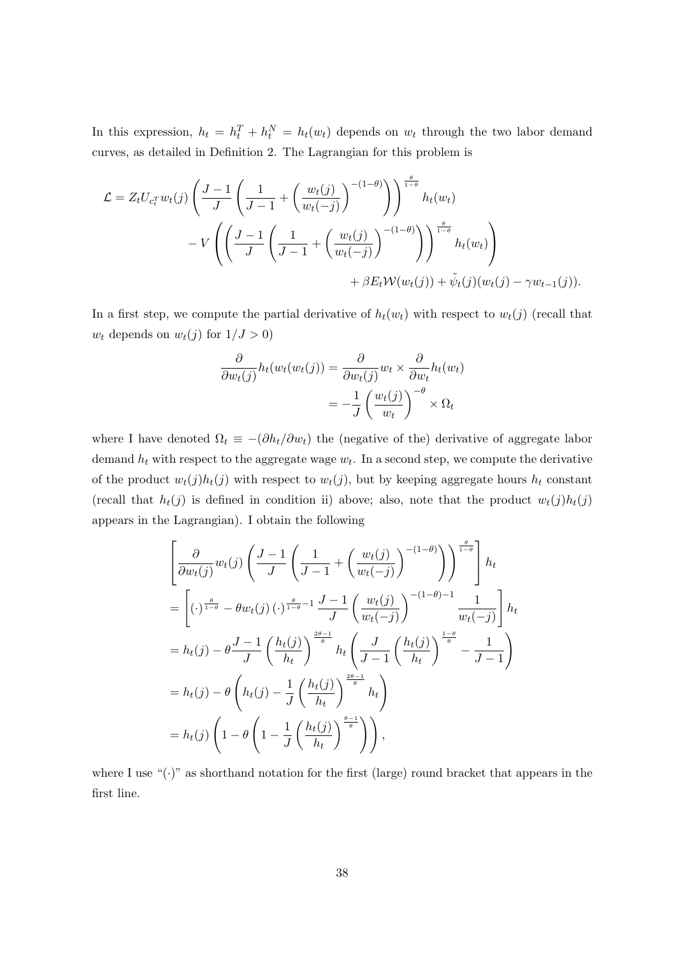In this expression,  $h_t = h_t^T + h_t^N = h_t(w_t)$  depends on  $w_t$  through the two labor demand curves, as detailed in Definition [2.](#page-13-3) The Lagrangian for this problem is

$$
\mathcal{L} = Z_t U_{c_t^T} w_t(j) \left( \frac{J-1}{J} \left( \frac{1}{J-1} + \left( \frac{w_t(j)}{w_t(-j)} \right)^{-(1-\theta)} \right) \right)^{\frac{\theta}{1-\theta}} h_t(w_t)
$$

$$
- V \left( \left( \frac{J-1}{J} \left( \frac{1}{J-1} + \left( \frac{w_t(j)}{w_t(-j)} \right)^{-(1-\theta)} \right) \right)^{\frac{\theta}{1-\theta}} h_t(w_t) \right)
$$

$$
+ \beta E_t \mathcal{W}(w_t(j)) + \tilde{\psi}_t(j) (w_t(j) - \gamma w_{t-1}(j)).
$$

In a first step, we compute the partial derivative of  $h_t(w_t)$  with respect to  $w_t(j)$  (recall that  $w_t$  depends on  $w_t(j)$  for  $1/J > 0$ )

$$
\frac{\partial}{\partial w_t(j)} h_t(w_t(w_t(j))) = \frac{\partial}{\partial w_t(j)} w_t \times \frac{\partial}{\partial w_t} h_t(w_t)
$$

$$
= -\frac{1}{J} \left( \frac{w_t(j)}{w_t} \right)^{-\theta} \times \Omega_t
$$

where I have denoted  $\Omega_t \equiv -(\partial h_t/\partial w_t)$  the (negative of the) derivative of aggregate labor demand  $h_t$  with respect to the aggregate wage  $w_t$ . In a second step, we compute the derivative of the product  $w_t(j)h_t(j)$  with respect to  $w_t(j)$ , but by keeping aggregate hours  $h_t$  constant (recall that  $h_t(j)$  is defined in condition ii) above; also, note that the product  $w_t(j)h_t(j)$ appears in the Lagrangian). I obtain the following

$$
\begin{split}\n&\left[\frac{\partial}{\partial w_t(j)} w_t(j) \left(\frac{J-1}{J} \left(\frac{1}{J-1} + \left(\frac{w_t(j)}{w_t(-j)}\right)^{-(1-\theta)}\right)\right)^{\frac{\theta}{1-\theta}}\right] h_t \\
&= \left[ (\cdot)^{\frac{\theta}{1-\theta}} - \theta w_t(j) (\cdot)^{\frac{\theta}{1-\theta}-1} \frac{J-1}{J} \left(\frac{w_t(j)}{w_t(-j)}\right)^{-(1-\theta)-1} \frac{1}{w_t(-j)}\right] h_t \\
&= h_t(j) - \theta \frac{J-1}{J} \left(\frac{h_t(j)}{h_t}\right)^{\frac{2\theta-1}{\theta}} h_t \left(\frac{J}{J-1} \left(\frac{h_t(j)}{h_t}\right)^{\frac{1-\theta}{\theta}} - \frac{1}{J-1}\right) \\
&= h_t(j) - \theta \left(h_t(j) - \frac{1}{J} \left(\frac{h_t(j)}{h_t}\right)^{\frac{2\theta-1}{\theta}} h_t\right) \\
&= h_t(j) \left(1 - \theta \left(1 - \frac{1}{J} \left(\frac{h_t(j)}{h_t}\right)^{\frac{\theta-1}{\theta}}\right)\right),\n\end{split}
$$

where I use " $(\cdot)$ " as shorthand notation for the first (large) round bracket that appears in the first line.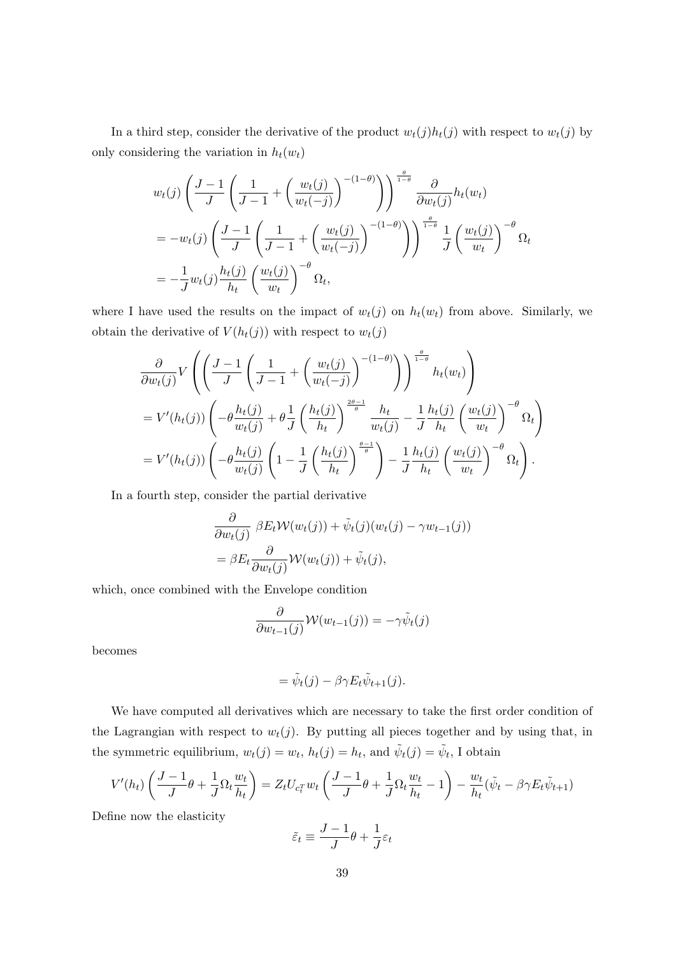In a third step, consider the derivative of the product  $w_t(j)h_t(j)$  with respect to  $w_t(j)$  by only considering the variation in  $h_t(w_t)$ 

$$
w_t(j) \left( \frac{J-1}{J} \left( \frac{1}{J-1} + \left( \frac{w_t(j)}{w_t(-j)} \right)^{-(1-\theta)} \right) \right)^{\frac{\theta}{1-\theta}} \frac{\partial}{\partial w_t(j)} h_t(w_t)
$$
  
=  $-w_t(j) \left( \frac{J-1}{J} \left( \frac{1}{J-1} + \left( \frac{w_t(j)}{w_t(-j)} \right)^{-(1-\theta)} \right) \right)^{\frac{\theta}{1-\theta}} \frac{1}{J} \left( \frac{w_t(j)}{w_t} \right)^{-\theta} \Omega_t$   
=  $-\frac{1}{J} w_t(j) \frac{h_t(j)}{h_t} \left( \frac{w_t(j)}{w_t} \right)^{-\theta} \Omega_t$ ,

where I have used the results on the impact of  $w_t(j)$  on  $h_t(w_t)$  from above. Similarly, we obtain the derivative of  $V(h_t(j))$  with respect to  $w_t(j)$ 

$$
\frac{\partial}{\partial w_t(j)} V \left( \left( \frac{J-1}{J} \left( \frac{1}{J-1} + \left( \frac{w_t(j)}{w_t(-j)} \right)^{-(1-\theta)} \right) \right)^{\frac{\theta}{1-\theta}} h_t(w_t) \right)
$$
\n
$$
= V'(h_t(j)) \left( -\theta \frac{h_t(j)}{w_t(j)} + \theta \frac{1}{J} \left( \frac{h_t(j)}{h_t} \right)^{\frac{2\theta-1}{\theta}} \frac{h_t}{w_t(j)} - \frac{1}{J} \frac{h_t(j)}{h_t} \left( \frac{w_t(j)}{w_t} \right)^{-\theta} \Omega_t \right)
$$
\n
$$
= V'(h_t(j)) \left( -\theta \frac{h_t(j)}{w_t(j)} \left( 1 - \frac{1}{J} \left( \frac{h_t(j)}{h_t} \right)^{\frac{\theta-1}{\theta}} \right) - \frac{1}{J} \frac{h_t(j)}{h_t} \left( \frac{w_t(j)}{w_t} \right)^{-\theta} \Omega_t \right).
$$

In a fourth step, consider the partial derivative

$$
\frac{\partial}{\partial w_t(j)} \beta E_t \mathcal{W}(w_t(j)) + \tilde{\psi}_t(j)(w_t(j) - \gamma w_{t-1}(j))
$$
  
= 
$$
\beta E_t \frac{\partial}{\partial w_t(j)} \mathcal{W}(w_t(j)) + \tilde{\psi}_t(j),
$$

which, once combined with the Envelope condition

$$
\frac{\partial}{\partial w_{t-1}(j)} \mathcal{W}(w_{t-1}(j)) = -\gamma \tilde{\psi}_t(j)
$$

becomes

$$
= \tilde{\psi}_t(j) - \beta \gamma E_t \tilde{\psi}_{t+1}(j).
$$

We have computed all derivatives which are necessary to take the first order condition of the Lagrangian with respect to  $w_t(j)$ . By putting all pieces together and by using that, in the symmetric equilibrium,  $w_t(j) = w_t$ ,  $h_t(j) = h_t$ , and  $\tilde{\psi}_t(j) = \tilde{\psi}_t$ , I obtain

$$
V'(h_t)\left(\frac{J-1}{J}\theta+\frac{1}{J}\Omega_t\frac{w_t}{h_t}\right)=Z_tU_{c_t^T}w_t\left(\frac{J-1}{J}\theta+\frac{1}{J}\Omega_t\frac{w_t}{h_t}-1\right)-\frac{w_t}{h_t}(\tilde{\psi}_t-\beta\gamma E_t\tilde{\psi}_{t+1})
$$

Define now the elasticity

$$
\tilde{\varepsilon}_t \equiv \frac{J-1}{J}\theta + \frac{1}{J}\varepsilon_t
$$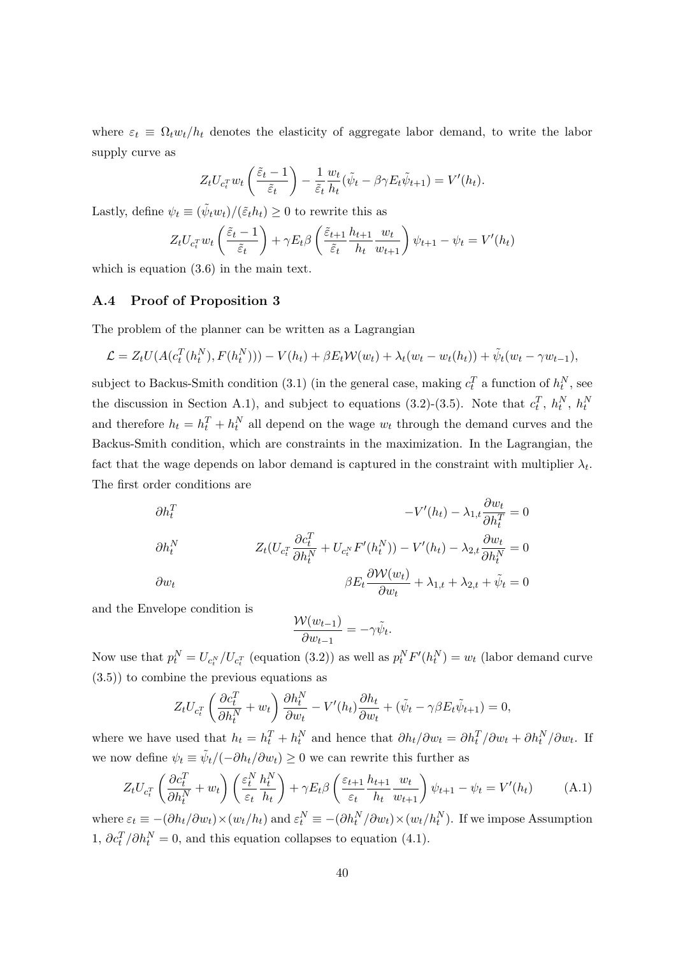where  $\varepsilon_t \equiv \Omega_t w_t/h_t$  denotes the elasticity of aggregate labor demand, to write the labor supply curve as

$$
Z_t U_{c_t^T} w_t \left( \frac{\tilde{\varepsilon}_t - 1}{\tilde{\varepsilon}_t} \right) - \frac{1}{\tilde{\varepsilon}_t} \frac{w_t}{h_t} (\tilde{\psi}_t - \beta \gamma E_t \tilde{\psi}_{t+1}) = V'(h_t).
$$

Lastly, define  $\psi_t \equiv (\tilde{\psi}_t w_t) / (\tilde{\varepsilon}_t h_t) \geq 0$  to rewrite this as

$$
Z_t U_{c_t^T} w_t \left( \frac{\tilde{\varepsilon}_t - 1}{\tilde{\varepsilon}_t} \right) + \gamma E_t \beta \left( \frac{\tilde{\varepsilon}_{t+1}}{\tilde{\varepsilon}_t} \frac{h_{t+1}}{h_t} \frac{w_t}{w_{t+1}} \right) \psi_{t+1} - \psi_t = V'(h_t)
$$

which is equation  $(3.6)$  in the main text.

#### A.4 Proof of Proposition [3](#page-15-3)

The problem of the planner can be written as a Lagrangian

$$
\mathcal{L} = Z_t U(A(c_t^T(h_t^N), F(h_t^N))) - V(h_t) + \beta E_t W(w_t) + \lambda_t (w_t - w_t(h_t)) + \tilde{\psi}_t (w_t - \gamma w_{t-1}),
$$

subject to Backus-Smith condition [\(3.1\)](#page-11-1) (in the general case, making  $c_t^T$  a function of  $h_t^N$ , see the discussion in Section [A.1\)](#page-36-1), and subject to equations [\(3.2\)](#page-11-2)-[\(3.5\)](#page-11-3). Note that  $c_t^T$ ,  $h_t^N$ ,  $h_t^N$ and therefore  $h_t = h_t^T + h_t^N$  all depend on the wage  $w_t$  through the demand curves and the Backus-Smith condition, which are constraints in the maximization. In the Lagrangian, the fact that the wage depends on labor demand is captured in the constraint with multiplier  $\lambda_t$ . The first order conditions are

$$
\partial h_t^T
$$
\n
$$
-V'(h_t) - \lambda_{1,t} \frac{\partial w_t}{\partial h_t^T} = 0
$$
\n
$$
\partial h_t^N
$$
\n
$$
Z_t (U_{c_t^T} \frac{\partial c_t^T}{\partial h_t^N} + U_{c_t^N} F'(h_t^N)) - V'(h_t) - \lambda_{2,t} \frac{\partial w_t}{\partial h_t^N} = 0
$$
\n
$$
\partial w_t
$$
\n
$$
\beta E_t \frac{\partial W(w_t)}{\partial w_t} + \lambda_{1,t} + \lambda_{2,t} + \tilde{\psi}_t = 0
$$

and the Envelope condition is

$$
\frac{\mathcal{W}(w_{t-1})}{\partial w_{t-1}} = -\gamma \tilde{\psi}_t
$$

.

Now use that  $p_t^N = U_{c_t^N}/U_{c_t^T}$  (equation [\(3.2\)](#page-11-2)) as well as  $p_t^N F'(h_t^N) = w_t$  (labor demand curve [\(3.5\)](#page-11-3)) to combine the previous equations as

$$
Z_t U_{c_t^T} \left( \frac{\partial c_t^T}{\partial h_t^N} + w_t \right) \frac{\partial h_t^N}{\partial w_t} - V'(h_t) \frac{\partial h_t}{\partial w_t} + (\tilde{\psi}_t - \gamma \beta E_t \tilde{\psi}_{t+1}) = 0,
$$

where we have used that  $h_t = h_t^T + h_t^N$  and hence that  $\partial h_t / \partial w_t = \partial h_t^T / \partial w_t + \partial h_t^N / \partial w_t$ . If we now define  $\psi_t \equiv \tilde{\psi}_t/(-\partial h_t/\partial w_t) \geq 0$  we can rewrite this further as

<span id="page-41-0"></span>
$$
Z_t U_{c_t^T} \left( \frac{\partial c_t^T}{\partial h_t^N} + w_t \right) \left( \frac{\varepsilon_t^N}{\varepsilon_t} \frac{h_t^N}{h_t} \right) + \gamma E_t \beta \left( \frac{\varepsilon_{t+1}}{\varepsilon_t} \frac{h_{t+1}}{h_t} \frac{w_t}{w_{t+1}} \right) \psi_{t+1} - \psi_t = V'(h_t) \tag{A.1}
$$

where  $\varepsilon_t \equiv -(\partial h_t/\partial w_t) \times (w_t/h_t)$  and  $\varepsilon_t^N \equiv -(\partial h_t^N/\partial w_t) \times (w_t/h_t^N)$ . If we impose Assumption [1,](#page-10-2)  $\partial c_t^T / \partial h_t^N = 0$ , and this equation collapses to equation [\(4.1\)](#page-15-1).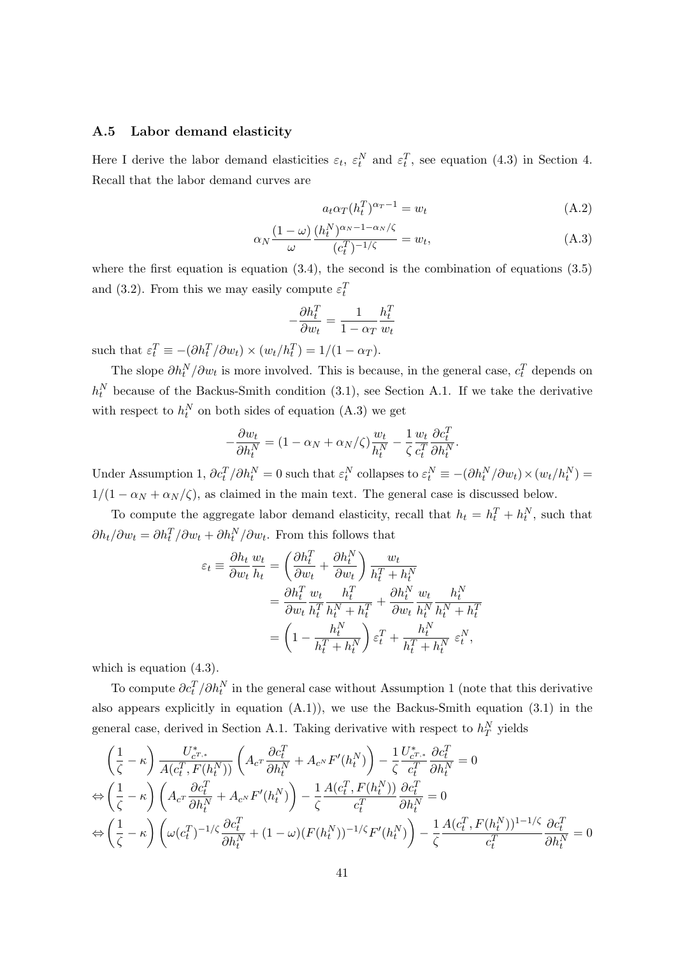#### <span id="page-42-0"></span>A.5 Labor demand elasticity

Here I derive the labor demand elasticities  $\varepsilon_t$ ,  $\varepsilon_t^N$  and  $\varepsilon_t^T$ , see equation [\(4.3\)](#page-16-0) in Section [4.](#page-14-0) Recall that the labor demand curves are

<span id="page-42-1"></span>
$$
a_t \alpha_T (h_t^T)^{\alpha_T - 1} = w_t \tag{A.2}
$$

$$
\alpha_N \frac{(1-\omega)}{\omega} \frac{(h_t^N)^{\alpha_N - 1 - \alpha_N/\zeta}}{(c_t^T)^{-1/\zeta}} = w_t,
$$
\n(A.3)

where the first equation is equation  $(3.4)$ , the second is the combination of equations  $(3.5)$ and [\(3.2\)](#page-11-2). From this we may easily compute  $\varepsilon_t^T$ 

$$
-\frac{\partial h_t^T}{\partial w_t} = \frac{1}{1 - \alpha_T} \frac{h_t^T}{w_t}
$$

such that  $\varepsilon_t^T \equiv -(\partial h_t^T / \partial w_t) \times (w_t / h_t^T) = 1/(1 - \alpha_T)$ .

The slope  $\partial h_t^N / \partial w_t$  is more involved. This is because, in the general case,  $c_t^T$  depends on  $h_t^N$  because of the Backus-Smith condition [\(3.1\)](#page-11-1), see Section [A.1.](#page-36-1) If we take the derivative with respect to  $h_t^N$  on both sides of equation [\(A.3\)](#page-42-1) we get

$$
-\frac{\partial w_t}{\partial h_t^N} = (1 - \alpha_N + \alpha_N/\zeta) \frac{w_t}{h_t^N} - \frac{1}{\zeta} \frac{w_t}{c_t^T} \frac{\partial c_t^T}{\partial h_t^N}.
$$

Under Assumption [1,](#page-10-2)  $\partial c_t^T / \partial h_t^N = 0$  such that  $\varepsilon_t^N$  collapses to  $\varepsilon_t^N \equiv -(\partial h_t^N / \partial w_t) \times (w_t / h_t^N) =$  $1/(1 - \alpha_N + \alpha_N/\zeta)$ , as claimed in the main text. The general case is discussed below.

To compute the aggregate labor demand elasticity, recall that  $h_t = h_t^T + h_t^N$ , such that  $\partial h_t / \partial w_t = \partial h_t^T / \partial w_t + \partial h_t^N / \partial w_t$ . From this follows that

$$
\varepsilon_t \equiv \frac{\partial h_t}{\partial w_t} \frac{w_t}{h_t} = \left(\frac{\partial h_t^T}{\partial w_t} + \frac{\partial h_t^N}{\partial w_t}\right) \frac{w_t}{h_t^T + h_t^N}
$$
  

$$
= \frac{\partial h_t^T}{\partial w_t} \frac{w_t}{h_t^T} \frac{h_t^T}{h_t^N + h_t^T} + \frac{\partial h_t^N}{\partial w_t} \frac{w_t}{h_t^N} \frac{h_t^N}{h_t^N + h_t^T}
$$
  

$$
= \left(1 - \frac{h_t^N}{h_t^T + h_t^N}\right) \varepsilon_t^T + \frac{h_t^N}{h_t^T + h_t^N} \varepsilon_t^N,
$$

which is equation  $(4.3)$ .

To compute  $\partial c_t^T / \partial h_t^N$  in the general case without Assumption [1](#page-10-2) (note that this derivative also appears explicitly in equation  $(A.1)$ , we use the Backus-Smith equation  $(3.1)$  in the general case, derived in Section [A.1.](#page-36-1) Taking derivative with respect to  $h_T^N$  yields

$$
\begin{split}\n&\left(\frac{1}{\zeta}-\kappa\right)\frac{U_{c^{T,*}}^*}{A(c_t^T,F(h_t^N))}\left(A_{c^T}\frac{\partial c_t^T}{\partial h_t^N}+A_{c^N}F'(h_t^N)\right)-\frac{1}{\zeta}\frac{U_{c^{T,*}}^*}{c_t^T}\frac{\partial c_t^T}{\partial h_t^N}=0\\
&\Leftrightarrow\left(\frac{1}{\zeta}-\kappa\right)\left(A_{c^T}\frac{\partial c_t^T}{\partial h_t^N}+A_{c^N}F'(h_t^N)\right)-\frac{1}{\zeta}\frac{A(c_t^T,F(h_t^N))}{c_t^T}\frac{\partial c_t^T}{\partial h_t^N}=0\\
&\Leftrightarrow\left(\frac{1}{\zeta}-\kappa\right)\left(\omega(c_t^T)^{-1/\zeta}\frac{\partial c_t^T}{\partial h_t^N}+(1-\omega)(F(h_t^N))^{-1/\zeta}F'(h_t^N)\right)-\frac{1}{\zeta}\frac{A(c_t^T,F(h_t^N))^{1-1/\zeta}}{c_t^T}\frac{\partial c_t^T}{\partial h_t^N}=0\n\end{split}
$$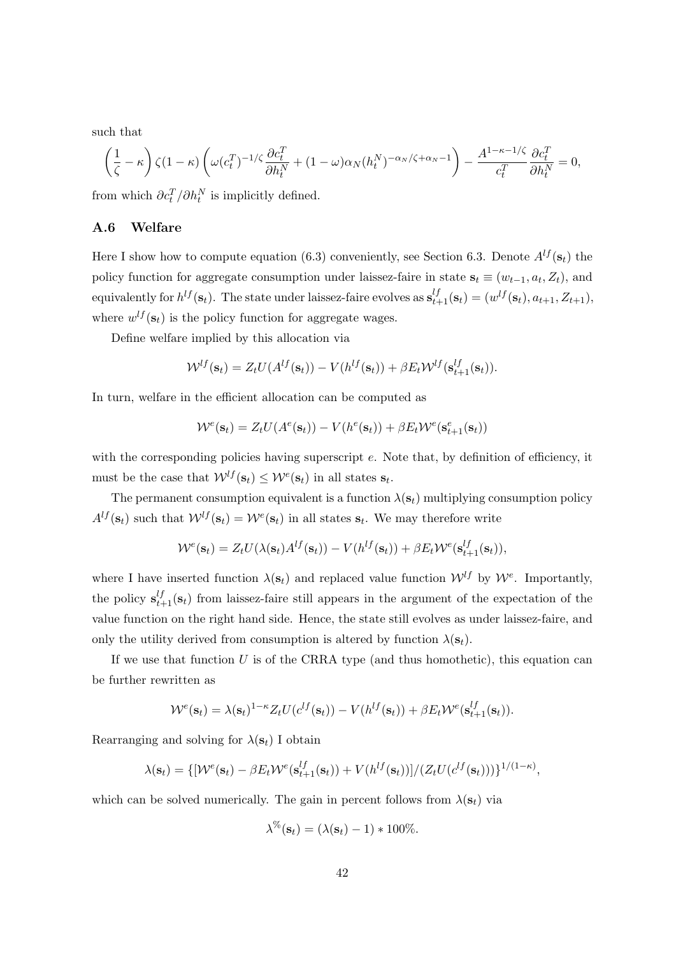such that

$$
\left(\frac{1}{\zeta}-\kappa\right)\zeta(1-\kappa)\left(\omega(c_t^T)^{-1/\zeta}\frac{\partial c_t^T}{\partial h_t^N}+(1-\omega)\alpha_N(h_t^N)^{-\alpha_N/\zeta+\alpha_N-1}\right)-\frac{A^{1-\kappa-1/\zeta}}{c_t^T}\frac{\partial c_t^T}{\partial h_t^N}=0,
$$

from which  $\partial c_t^T / \partial h_t^N$  is implicitly defined.

#### A.6 Welfare

Here I show how to compute equation [\(6.3\)](#page-30-1) conveniently, see Section [6.3.](#page-30-2) Denote  $A^{lf}(\mathbf{s}_t)$  the policy function for aggregate consumption under laissez-faire in state  $s_t \equiv (w_{t-1}, a_t, Z_t)$ , and equivalently for  $h^{lf}(\mathbf{s}_t)$ . The state under laissez-faire evolves as  $\mathbf{s}_{t+1}^{lf}(\mathbf{s}_t) = (w^{lf}(\mathbf{s}_t), a_{t+1}, Z_{t+1}),$ where  $w^{lf}(\mathbf{s}_t)$  is the policy function for aggregate wages.

Define welfare implied by this allocation via

$$
\mathcal{W}^{lf}(\mathbf{s}_t) = Z_t U(A^{lf}(\mathbf{s}_t)) - V(h^{lf}(\mathbf{s}_t)) + \beta E_t \mathcal{W}^{lf}(\mathbf{s}_{t+1}^{lf}(\mathbf{s}_t)).
$$

In turn, welfare in the efficient allocation can be computed as

$$
\mathcal{W}^e(\mathbf{s}_t) = Z_t U(A^e(\mathbf{s}_t)) - V(h^e(\mathbf{s}_t)) + \beta E_t \mathcal{W}^e(\mathbf{s}_{t+1}^e(\mathbf{s}_t))
$$

with the corresponding policies having superscript e. Note that, by definition of efficiency, it must be the case that  $W^{lf}(\mathbf{s}_t) \leq W^{e}(\mathbf{s}_t)$  in all states  $\mathbf{s}_t$ .

The permanent consumption equivalent is a function  $\lambda(\mathbf{s}_t)$  multiplying consumption policy  $A^{lf}(\mathbf{s}_t)$  such that  $\mathcal{W}^{lf}(\mathbf{s}_t) = \mathcal{W}^{e}(\mathbf{s}_t)$  in all states  $\mathbf{s}_t$ . We may therefore write

$$
\mathcal{W}^e(\mathbf{s}_t) = Z_t U(\lambda(\mathbf{s}_t) A^{lf}(\mathbf{s}_t)) - V(h^{lf}(\mathbf{s}_t)) + \beta E_t \mathcal{W}^e(\mathbf{s}_{t+1}^{lf}(\mathbf{s}_t)),
$$

where I have inserted function  $\lambda(\mathbf{s}_t)$  and replaced value function  $\mathcal{W}^{lf}$  by  $\mathcal{W}^{e}$ . Importantly, the policy  $s_{t+1}^{lf}(s_t)$  from laissez-faire still appears in the argument of the expectation of the value function on the right hand side. Hence, the state still evolves as under laissez-faire, and only the utility derived from consumption is altered by function  $\lambda(\mathbf{s}_t)$ .

If we use that function  $U$  is of the CRRA type (and thus homothetic), this equation can be further rewritten as

$$
\mathcal{W}^e(\mathbf{s}_t) = \lambda(\mathbf{s}_t)^{1-\kappa} Z_t U(c^{lf}(\mathbf{s}_t)) - V(h^{lf}(\mathbf{s}_t)) + \beta E_t \mathcal{W}^e(\mathbf{s}_{t+1}^{lf}(\mathbf{s}_t)).
$$

Rearranging and solving for  $\lambda(\mathbf{s}_t)$  I obtain

$$
\lambda(\mathbf{s}_t) = \{ [\mathcal{W}^e(\mathbf{s}_t) - \beta E_t \mathcal{W}^e(\mathbf{s}_{t+1}^{lf}(\mathbf{s}_t)) + V(h^{lf}(\mathbf{s}_t)) ] / (Z_t U(c^{lf}(\mathbf{s}_t))) \}^{1/(1-\kappa)},
$$

which can be solved numerically. The gain in percent follows from  $\lambda(\mathbf{s}_t)$  via

$$
\lambda^{\%}(\mathbf{s}_t) = (\lambda(\mathbf{s}_t) - 1) * 100\%.
$$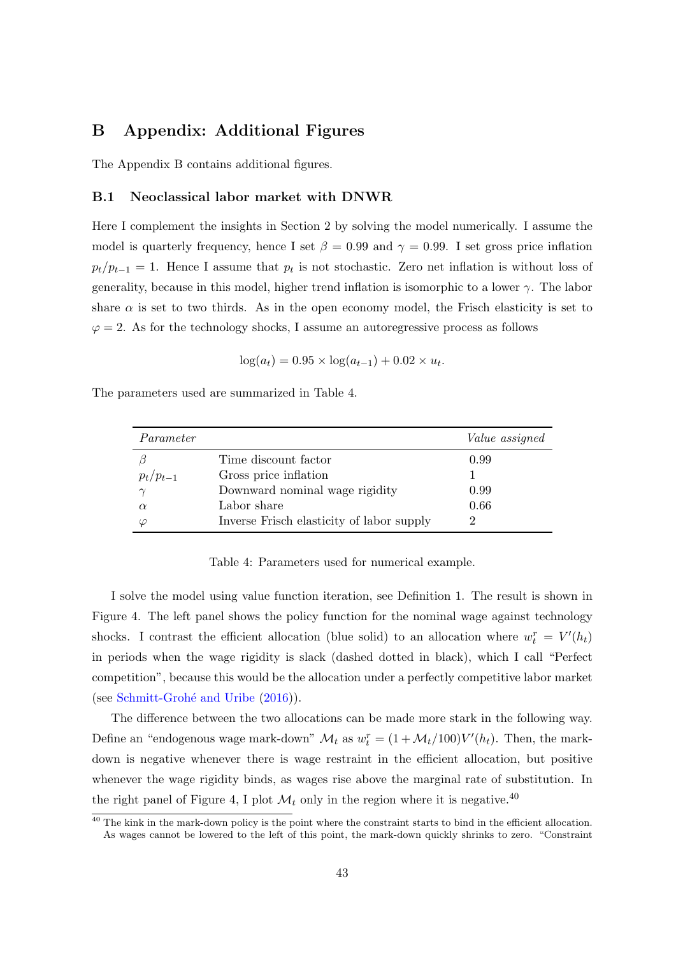## <span id="page-44-0"></span>B Appendix: Additional Figures

The Appendix B contains additional figures.

#### B.1 Neoclassical labor market with DNWR

Here I complement the insights in Section [2](#page-6-5) by solving the model numerically. I assume the model is quarterly frequency, hence I set  $\beta = 0.99$  and  $\gamma = 0.99$ . I set gross price inflation  $p_t/p_{t-1} = 1$ . Hence I assume that  $p_t$  is not stochastic. Zero net inflation is without loss of generality, because in this model, higher trend inflation is isomorphic to a lower  $\gamma$ . The labor share  $\alpha$  is set to two thirds. As in the open economy model, the Frisch elasticity is set to  $\varphi = 2$ . As for the technology shocks, I assume an autoregressive process as follows

$$
\log(a_t) = 0.95 \times \log(a_{t-1}) + 0.02 \times u_t.
$$

The parameters used are summarized in Table [4.](#page-44-1)

| Parameter     |                                           | <i>Value</i> assigned |
|---------------|-------------------------------------------|-----------------------|
|               | Time discount factor                      | 0.99                  |
| $p_t/p_{t-1}$ | Gross price inflation                     |                       |
| $\sim$        | Downward nominal wage rigidity            | 0.99                  |
| $\alpha$      | Labor share                               | 0.66                  |
| $\varphi$     | Inverse Frisch elasticity of labor supply |                       |

<span id="page-44-1"></span>Table 4: Parameters used for numerical example.

I solve the model using value function iteration, see Definition [1.](#page-7-2) The result is shown in Figure [4.](#page-45-0) The left panel shows the policy function for the nominal wage against technology shocks. I contrast the efficient allocation (blue solid) to an allocation where  $w_t^r = V'(h_t)$ in periods when the wage rigidity is slack (dashed dotted in black), which I call "Perfect competition", because this would be the allocation under a perfectly competitive labor market (see Schmitt-Grohé and Uribe  $(2016)$ ).

The difference between the two allocations can be made more stark in the following way. Define an "endogenous wage mark-down"  $\mathcal{M}_t$  as  $w_t^r = (1 + \mathcal{M}_t/100)V'(h_t)$ . Then, the markdown is negative whenever there is wage restraint in the efficient allocation, but positive whenever the wage rigidity binds, as wages rise above the marginal rate of substitution. In the right panel of Figure [4,](#page-45-0) I plot  $\mathcal{M}_t$  only in the region where it is negative.<sup>[40](#page-44-2)</sup>

<span id="page-44-2"></span> $40$  The kink in the mark-down policy is the point where the constraint starts to bind in the efficient allocation. As wages cannot be lowered to the left of this point, the mark-down quickly shrinks to zero. "Constraint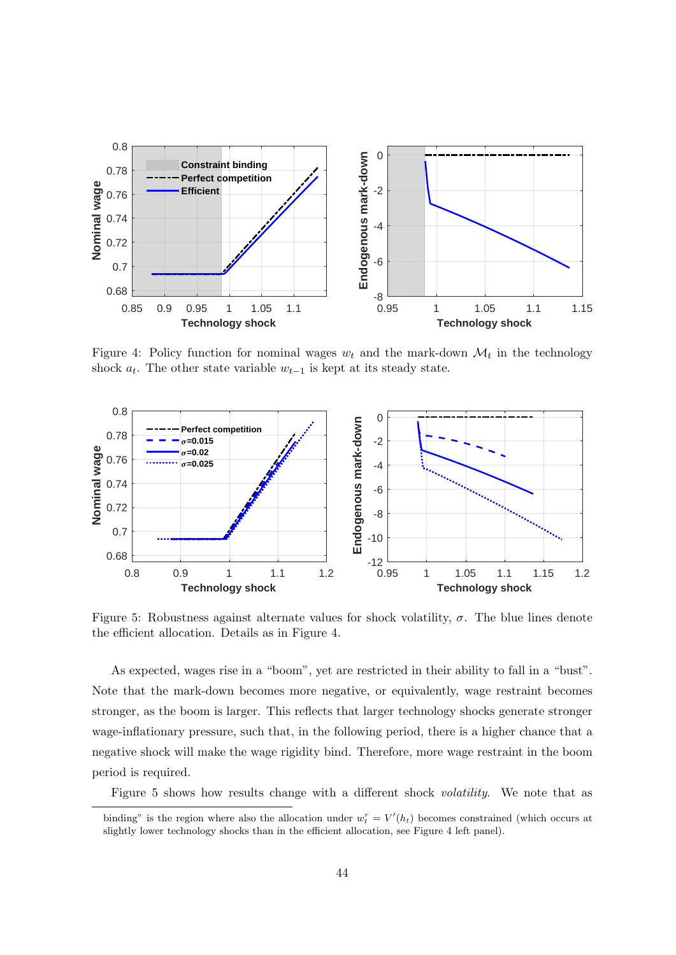

<span id="page-45-0"></span>Figure 4: Policy function for nominal wages  $w_t$  and the mark-down  $\mathcal{M}_t$  in the technology shock  $a_t$ . The other state variable  $w_{t-1}$  is kept at its steady state.



<span id="page-45-1"></span>Figure 5: Robustness against alternate values for shock volatility,  $\sigma$ . The blue lines denote the efficient allocation. Details as in Figure [4.](#page-45-0)

As expected, wages rise in a "boom", yet are restricted in their ability to fall in a "bust". Note that the mark-down becomes more negative, or equivalently, wage restraint becomes stronger, as the boom is larger. This reflects that larger technology shocks generate stronger wage-inflationary pressure, such that, in the following period, there is a higher chance that a negative shock will make the wage rigidity bind. Therefore, more wage restraint in the boom period is required.

Figure [5](#page-45-1) shows how results change with a different shock volatility. We note that as

binding" is the region where also the allocation under  $w_t^r = V'(h_t)$  becomes constrained (which occurs at slightly lower technology shocks than in the efficient allocation, see Figure [4](#page-45-0) left panel).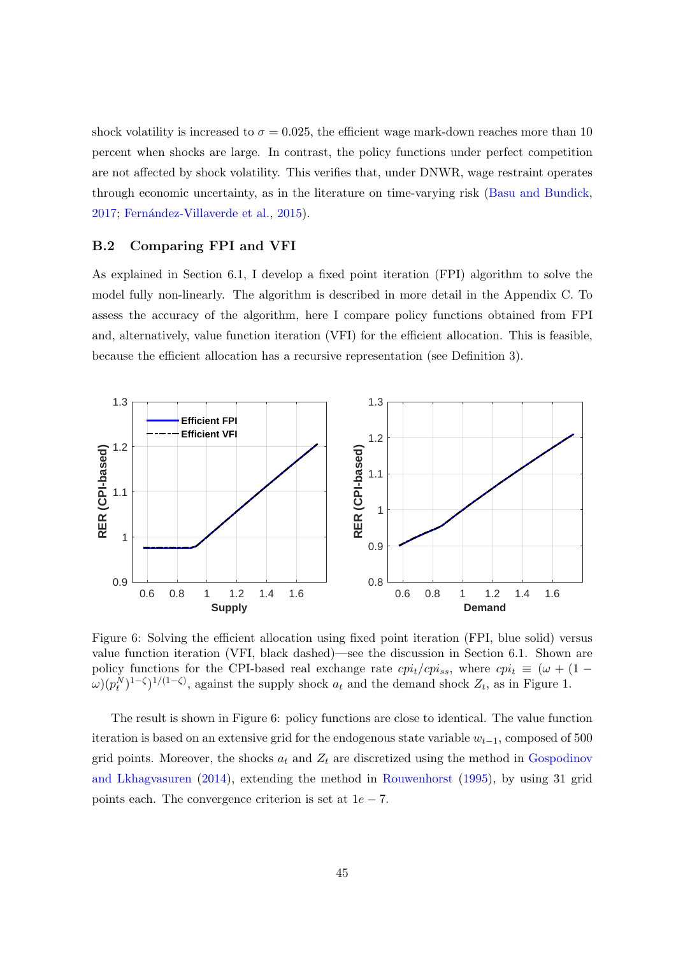shock volatility is increased to  $\sigma = 0.025$ , the efficient wage mark-down reaches more than 10 percent when shocks are large. In contrast, the policy functions under perfect competition are not affected by shock volatility. This verifies that, under DNWR, wage restraint operates through economic uncertainty, as in the literature on time-varying risk [\(Basu and Bundick,](#page-32-1) [2017;](#page-32-1) Fernández-Villaverde et al., [2015\)](#page-34-7).

#### B.2 Comparing FPI and VFI

As explained in Section [6.1,](#page-21-1) I develop a fixed point iteration (FPI) algorithm to solve the model fully non-linearly. The algorithm is described in more detail in the Appendix [C.](#page-47-0) To assess the accuracy of the algorithm, here I compare policy functions obtained from FPI and, alternatively, value function iteration (VFI) for the efficient allocation. This is feasible, because the efficient allocation has a recursive representation (see Definition [3\)](#page-15-2).



<span id="page-46-0"></span>Figure 6: Solving the efficient allocation using fixed point iteration (FPI, blue solid) versus value function iteration (VFI, black dashed)—see the discussion in Section [6.1.](#page-21-1) Shown are policy functions for the CPI-based real exchange rate  $cpi_t/cpi_{ss}$ , where  $cpi_t \equiv (\omega + (1 \omega(p_t^N)^{1-\zeta}$ <sup> $1/(1-\zeta)$ </sup>, against the supply shock  $a_t$  and the demand shock  $Z_t$ , as in Figure [1.](#page-24-0)

The result is shown in Figure [6:](#page-46-0) policy functions are close to identical. The value function iteration is based on an extensive grid for the endogenous state variable  $w_{t-1}$ , composed of 500 grid points. Moreover, the shocks  $a_t$  and  $Z_t$  are discretized using the method in [Gospodinov](#page-34-13) [and Lkhagvasuren](#page-34-13) [\(2014\)](#page-34-13), extending the method in [Rouwenhorst](#page-35-11) [\(1995\)](#page-35-11), by using 31 grid points each. The convergence criterion is set at  $1e - 7$ .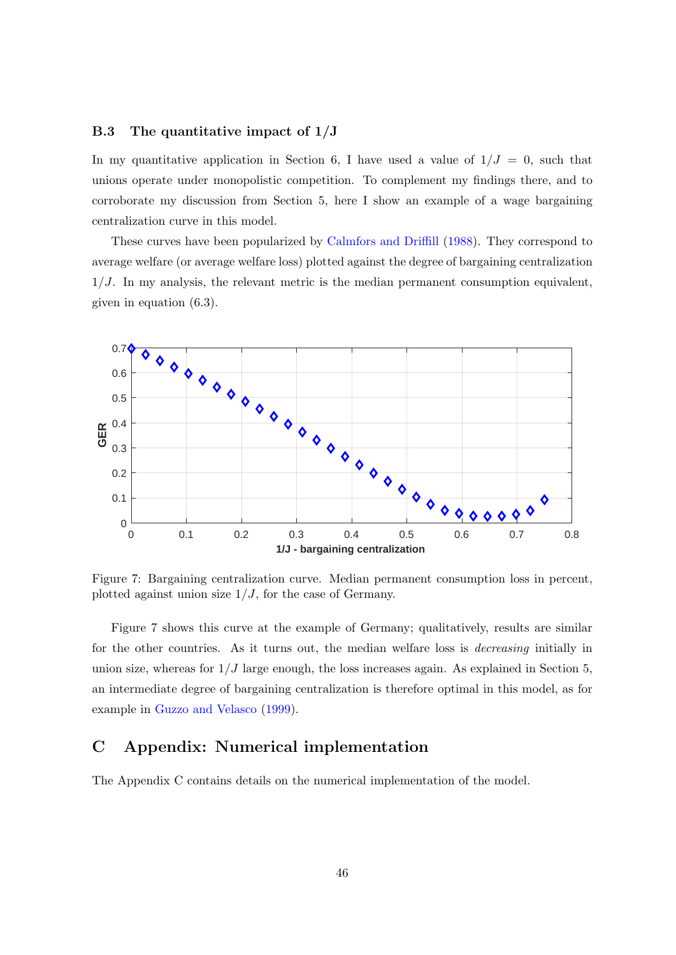#### B.3 The quantitative impact of  $1/J$

In my quantitative application in Section [6,](#page-21-0) I have used a value of  $1/J = 0$ , such that unions operate under monopolistic competition. To complement my findings there, and to corroborate my discussion from Section [5,](#page-18-1) here I show an example of a wage bargaining centralization curve in this model.

These curves have been popularized by [Calmfors and Driffill](#page-33-7) [\(1988\)](#page-33-7). They correspond to average welfare (or average welfare loss) plotted against the degree of bargaining centralization  $1/J$ . In my analysis, the relevant metric is the median permanent consumption equivalent, given in equation [\(6.3\)](#page-30-1).



<span id="page-47-1"></span>Figure 7: Bargaining centralization curve. Median permanent consumption loss in percent, plotted against union size  $1/J$ , for the case of Germany.

Figure [7](#page-47-1) shows this curve at the example of Germany; qualitatively, results are similar for the other countries. As it turns out, the median welfare loss is *decreasing* initially in union size, whereas for  $1/J$  large enough, the loss increases again. As explained in Section [5,](#page-18-1) an intermediate degree of bargaining centralization is therefore optimal in this model, as for example in [Guzzo and Velasco](#page-34-4) [\(1999\)](#page-34-4).

## <span id="page-47-0"></span>C Appendix: Numerical implementation

The Appendix C contains details on the numerical implementation of the model.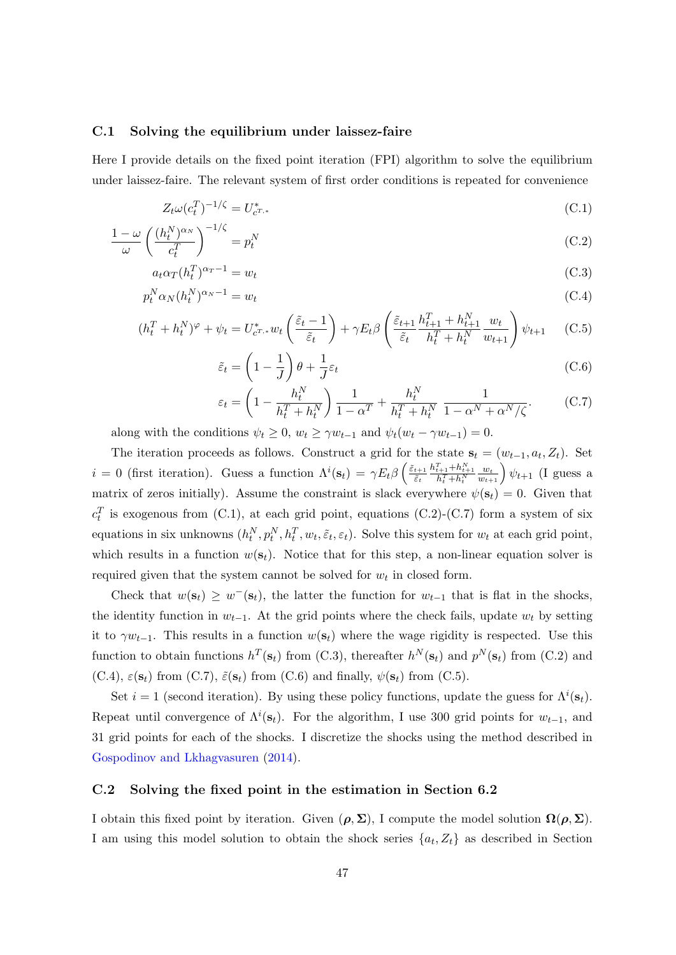#### C.1 Solving the equilibrium under laissez-faire

Here I provide details on the fixed point iteration (FPI) algorithm to solve the equilibrium under laissez-faire. The relevant system of first order conditions is repeated for convenience

$$
Z_t \omega (c_t^T)^{-1/\zeta} = U_{c^{T,*}}^* \tag{C.1}
$$

$$
\frac{1-\omega}{\omega} \left(\frac{(h_t^N)^{\alpha_N}}{c_t^T}\right)^{-1/\zeta} = p_t^N \tag{C.2}
$$

$$
a_t \alpha_T (h_t^T)^{\alpha_T - 1} = w_t \tag{C.3}
$$

$$
p_t^N \alpha_N (h_t^N)^{\alpha_N - 1} = w_t \tag{C.4}
$$

$$
(h_t^T + h_t^N)^\varphi + \psi_t = U_{c^{T,*}}^* w_t \left( \frac{\tilde{\varepsilon}_t - 1}{\tilde{\varepsilon}_t} \right) + \gamma E_t \beta \left( \frac{\tilde{\varepsilon}_{t+1}}{\tilde{\varepsilon}_t} \frac{h_{t+1}^T + h_{t+1}^N}{h_t^T + h_t^N} \frac{w_t}{w_{t+1}} \right) \psi_{t+1} \tag{C.5}
$$

$$
\tilde{\varepsilon}_t = \left(1 - \frac{1}{J}\right)\theta + \frac{1}{J}\varepsilon_t\tag{C.6}
$$

$$
\varepsilon_t = \left(1 - \frac{h_t^N}{h_t^T + h_t^N}\right) \frac{1}{1 - \alpha^T} + \frac{h_t^N}{h_t^T + h_t^N} \frac{1}{1 - \alpha^N + \alpha^N/\zeta}.
$$
 (C.7)

along with the conditions  $\psi_t \geq 0$ ,  $w_t \geq \gamma w_{t-1}$  and  $\psi_t(w_t - \gamma w_{t-1}) = 0$ .

The iteration proceeds as follows. Construct a grid for the state  $s_t = (w_{t-1}, a_t, Z_t)$ . Set  $i = 0$  (first iteration). Guess a function  $\Lambda^{i}(\mathbf{s}_{t}) = \gamma E_{t} \beta \left( \frac{\tilde{\varepsilon}_{t+1}}{\tilde{\varepsilon}_{t}} \right)$  $\tilde{\varepsilon}_t$  $\frac{h_{t+1}^T + h_{t+1}^N}{h_t^T + h_t^N}$  $\left(\frac{w_t}{w_{t+1}}\right)\psi_{t+1}$  (I guess a matrix of zeros initially). Assume the constraint is slack everywhere  $\psi(\mathbf{s}_t) = 0$ . Given that  $c_t^T$  is exogenous from (C.1), at each grid point, equations (C.2)-(C.7) form a system of six equations in six unknowns  $(h_t^N, p_t^N, h_t^T, w_t, \tilde{\varepsilon}_t, \varepsilon_t)$ . Solve this system for  $w_t$  at each grid point, which results in a function  $w(s_t)$ . Notice that for this step, a non-linear equation solver is required given that the system cannot be solved for  $w_t$  in closed form.

Check that  $w(\mathbf{s}_t) \geq w^-(\mathbf{s}_t)$ , the latter the function for  $w_{t-1}$  that is flat in the shocks, the identity function in  $w_{t-1}$ . At the grid points where the check fails, update  $w_t$  by setting it to  $\gamma w_{t-1}$ . This results in a function  $w(\mathbf{s}_t)$  where the wage rigidity is respected. Use this function to obtain functions  $h^T(\mathbf{s}_t)$  from (C.3), thereafter  $h^N(\mathbf{s}_t)$  and  $p^N(\mathbf{s}_t)$  from (C.2) and (C.4),  $\varepsilon(\mathbf{s}_t)$  from (C.7),  $\tilde{\varepsilon}(\mathbf{s}_t)$  from (C.6) and finally,  $\psi(\mathbf{s}_t)$  from (C.5).

Set  $i = 1$  (second iteration). By using these policy functions, update the guess for  $\Lambda^{i}(\mathbf{s}_{t})$ . Repeat until convergence of  $\Lambda^{i}(s_{t})$ . For the algorithm, I use 300 grid points for  $w_{t-1}$ , and 31 grid points for each of the shocks. I discretize the shocks using the method described in [Gospodinov and Lkhagvasuren](#page-34-13) [\(2014\)](#page-34-13).

#### C.2 Solving the fixed point in the estimation in Section [6.2](#page-25-2)

I obtain this fixed point by iteration. Given  $(\rho, \Sigma)$ , I compute the model solution  $\Omega(\rho, \Sigma)$ . I am using this model solution to obtain the shock series  $\{a_t, Z_t\}$  as described in Section